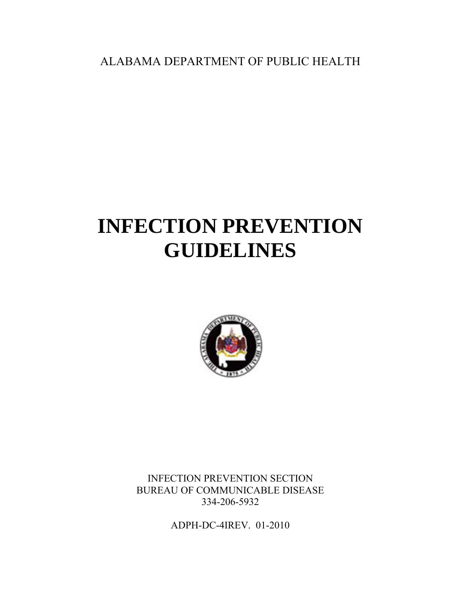ALABAMA DEPARTMENT OF PUBLIC HEALTH

# **INFECTION PREVENTION GUIDELINES**



INFECTION PREVENTION SECTION BUREAU OF COMMUNICABLE DISEASE 334-206-5932

ADPH-DC-4IREV. 01-2010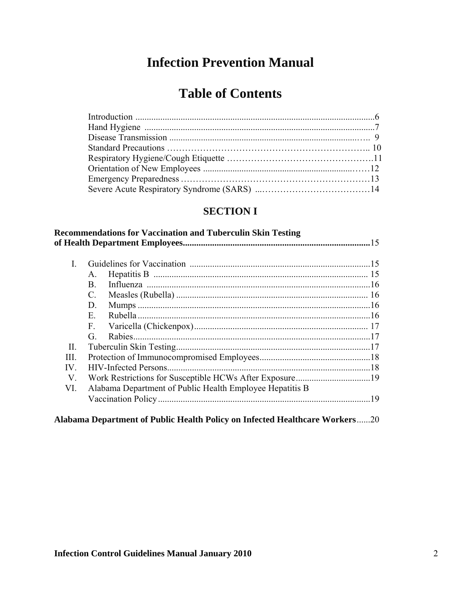# **Infection Prevention Manual**

# **Table of Contents**

### **SECTION I**

| L             |                                                          |  |
|---------------|----------------------------------------------------------|--|
|               | $A_{\cdot}$                                              |  |
|               | B.                                                       |  |
|               | $\mathcal{C}$                                            |  |
|               | D.                                                       |  |
|               | E.                                                       |  |
|               | $F_{-}$                                                  |  |
|               | G.                                                       |  |
| П.            |                                                          |  |
| III.          |                                                          |  |
| $\mathbf{IV}$ | <b>HIV-Infected Persons.</b>                             |  |
| V.            |                                                          |  |
| VI.           | Alabama Department of Public Health Employee Hepatitis B |  |
|               |                                                          |  |

### **Alabama Department of Public Health Policy on Infected Healthcare Workers** ......20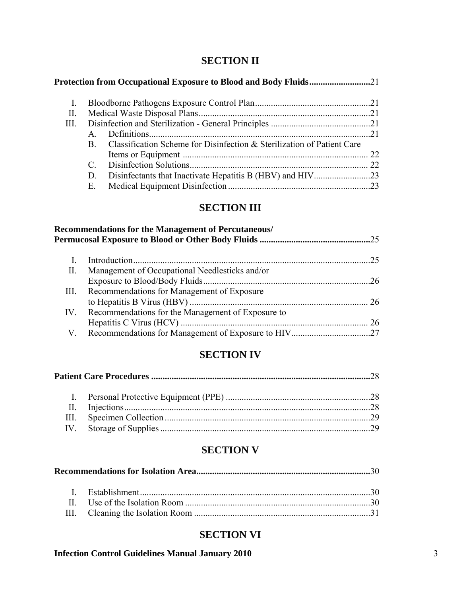### **SECTION II**

| L.  |              |                                                                        |  |
|-----|--------------|------------------------------------------------------------------------|--|
| II. |              |                                                                        |  |
| Ш.  |              |                                                                        |  |
|     | $\mathsf{A}$ |                                                                        |  |
|     | B.           | Classification Scheme for Disinfection & Sterilization of Patient Care |  |
|     |              |                                                                        |  |
|     |              |                                                                        |  |
|     | D.           |                                                                        |  |
|     | Е.           |                                                                        |  |

### **SECTION III**

|    | Recommendations for the Management of Percutaneous/   |     |
|----|-------------------------------------------------------|-----|
|    |                                                       | 25  |
| П. | Management of Occupational Needlesticks and/or        |     |
|    |                                                       | .26 |
|    | III. Recommendations for Management of Exposure       |     |
|    |                                                       |     |
|    | IV. Recommendations for the Management of Exposure to |     |
|    |                                                       |     |
| V. |                                                       |     |

### **SECTION IV**

### **SECTION V**

### **SECTION VI**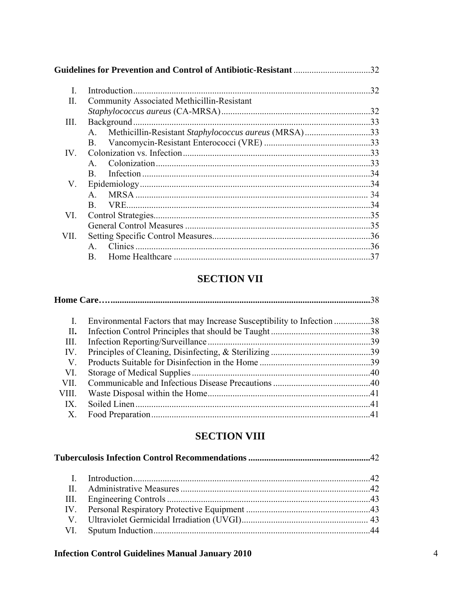| L        |                                                                 | 32  |  |
|----------|-----------------------------------------------------------------|-----|--|
| II.      | <b>Community Associated Methicillin-Resistant</b>               |     |  |
|          |                                                                 |     |  |
| Ш.       |                                                                 | .33 |  |
|          | Methicillin-Resistant Staphylococcus aureus (MRSA)33<br>$A_{-}$ |     |  |
|          | B.                                                              |     |  |
| $IV_{-}$ |                                                                 |     |  |
|          | $\mathsf{A}$                                                    |     |  |
|          | B.                                                              |     |  |
| V.       |                                                                 |     |  |
|          | $\mathsf{A}$                                                    |     |  |
|          | B.                                                              |     |  |
| VI.      |                                                                 |     |  |
|          |                                                                 |     |  |
| VII.     |                                                                 |     |  |
|          | $\mathsf{A}$                                                    |     |  |
|          | B.                                                              | 37  |  |

### **SECTION VII**

|       |                                                                        | .38 |
|-------|------------------------------------------------------------------------|-----|
|       | Environmental Factors that may Increase Susceptibility to Infection 38 |     |
| П.    |                                                                        |     |
| Ш.    |                                                                        |     |
| IV.   |                                                                        |     |
| V     |                                                                        |     |
| VI.   |                                                                        |     |
| VII.  |                                                                        |     |
| VIII. |                                                                        |     |
| IX    |                                                                        |     |
| X.    |                                                                        |     |

### **SECTION VIII**

|--|--|--|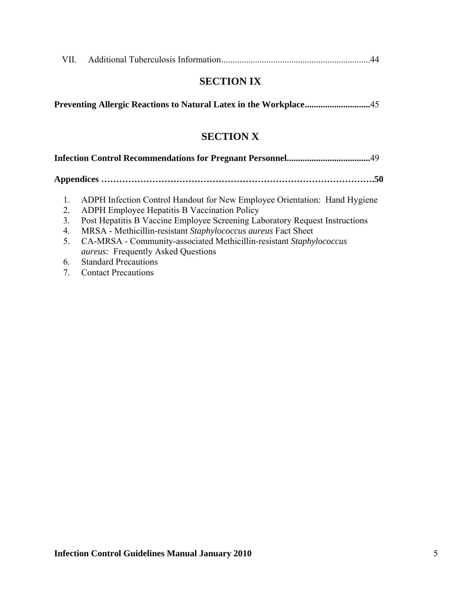|--|--|--|--|

### **SECTION IX**

|  |  | <b>Preventing Allergic Reactions to Natural Latex in the Workplace</b> 45 |  |
|--|--|---------------------------------------------------------------------------|--|
|  |  |                                                                           |  |

#### **SECTION X**

- 1. ADPH Infection Control Handout for New Employee Orientation: Hand Hygiene
- 2. ADPH Employee Hepatitis B Vaccination Policy
- 3. Post Hepatitis B Vaccine Employee Screening Laboratory Request Instructions
- 4. MRSA Methicillin-resistant *Staphylococcus aureus* Fact Sheet
- 5. CA-MRSA Community-associated Methicillin-resistant *Staphylococcus aureus:* Frequently Asked Questions
- 6. Standard Precautions
- 7. Contact Precautions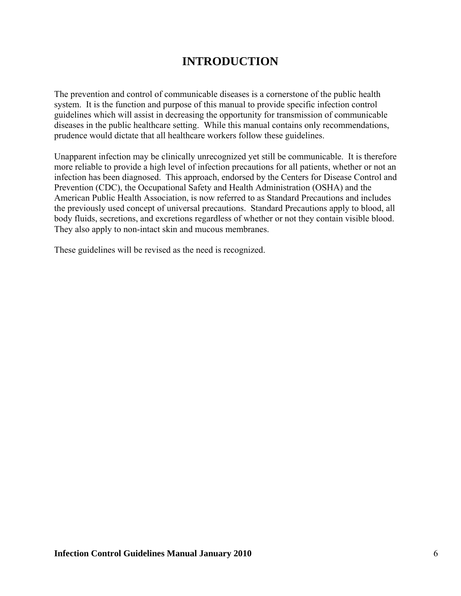### **INTRODUCTION**

The prevention and control of communicable diseases is a cornerstone of the public health system. It is the function and purpose of this manual to provide specific infection control guidelines which will assist in decreasing the opportunity for transmission of communicable diseases in the public healthcare setting. While this manual contains only recommendations, prudence would dictate that all healthcare workers follow these guidelines.

Unapparent infection may be clinically unrecognized yet still be communicable. It is therefore more reliable to provide a high level of infection precautions for all patients, whether or not an infection has been diagnosed. This approach, endorsed by the Centers for Disease Control and Prevention (CDC), the Occupational Safety and Health Administration (OSHA) and the American Public Health Association, is now referred to as Standard Precautions and includes the previously used concept of universal precautions. Standard Precautions apply to blood, all body fluids, secretions, and excretions regardless of whether or not they contain visible blood. They also apply to non-intact skin and mucous membranes.

These guidelines will be revised as the need is recognized.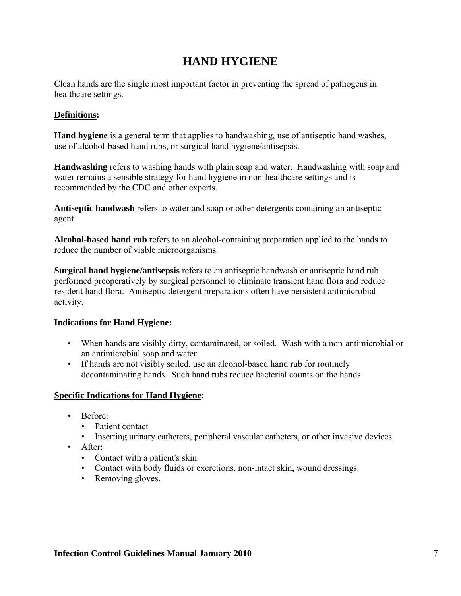# **HAND HYGIENE**

Clean hands are the single most important factor in preventing the spread of pathogens in healthcare settings.

#### **Definitions:**

**Hand hygiene** is a general term that applies to handwashing, use of antiseptic hand washes, use of alcohol-based hand rubs, or surgical hand hygiene/antisepsis.

**Handwashing** refers to washing hands with plain soap and water. Handwashing with soap and water remains a sensible strategy for hand hygiene in non-healthcare settings and is recommended by the CDC and other experts.

**Antiseptic handwash** refers to water and soap or other detergents containing an antiseptic agent.

**Alcohol-based hand rub** refers to an alcohol-containing preparation applied to the hands to reduce the number of viable microorganisms.

**Surgical hand hygiene/antisepsis** refers to an antiseptic handwash or antiseptic hand rub performed preoperatively by surgical personnel to eliminate transient hand flora and reduce resident hand flora. Antiseptic detergent preparations often have persistent antimicrobial activity.

#### **Indications for Hand Hygiene:**

- When hands are visibly dirty, contaminated, or soiled. Wash with a non-antimicrobial or an antimicrobial soap and water.
- If hands are not visibly soiled, use an alcohol-based hand rub for routinely decontaminating hands. Such hand rubs reduce bacterial counts on the hands.

#### **Specific Indications for Hand Hygiene:**

- Before:
	- Patient contact
	- Inserting urinary catheters, peripheral vascular catheters, or other invasive devices.
- After:
	- Contact with a patient's skin.
	- Contact with body fluids or excretions, non-intact skin, wound dressings.
	- Removing gloves.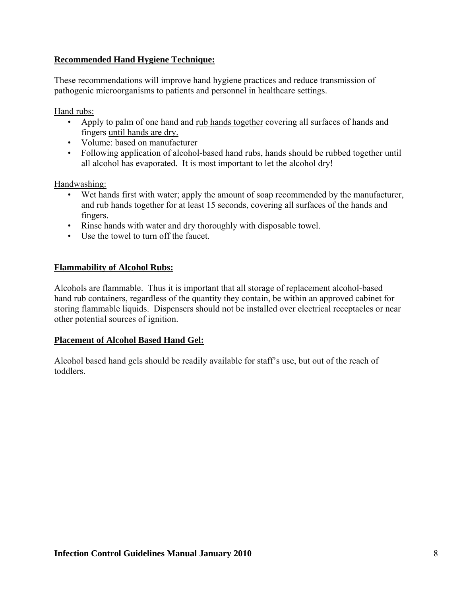#### **Recommended Hand Hygiene Technique:**

These recommendations will improve hand hygiene practices and reduce transmission of pathogenic microorganisms to patients and personnel in healthcare settings.

Hand rubs:

- Apply to palm of one hand and rub hands together covering all surfaces of hands and fingers until hands are dry.
- Volume: based on manufacturer
- Following application of alcohol-based hand rubs, hands should be rubbed together until all alcohol has evaporated. It is most important to let the alcohol dry!

Handwashing:

- Wet hands first with water; apply the amount of soap recommended by the manufacturer, and rub hands together for at least 15 seconds, covering all surfaces of the hands and fingers.
- Rinse hands with water and dry thoroughly with disposable towel.
- Use the towel to turn off the faucet.

#### **Flammability of Alcohol Rubs:**

Alcohols are flammable. Thus it is important that all storage of replacement alcohol-based hand rub containers, regardless of the quantity they contain, be within an approved cabinet for storing flammable liquids. Dispensers should not be installed over electrical receptacles or near other potential sources of ignition.

#### **Placement of Alcohol Based Hand Gel:**

Alcohol based hand gels should be readily available for staff's use, but out of the reach of toddlers.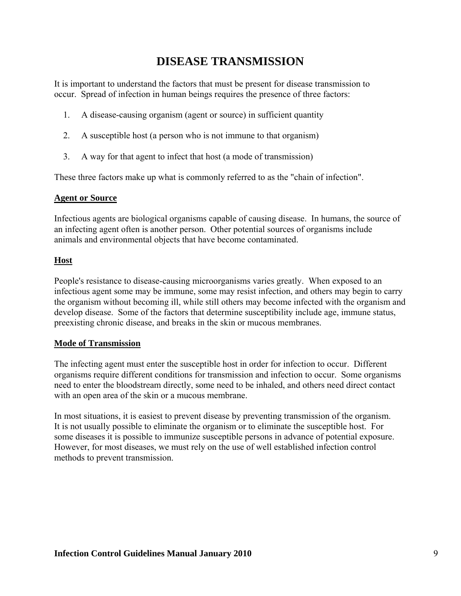# **DISEASE TRANSMISSION**

It is important to understand the factors that must be present for disease transmission to occur. Spread of infection in human beings requires the presence of three factors:

- 1. A disease-causing organism (agent or source) in sufficient quantity
- 2. A susceptible host (a person who is not immune to that organism)
- 3. A way for that agent to infect that host (a mode of transmission)

These three factors make up what is commonly referred to as the "chain of infection".

#### **Agent or Source**

Infectious agents are biological organisms capable of causing disease. In humans, the source of an infecting agent often is another person. Other potential sources of organisms include animals and environmental objects that have become contaminated.

#### **Host**

People's resistance to disease-causing microorganisms varies greatly. When exposed to an infectious agent some may be immune, some may resist infection, and others may begin to carry the organism without becoming ill, while still others may become infected with the organism and develop disease. Some of the factors that determine susceptibility include age, immune status, preexisting chronic disease, and breaks in the skin or mucous membranes.

#### **Mode of Transmission**

The infecting agent must enter the susceptible host in order for infection to occur. Different organisms require different conditions for transmission and infection to occur. Some organisms need to enter the bloodstream directly, some need to be inhaled, and others need direct contact with an open area of the skin or a mucous membrane.

In most situations, it is easiest to prevent disease by preventing transmission of the organism. It is not usually possible to eliminate the organism or to eliminate the susceptible host. For some diseases it is possible to immunize susceptible persons in advance of potential exposure. However, for most diseases, we must rely on the use of well established infection control methods to prevent transmission.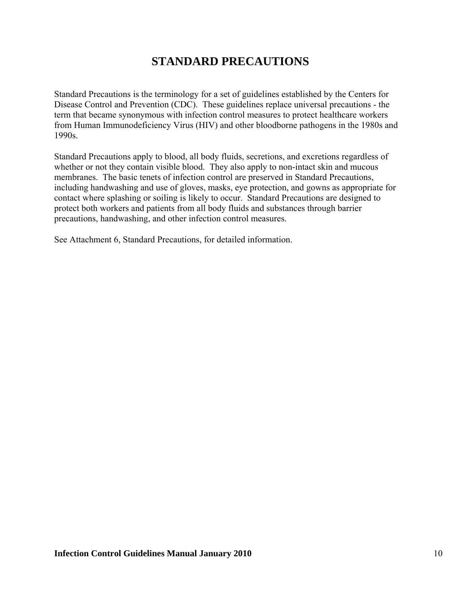# **STANDARD PRECAUTIONS**

Standard Precautions is the terminology for a set of guidelines established by the Centers for Disease Control and Prevention (CDC). These guidelines replace universal precautions - the term that became synonymous with infection control measures to protect healthcare workers from Human Immunodeficiency Virus (HIV) and other bloodborne pathogens in the 1980s and 1990s.

Standard Precautions apply to blood, all body fluids, secretions, and excretions regardless of whether or not they contain visible blood. They also apply to non-intact skin and mucous membranes. The basic tenets of infection control are preserved in Standard Precautions, including handwashing and use of gloves, masks, eye protection, and gowns as appropriate for contact where splashing or soiling is likely to occur. Standard Precautions are designed to protect both workers and patients from all body fluids and substances through barrier precautions, handwashing, and other infection control measures.

See Attachment 6, Standard Precautions, for detailed information.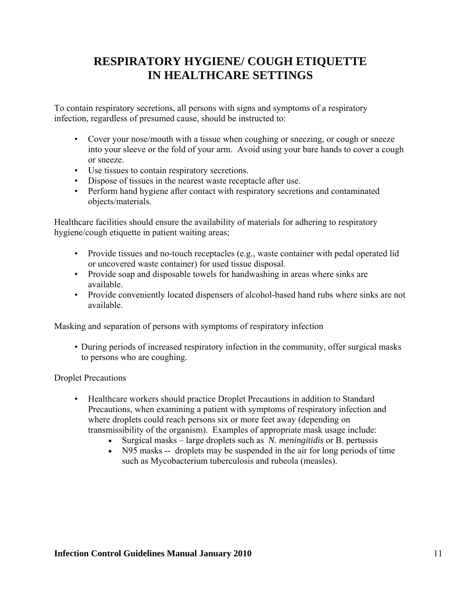# **RESPIRATORY HYGIENE/ COUGH ETIQUETTE IN HEALTHCARE SETTINGS**

To contain respiratory secretions, all persons with signs and symptoms of a respiratory infection, regardless of presumed cause, should be instructed to:

- Cover your nose/mouth with a tissue when coughing or sneezing, or cough or sneeze into your sleeve or the fold of your arm. Avoid using your bare hands to cover a cough or sneeze.
- Use tissues to contain respiratory secretions.
- Dispose of tissues in the nearest waste receptacle after use.
- Perform hand hygiene after contact with respiratory secretions and contaminated objects/materials.

Healthcare facilities should ensure the availability of materials for adhering to respiratory hygiene/cough etiquette in patient waiting areas;

- Provide tissues and no-touch receptacles (e.g., waste container with pedal operated lid or uncovered waste container) for used tissue disposal.
- Provide soap and disposable towels for handwashing in areas where sinks are available.
- Provide conveniently located dispensers of alcohol-based hand rubs where sinks are not available.

Masking and separation of persons with symptoms of respiratory infection

 • During periods of increased respiratory infection in the community, offer surgical masks to persons who are coughing.

Droplet Precautions

- Healthcare workers should practice Droplet Precautions in addition to Standard Precautions, when examining a patient with symptoms of respiratory infection and where droplets could reach persons six or more feet away (depending on transmissibility of the organism). Examples of appropriate mask usage include:
	- Surgical masks large droplets such as *N. meningitidis* or B. pertussis
	- N95 masks -- droplets may be suspended in the air for long periods of time such as Mycobacterium tuberculosis and rubeola (measles).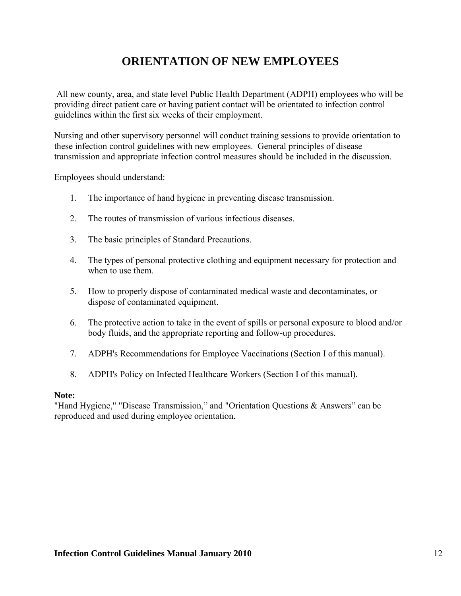# **ORIENTATION OF NEW EMPLOYEES**

 All new county, area, and state level Public Health Department (ADPH) employees who will be providing direct patient care or having patient contact will be orientated to infection control guidelines within the first six weeks of their employment.

Nursing and other supervisory personnel will conduct training sessions to provide orientation to these infection control guidelines with new employees. General principles of disease transmission and appropriate infection control measures should be included in the discussion.

Employees should understand:

- 1. The importance of hand hygiene in preventing disease transmission.
- 2. The routes of transmission of various infectious diseases.
- 3. The basic principles of Standard Precautions.
- 4. The types of personal protective clothing and equipment necessary for protection and when to use them.
- 5. How to properly dispose of contaminated medical waste and decontaminates, or dispose of contaminated equipment.
- 6. The protective action to take in the event of spills or personal exposure to blood and/or body fluids, and the appropriate reporting and follow-up procedures.
- 7. ADPH's Recommendations for Employee Vaccinations (Section I of this manual).
- 8. ADPH's Policy on Infected Healthcare Workers (Section I of this manual).

#### **Note:**

"Hand Hygiene," "Disease Transmission," and "Orientation Questions & Answers" can be reproduced and used during employee orientation.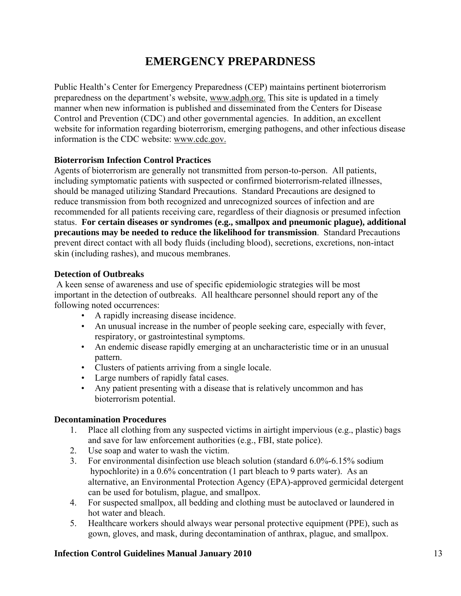# **EMERGENCY PREPARDNESS**

Public Health's Center for Emergency Preparedness (CEP) maintains pertinent bioterrorism preparedness on the department's website, www.adph.org. This site is updated in a timely manner when new information is published and disseminated from the Centers for Disease Control and Prevention (CDC) and other governmental agencies. In addition, an excellent website for information regarding bioterrorism, emerging pathogens, and other infectious disease information is the CDC website: www.cdc.gov.

#### **Bioterrorism Infection Control Practices**

Agents of bioterrorism are generally not transmitted from person-to-person. All patients, including symptomatic patients with suspected or confirmed bioterrorism-related illnesses, should be managed utilizing Standard Precautions. Standard Precautions are designed to reduce transmission from both recognized and unrecognized sources of infection and are recommended for all patients receiving care, regardless of their diagnosis or presumed infection status. **For certain diseases or syndromes (e.g., smallpox and pneumonic plague), additional precautions may be needed to reduce the likelihood for transmission**. Standard Precautions prevent direct contact with all body fluids (including blood), secretions, excretions, non-intact skin (including rashes), and mucous membranes.

#### **Detection of Outbreaks**

 A keen sense of awareness and use of specific epidemiologic strategies will be most important in the detection of outbreaks. All healthcare personnel should report any of the following noted occurrences:

- A rapidly increasing disease incidence.
- An unusual increase in the number of people seeking care, especially with fever, respiratory, or gastrointestinal symptoms.
- An endemic disease rapidly emerging at an uncharacteristic time or in an unusual pattern.
- Clusters of patients arriving from a single locale.
- Large numbers of rapidly fatal cases.
- Any patient presenting with a disease that is relatively uncommon and has bioterrorism potential.

#### **Decontamination Procedures**

- 1. Place all clothing from any suspected victims in airtight impervious (e.g., plastic) bags and save for law enforcement authorities (e.g., FBI, state police).
- 2. Use soap and water to wash the victim.
- 3. For environmental disinfection use bleach solution (standard 6.0%-6.15% sodium hypochlorite) in a 0.6% concentration (1 part bleach to 9 parts water). As an alternative, an Environmental Protection Agency (EPA)-approved germicidal detergent can be used for botulism, plague, and smallpox.
- 4. For suspected smallpox, all bedding and clothing must be autoclaved or laundered in hot water and bleach.
- 5. Healthcare workers should always wear personal protective equipment (PPE), such as gown, gloves, and mask, during decontamination of anthrax, plague, and smallpox.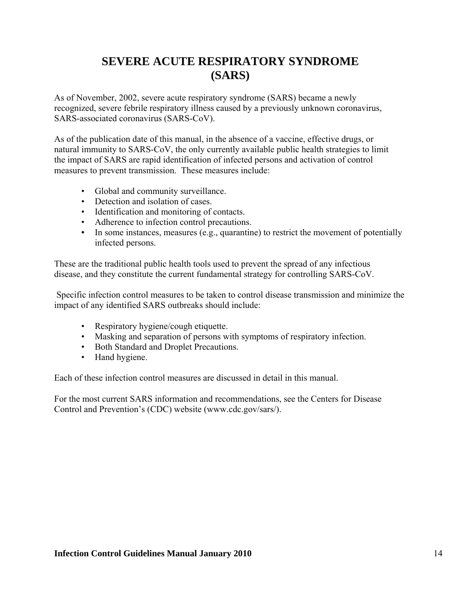# **SEVERE ACUTE RESPIRATORY SYNDROME (SARS)**

As of November, 2002, severe acute respiratory syndrome (SARS) became a newly recognized, severe febrile respiratory illness caused by a previously unknown coronavirus, SARS-associated coronavirus (SARS-CoV).

As of the publication date of this manual, in the absence of a vaccine, effective drugs, or natural immunity to SARS-CoV, the only currently available public health strategies to limit the impact of SARS are rapid identification of infected persons and activation of control measures to prevent transmission. These measures include:

- Global and community surveillance.
- Detection and isolation of cases.
- Identification and monitoring of contacts.
- Adherence to infection control precautions.
- In some instances, measures (e.g., quarantine) to restrict the movement of potentially infected persons.

These are the traditional public health tools used to prevent the spread of any infectious disease, and they constitute the current fundamental strategy for controlling SARS-CoV.

 Specific infection control measures to be taken to control disease transmission and minimize the impact of any identified SARS outbreaks should include:

- Respiratory hygiene/cough etiquette.
- Masking and separation of persons with symptoms of respiratory infection.
- Both Standard and Droplet Precautions.
- Hand hygiene.

Each of these infection control measures are discussed in detail in this manual.

For the most current SARS information and recommendations, see the Centers for Disease Control and Prevention's (CDC) website (www.cdc.gov/sars/).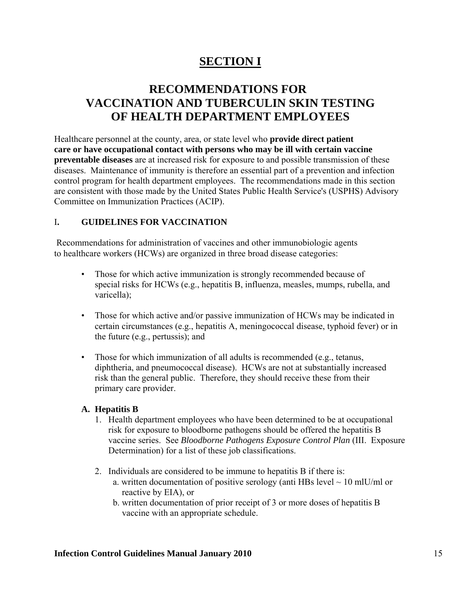# **SECTION I**

# **RECOMMENDATIONS FOR VACCINATION AND TUBERCULIN SKIN TESTING OF HEALTH DEPARTMENT EMPLOYEES**

Healthcare personnel at the county, area, or state level who **provide direct patient care or have occupational contact with persons who may be ill with certain vaccine preventable diseases** are at increased risk for exposure to and possible transmission of these diseases. Maintenance of immunity is therefore an essential part of a prevention and infection control program for health department employees. The recommendations made in this section are consistent with those made by the United States Public Health Service's (USPHS) Advisory Committee on Immunization Practices (ACIP).

#### I**. GUIDELINES FOR VACCINATION**

 Recommendations for administration of vaccines and other immunobiologic agents to healthcare workers (HCWs) are organized in three broad disease categories:

- Those for which active immunization is strongly recommended because of special risks for HCWs (e.g., hepatitis B, influenza, measles, mumps, rubella, and varicella);
- Those for which active and/or passive immunization of HCWs may be indicated in certain circumstances (e.g., hepatitis A, meningococcal disease, typhoid fever) or in the future (e.g., pertussis); and
- Those for which immunization of all adults is recommended (e.g., tetanus, diphtheria, and pneumococcal disease). HCWs are not at substantially increased risk than the general public. Therefore, they should receive these from their primary care provider.

#### **A. Hepatitis B**

- 1. Health department employees who have been determined to be at occupational risk for exposure to bloodborne pathogens should be offered the hepatitis B vaccine series. See *Bloodborne Pathogens Exposure Control Plan* (III. Exposure Determination) for a list of these job classifications.
- 2. Individuals are considered to be immune to hepatitis B if there is:
	- a. written documentation of positive serology (anti HBs level  $\sim 10$  mlU/ml or reactive by EIA), or
	- b. written documentation of prior receipt of 3 or more doses of hepatitis B vaccine with an appropriate schedule.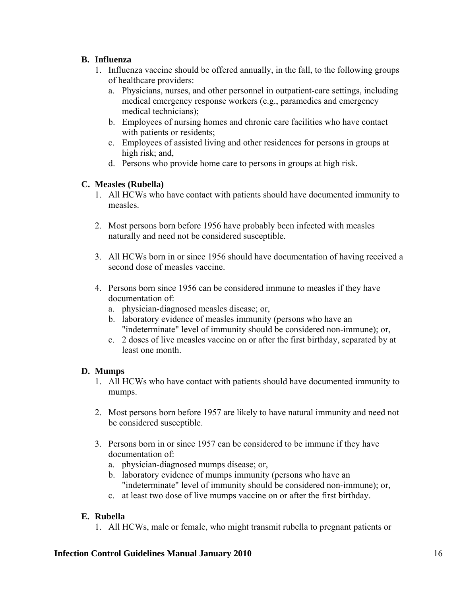#### **B. Influenza**

- 1. Influenza vaccine should be offered annually, in the fall, to the following groups of healthcare providers:
	- a. Physicians, nurses, and other personnel in outpatient-care settings, including medical emergency response workers (e.g., paramedics and emergency medical technicians);
	- b. Employees of nursing homes and chronic care facilities who have contact with patients or residents;
	- c. Employees of assisted living and other residences for persons in groups at high risk; and,
	- d. Persons who provide home care to persons in groups at high risk.

#### **C. Measles (Rubella)**

- 1. All HCWs who have contact with patients should have documented immunity to measles.
- 2. Most persons born before 1956 have probably been infected with measles naturally and need not be considered susceptible.
- 3. All HCWs born in or since 1956 should have documentation of having received a second dose of measles vaccine.
- 4. Persons born since 1956 can be considered immune to measles if they have documentation of:
	- a. physician-diagnosed measles disease; or,
	- b. laboratory evidence of measles immunity (persons who have an "indeterminate" level of immunity should be considered non-immune); or,
	- c. 2 doses of live measles vaccine on or after the first birthday, separated by at least one month.

#### **D. Mumps**

- 1. All HCWs who have contact with patients should have documented immunity to mumps.
- 2. Most persons born before 1957 are likely to have natural immunity and need not be considered susceptible.
- 3. Persons born in or since 1957 can be considered to be immune if they have documentation of:
	- a. physician-diagnosed mumps disease; or,
	- b. laboratory evidence of mumps immunity (persons who have an "indeterminate" level of immunity should be considered non-immune); or,
	- c. at least two dose of live mumps vaccine on or after the first birthday.

#### **E. Rubella**

1. All HCWs, male or female, who might transmit rubella to pregnant patients or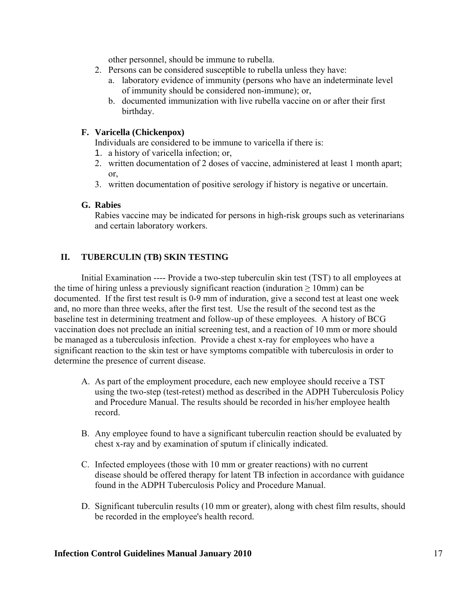other personnel, should be immune to rubella.

- 2. Persons can be considered susceptible to rubella unless they have:
	- a. laboratory evidence of immunity (persons who have an indeterminate level of immunity should be considered non-immune); or,
	- b. documented immunization with live rubella vaccine on or after their first birthday.

#### **F. Varicella (Chickenpox)**

Individuals are considered to be immune to varicella if there is:

- 1. a history of varicella infection; or,
- 2. written documentation of 2 doses of vaccine, administered at least 1 month apart; or
- 3. written documentation of positive serology if history is negative or uncertain.

#### **G. Rabies**

 Rabies vaccine may be indicated for persons in high-risk groups such as veterinarians and certain laboratory workers.

#### **II. TUBERCULIN (TB) SKIN TESTING**

 Initial Examination ---- Provide a two-step tuberculin skin test (TST) to all employees at the time of hiring unless a previously significant reaction (induration  $\geq 10$ mm) can be documented. If the first test result is 0-9 mm of induration, give a second test at least one week and, no more than three weeks, after the first test. Use the result of the second test as the baseline test in determining treatment and follow-up of these employees. A history of BCG vaccination does not preclude an initial screening test, and a reaction of 10 mm or more should be managed as a tuberculosis infection. Provide a chest x-ray for employees who have a significant reaction to the skin test or have symptoms compatible with tuberculosis in order to determine the presence of current disease.

- A. As part of the employment procedure, each new employee should receive a TST using the two-step (test-retest) method as described in the ADPH Tuberculosis Policy and Procedure Manual. The results should be recorded in his/her employee health record.
- B. Any employee found to have a significant tuberculin reaction should be evaluated by chest x-ray and by examination of sputum if clinically indicated.
- C. Infected employees (those with 10 mm or greater reactions) with no current disease should be offered therapy for latent TB infection in accordance with guidance found in the ADPH Tuberculosis Policy and Procedure Manual.
- D. Significant tuberculin results (10 mm or greater), along with chest film results, should be recorded in the employee's health record.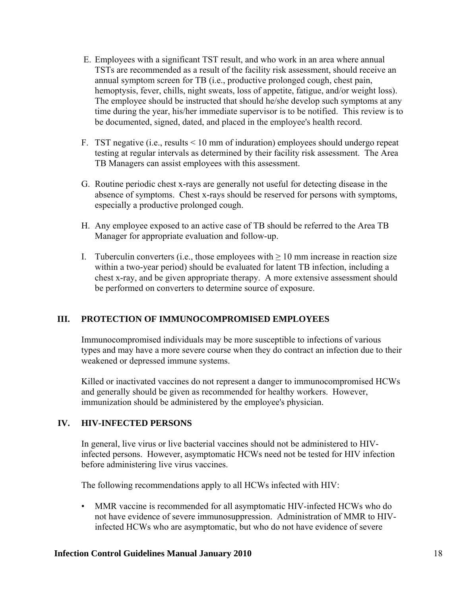- E. Employees with a significant TST result, and who work in an area where annual TSTs are recommended as a result of the facility risk assessment, should receive an annual symptom screen for TB (i.e., productive prolonged cough, chest pain, hemoptysis, fever, chills, night sweats, loss of appetite, fatigue, and/or weight loss). The employee should be instructed that should he/she develop such symptoms at any time during the year, his/her immediate supervisor is to be notified. This review is to be documented, signed, dated, and placed in the employee's health record.
- F. TST negative (i.e., results < 10 mm of induration) employees should undergo repeat testing at regular intervals as determined by their facility risk assessment. The Area TB Managers can assist employees with this assessment.
- G. Routine periodic chest x-rays are generally not useful for detecting disease in the absence of symptoms. Chest x-rays should be reserved for persons with symptoms, especially a productive prolonged cough.
- H. Any employee exposed to an active case of TB should be referred to the Area TB Manager for appropriate evaluation and follow-up.
- I. Tuberculin converters (i.e., those employees with  $\geq 10$  mm increase in reaction size within a two-year period) should be evaluated for latent TB infection, including a chest x-ray, and be given appropriate therapy. A more extensive assessment should be performed on converters to determine source of exposure.

#### **III. PROTECTION OF IMMUNOCOMPROMISED EMPLOYEES**

 Immunocompromised individuals may be more susceptible to infections of various types and may have a more severe course when they do contract an infection due to their weakened or depressed immune systems.

 Killed or inactivated vaccines do not represent a danger to immunocompromised HCWs and generally should be given as recommended for healthy workers. However, immunization should be administered by the employee's physician.

#### **IV. HIV-INFECTED PERSONS**

In general, live virus or live bacterial vaccines should not be administered to HIVinfected persons. However, asymptomatic HCWs need not be tested for HIV infection before administering live virus vaccines.

The following recommendations apply to all HCWs infected with HIV:

 • MMR vaccine is recommended for all asymptomatic HIV-infected HCWs who do not have evidence of severe immunosuppression. Administration of MMR to HIVinfected HCWs who are asymptomatic, but who do not have evidence of severe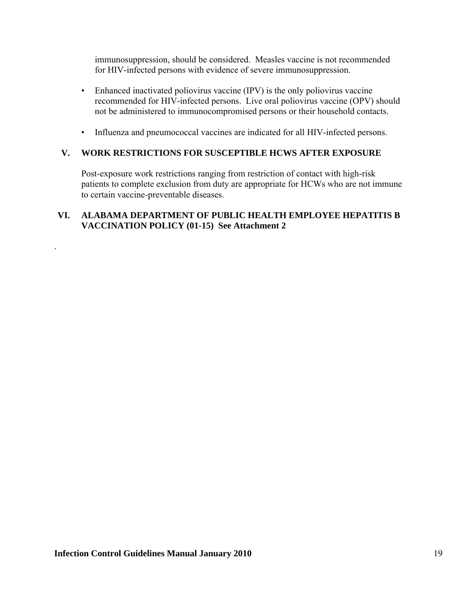immunosuppression, should be considered. Measles vaccine is not recommended for HIV-infected persons with evidence of severe immunosuppression.

- Enhanced inactivated poliovirus vaccine (IPV) is the only poliovirus vaccine recommended for HIV-infected persons. Live oral poliovirus vaccine (OPV) should not be administered to immunocompromised persons or their household contacts.
- Influenza and pneumococcal vaccines are indicated for all HIV-infected persons.

#### **V. WORK RESTRICTIONS FOR SUSCEPTIBLE HCWS AFTER EXPOSURE**

 Post-exposure work restrictions ranging from restriction of contact with high-risk patients to complete exclusion from duty are appropriate for HCWs who are not immune to certain vaccine-preventable diseases.

#### **VI. ALABAMA DEPARTMENT OF PUBLIC HEALTH EMPLOYEE HEPATITIS B VACCINATION POLICY (01-15) See Attachment 2**

.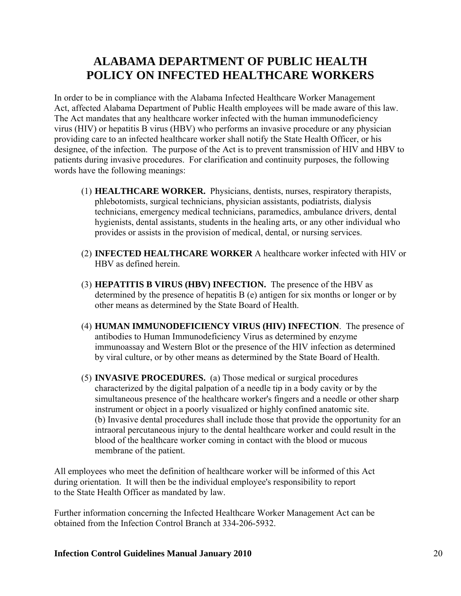# **ALABAMA DEPARTMENT OF PUBLIC HEALTH POLICY ON INFECTED HEALTHCARE WORKERS**

In order to be in compliance with the Alabama Infected Healthcare Worker Management Act, affected Alabama Department of Public Health employees will be made aware of this law. The Act mandates that any healthcare worker infected with the human immunodeficiency virus (HIV) or hepatitis B virus (HBV) who performs an invasive procedure or any physician providing care to an infected healthcare worker shall notify the State Health Officer, or his designee, of the infection. The purpose of the Act is to prevent transmission of HIV and HBV to patients during invasive procedures. For clarification and continuity purposes, the following words have the following meanings:

- (1) **HEALTHCARE WORKER.** Physicians, dentists, nurses, respiratory therapists, phlebotomists, surgical technicians, physician assistants, podiatrists, dialysis technicians, emergency medical technicians, paramedics, ambulance drivers, dental hygienists, dental assistants, students in the healing arts, or any other individual who provides or assists in the provision of medical, dental, or nursing services.
- (2) **INFECTED HEALTHCARE WORKER** A healthcare worker infected with HIV or HBV as defined herein.
- (3) **HEPATITIS B VIRUS (HBV) INFECTION.** The presence of the HBV as determined by the presence of hepatitis B (e) antigen for six months or longer or by other means as determined by the State Board of Health.
- (4) **HUMAN IMMUNODEFICIENCY VIRUS (HIV) INFECTION**. The presence of antibodies to Human Immunodeficiency Virus as determined by enzyme immunoassay and Western Blot or the presence of the HIV infection as determined by viral culture, or by other means as determined by the State Board of Health.
- (5) **INVASIVE PROCEDURES.** (a) Those medical or surgical procedures characterized by the digital palpation of a needle tip in a body cavity or by the simultaneous presence of the healthcare worker's fingers and a needle or other sharp instrument or object in a poorly visualized or highly confined anatomic site. (b) Invasive dental procedures shall include those that provide the opportunity for an intraoral percutaneous injury to the dental healthcare worker and could result in the blood of the healthcare worker coming in contact with the blood or mucous membrane of the patient.

All employees who meet the definition of healthcare worker will be informed of this Act during orientation. It will then be the individual employee's responsibility to report to the State Health Officer as mandated by law.

Further information concerning the Infected Healthcare Worker Management Act can be obtained from the Infection Control Branch at 334-206-5932.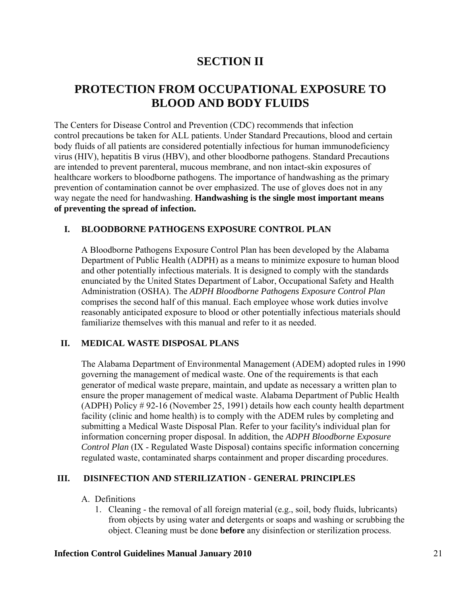# **SECTION II**

# **PROTECTION FROM OCCUPATIONAL EXPOSURE TO BLOOD AND BODY FLUIDS**

The Centers for Disease Control and Prevention (CDC) recommends that infection control precautions be taken for ALL patients. Under Standard Precautions, blood and certain body fluids of all patients are considered potentially infectious for human immunodeficiency virus (HIV), hepatitis B virus (HBV), and other bloodborne pathogens. Standard Precautions are intended to prevent parenteral, mucous membrane, and non intact-skin exposures of healthcare workers to bloodborne pathogens. The importance of handwashing as the primary prevention of contamination cannot be over emphasized. The use of gloves does not in any way negate the need for handwashing. **Handwashing is the single most important means of preventing the spread of infection.** 

#### **I. BLOODBORNE PATHOGENS EXPOSURE CONTROL PLAN**

A Bloodborne Pathogens Exposure Control Plan has been developed by the Alabama Department of Public Health (ADPH) as a means to minimize exposure to human blood and other potentially infectious materials. It is designed to comply with the standards enunciated by the United States Department of Labor, Occupational Safety and Health Administration (OSHA). The *ADPH Bloodborne Pathogens Exposure Control Plan*  comprises the second half of this manual. Each employee whose work duties involve reasonably anticipated exposure to blood or other potentially infectious materials should familiarize themselves with this manual and refer to it as needed.

#### **II. MEDICAL WASTE DISPOSAL PLANS**

 The Alabama Department of Environmental Management (ADEM) adopted rules in 1990 governing the management of medical waste. One of the requirements is that each generator of medical waste prepare, maintain, and update as necessary a written plan to ensure the proper management of medical waste. Alabama Department of Public Health (ADPH) Policy # 92-16 (November 25, 1991) details how each county health department facility (clinic and home health) is to comply with the ADEM rules by completing and submitting a Medical Waste Disposal Plan. Refer to your facility's individual plan for information concerning proper disposal. In addition, the *ADPH Bloodborne Exposure Control Plan* (IX - Regulated Waste Disposal) contains specific information concerning regulated waste, contaminated sharps containment and proper discarding procedures.

#### **III. DISINFECTION AND STERILIZATION - GENERAL PRINCIPLES**

#### A. Definitions

 1. Cleaning - the removal of all foreign material (e.g., soil, body fluids, lubricants) from objects by using water and detergents or soaps and washing or scrubbing the object. Cleaning must be done **before** any disinfection or sterilization process.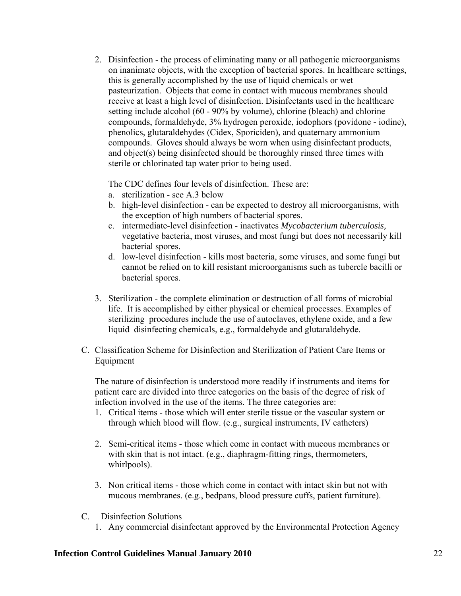2.Disinfection - the process of eliminating many or all pathogenic microorganisms on inanimate objects, with the exception of bacterial spores. In healthcare settings, this is generally accomplished by the use of liquid chemicals or wet pasteurization. Objects that come in contact with mucous membranes should receive at least a high level of disinfection. Disinfectants used in the healthcare setting include alcohol (60 - 90% by volume), chlorine (bleach) and chlorine compounds, formaldehyde, 3% hydrogen peroxide, iodophors (povidone - iodine), phenolics, glutaraldehydes (Cidex, Sporiciden), and quaternary ammonium compounds. Gloves should always be worn when using disinfectant products, and object(s) being disinfected should be thoroughly rinsed three times with sterile or chlorinated tap water prior to being used.

The CDC defines four levels of disinfection. These are:

- a. sterilization see A.3 below
- b. high-level disinfection can be expected to destroy all microorganisms, with the exception of high numbers of bacterial spores.
- c. intermediate-level disinfection inactivates *Mycobacterium tuberculosis,*  vegetative bacteria, most viruses, and most fungi but does not necessarily kill bacterial spores.
- d. low-level disinfection kills most bacteria, some viruses, and some fungi but cannot be relied on to kill resistant microorganisms such as tubercle bacilli or bacterial spores.
- 3*.* Sterilization the complete elimination or destruction of all forms of microbial life. It is accomplished by either physical or chemical processes. Examples of sterilizing procedures include the use of autoclaves, ethylene oxide, and a few liquid disinfecting chemicals, e.g., formaldehyde and glutaraldehyde.
- C. Classification Scheme for Disinfection and Sterilization of Patient Care Items or Equipment

 The nature of disinfection is understood more readily if instruments and items for patient care are divided into three categories on the basis of the degree of risk of infection involved in the use of the items. The three categories are:

- 1. Critical items those which will enter sterile tissue or the vascular system or through which blood will flow. (e.g., surgical instruments, IV catheters)
- 2. Semi-critical items those which come in contact with mucous membranes or with skin that is not intact. (e.g., diaphragm-fitting rings, thermometers, whirlpools).
- 3. Non critical items those which come in contact with intact skin but not with mucous membranes. (e.g., bedpans, blood pressure cuffs, patient furniture).
- C. Disinfection Solutions
	- 1. Any commercial disinfectant approved by the Environmental Protection Agency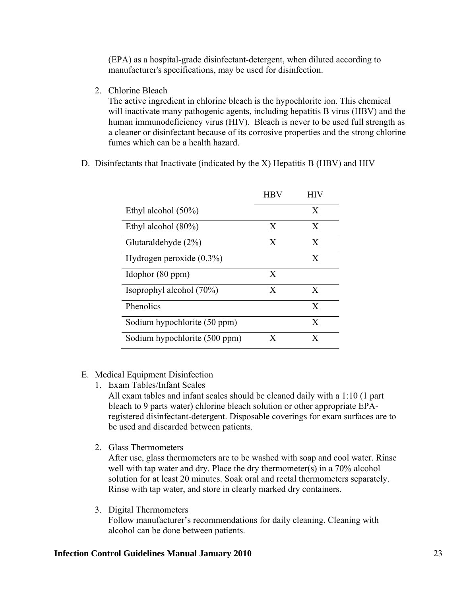(EPA) as a hospital-grade disinfectant-detergent, when diluted according to manufacturer's specifications, may be used for disinfection.

2. Chlorine Bleach

The active ingredient in chlorine bleach is the hypochlorite ion. This chemical will inactivate many pathogenic agents, including hepatitis B virus (HBV) and the human immunodeficiency virus (HIV). Bleach is never to be used full strength as a cleaner or disinfectant because of its corrosive properties and the strong chlorine fumes which can be a health hazard.

D. Disinfectants that Inactivate (indicated by the X) Hepatitis B (HBV) and HIV

|                               | HBV          | HIV          |
|-------------------------------|--------------|--------------|
| Ethyl alcohol (50%)           |              | X            |
| Ethyl alcohol $(80\%)$        | $\mathbf{X}$ | $\mathbf{X}$ |
| Glutaraldehyde (2%)           | $\mathbf{X}$ | X            |
| Hydrogen peroxide $(0.3\%)$   |              | $\mathbf{X}$ |
| Idophor (80 ppm)              | X            |              |
| Isoprophyl alcohol (70%)      | $\mathbf{X}$ | X            |
| Phenolics                     |              | $\mathbf{X}$ |
| Sodium hypochlorite (50 ppm)  |              | X            |
| Sodium hypochlorite (500 ppm) | X            | X            |

- E. Medical Equipment Disinfection
	- 1. Exam Tables/Infant Scales All exam tables and infant scales should be cleaned daily with a 1:10 (1 part bleach to 9 parts water) chlorine bleach solution or other appropriate EPAregistered disinfectant-detergent. Disposable coverings for exam surfaces are to be used and discarded between patients.
	- 2. Glass Thermometers

After use, glass thermometers are to be washed with soap and cool water. Rinse well with tap water and dry. Place the dry thermometer(s) in a 70% alcohol solution for at least 20 minutes. Soak oral and rectal thermometers separately. Rinse with tap water, and store in clearly marked dry containers.

3. Digital Thermometers

Follow manufacturer's recommendations for daily cleaning. Cleaning with alcohol can be done between patients.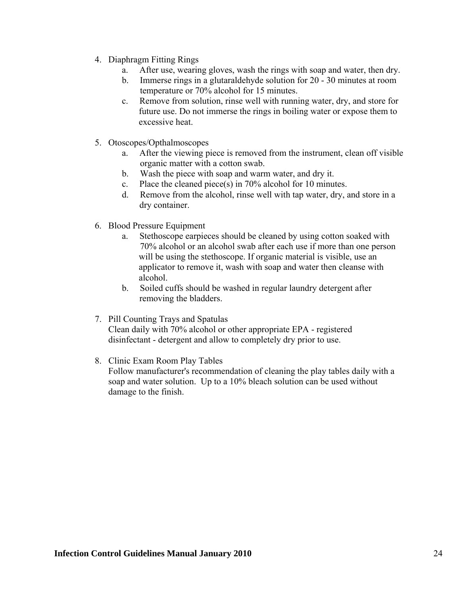- 4. Diaphragm Fitting Rings
	- a. After use, wearing gloves, wash the rings with soap and water, then dry.
	- b. Immerse rings in a glutaraldehyde solution for 20 30 minutes at room temperature or 70% alcohol for 15 minutes.
	- c. Remove from solution, rinse well with running water, dry, and store for future use. Do not immerse the rings in boiling water or expose them to excessive heat.
- 5. Otoscopes/Opthalmoscopes
	- a. After the viewing piece is removed from the instrument, clean off visible organic matter with a cotton swab.
	- b. Wash the piece with soap and warm water, and dry it.
	- c. Place the cleaned piece(s) in 70% alcohol for 10 minutes.
	- d. Remove from the alcohol, rinse well with tap water, dry, and store in a dry container.
- 6. Blood Pressure Equipment
	- a. Stethoscope earpieces should be cleaned by using cotton soaked with 70% alcohol or an alcohol swab after each use if more than one person will be using the stethoscope. If organic material is visible, use an applicator to remove it, wash with soap and water then cleanse with alcohol.
	- b. Soiled cuffs should be washed in regular laundry detergent after removing the bladders.
- 7. Pill Counting Trays and Spatulas Clean daily with 70% alcohol or other appropriate EPA - registered disinfectant - detergent and allow to completely dry prior to use.
- 8. Clinic Exam Room Play Tables

Follow manufacturer's recommendation of cleaning the play tables daily with a soap and water solution. Up to a 10% bleach solution can be used without damage to the finish.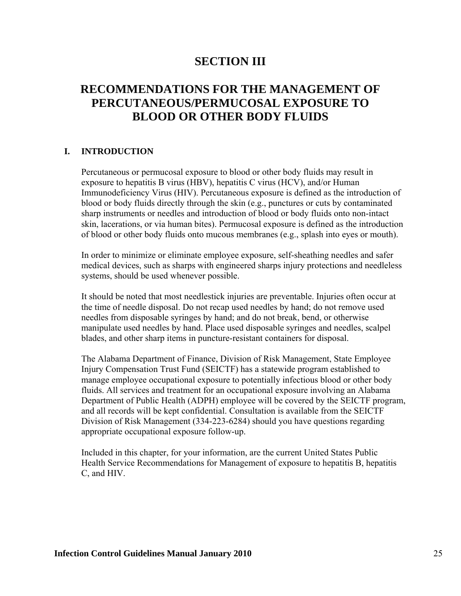### **SECTION III**

### **RECOMMENDATIONS FOR THE MANAGEMENT OF PERCUTANEOUS/PERMUCOSAL EXPOSURE TO BLOOD OR OTHER BODY FLUIDS**

#### **I. INTRODUCTION**

Percutaneous or permucosal exposure to blood or other body fluids may result in exposure to hepatitis B virus (HBV), hepatitis C virus (HCV), and/or Human Immunodeficiency Virus (HIV). Percutaneous exposure is defined as the introduction of blood or body fluids directly through the skin (e.g., punctures or cuts by contaminated sharp instruments or needles and introduction of blood or body fluids onto non-intact skin, lacerations, or via human bites). Permucosal exposure is defined as the introduction of blood or other body fluids onto mucous membranes (e.g., splash into eyes or mouth).

In order to minimize or eliminate employee exposure, self-sheathing needles and safer medical devices, such as sharps with engineered sharps injury protections and needleless systems, should be used whenever possible.

It should be noted that most needlestick injuries are preventable. Injuries often occur at the time of needle disposal. Do not recap used needles by hand; do not remove used needles from disposable syringes by hand; and do not break, bend, or otherwise manipulate used needles by hand. Place used disposable syringes and needles, scalpel blades, and other sharp items in puncture-resistant containers for disposal.

The Alabama Department of Finance, Division of Risk Management, State Employee Injury Compensation Trust Fund (SEICTF) has a statewide program established to manage employee occupational exposure to potentially infectious blood or other body fluids. All services and treatment for an occupational exposure involving an Alabama Department of Public Health (ADPH) employee will be covered by the SEICTF program, and all records will be kept confidential. Consultation is available from the SEICTF Division of Risk Management (334-223-6284) should you have questions regarding appropriate occupational exposure follow-up.

Included in this chapter, for your information, are the current United States Public Health Service Recommendations for Management of exposure to hepatitis B, hepatitis C, and HIV.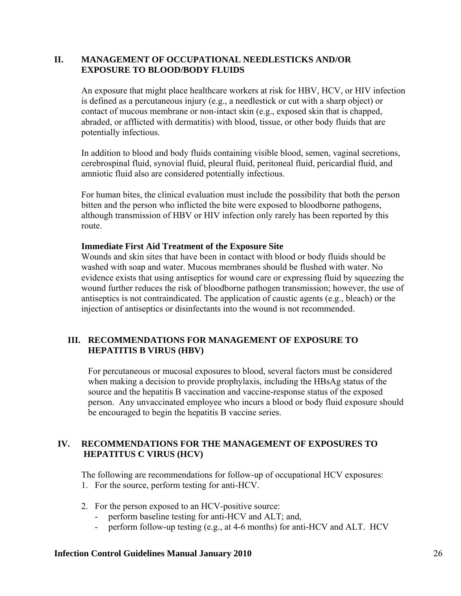#### **II. MANAGEMENT OF OCCUPATIONAL NEEDLESTICKS AND/OR EXPOSURE TO BLOOD/BODY FLUIDS**

An exposure that might place healthcare workers at risk for HBV, HCV, or HIV infection is defined as a percutaneous injury (e.g., a needlestick or cut with a sharp object) or contact of mucous membrane or non-intact skin (e.g., exposed skin that is chapped, abraded, or afflicted with dermatitis) with blood, tissue, or other body fluids that are potentially infectious.

 In addition to blood and body fluids containing visible blood, semen, vaginal secretions, cerebrospinal fluid, synovial fluid, pleural fluid, peritoneal fluid, pericardial fluid, and amniotic fluid also are considered potentially infectious.

 For human bites, the clinical evaluation must include the possibility that both the person bitten and the person who inflicted the bite were exposed to bloodborne pathogens, although transmission of HBV or HIV infection only rarely has been reported by this route.

#### **Immediate First Aid Treatment of the Exposure Site**

Wounds and skin sites that have been in contact with blood or body fluids should be washed with soap and water. Mucous membranes should be flushed with water. No evidence exists that using antiseptics for wound care or expressing fluid by squeezing the wound further reduces the risk of bloodborne pathogen transmission; however, the use of antiseptics is not contraindicated. The application of caustic agents (e.g., bleach) or the injection of antiseptics or disinfectants into the wound is not recommended.

#### **III. RECOMMENDATIONS FOR MANAGEMENT OF EXPOSURE TO HEPATITIS B VIRUS (HBV)**

 For percutaneous or mucosal exposures to blood, several factors must be considered when making a decision to provide prophylaxis, including the HBsAg status of the source and the hepatitis B vaccination and vaccine-response status of the exposed person. Any unvaccinated employee who incurs a blood or body fluid exposure should be encouraged to begin the hepatitis B vaccine series.

#### **IV. RECOMMENDATIONS FOR THE MANAGEMENT OF EXPOSURES TO HEPATITUS C VIRUS (HCV)**

 The following are recommendations for follow-up of occupational HCV exposures: 1. For the source, perform testing for anti-HCV.

- 2. For the person exposed to an HCV-positive source:
	- perform baseline testing for anti-HCV and ALT; and,
	- perform follow-up testing (e.g., at 4-6 months) for anti-HCV and ALT. HCV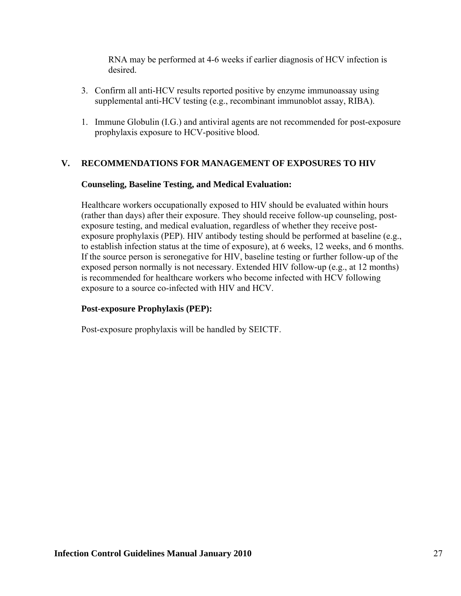RNA may be performed at 4-6 weeks if earlier diagnosis of HCV infection is desired.

- 3. Confirm all anti-HCV results reported positive by enzyme immunoassay using supplemental anti-HCV testing (e.g., recombinant immunoblot assay, RIBA).
- 1. Immune Globulin (I.G.) and antiviral agents are not recommended for post-exposure prophylaxis exposure to HCV-positive blood.

#### **V. RECOMMENDATIONS FOR MANAGEMENT OF EXPOSURES TO HIV**

#### **Counseling, Baseline Testing, and Medical Evaluation:**

Healthcare workers occupationally exposed to HIV should be evaluated within hours (rather than days) after their exposure. They should receive follow-up counseling, postexposure testing, and medical evaluation, regardless of whether they receive postexposure prophylaxis (PEP). HIV antibody testing should be performed at baseline (e.g., to establish infection status at the time of exposure), at 6 weeks, 12 weeks, and 6 months. If the source person is seronegative for HIV, baseline testing or further follow-up of the exposed person normally is not necessary. Extended HIV follow-up (e.g., at 12 months) is recommended for healthcare workers who become infected with HCV following exposure to a source co-infected with HIV and HCV.

#### **Post-exposure Prophylaxis (PEP):**

Post-exposure prophylaxis will be handled by SEICTF.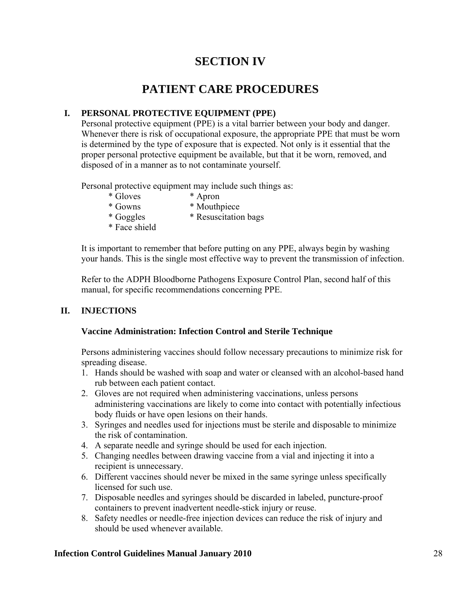# **SECTION IV**

# **PATIENT CARE PROCEDURES**

#### **I. PERSONAL PROTECTIVE EQUIPMENT (PPE)**

Personal protective equipment (PPE) is a vital barrier between your body and danger. Whenever there is risk of occupational exposure, the appropriate PPE that must be worn is determined by the type of exposure that is expected. Not only is it essential that the proper personal protective equipment be available, but that it be worn, removed, and disposed of in a manner as to not contaminate yourself.

Personal protective equipment may include such things as:

- \* Gloves \* Apron
- \* Gowns \* Mouthpiece
- 
- \* Goggles \* Resuscitation bags
- \* Face shield

It is important to remember that before putting on any PPE, always begin by washing your hands. This is the single most effective way to prevent the transmission of infection.

Refer to the ADPH Bloodborne Pathogens Exposure Control Plan, second half of this manual, for specific recommendations concerning PPE.

#### **II. INJECTIONS**

#### **Vaccine Administration: Infection Control and Sterile Technique**

 Persons administering vaccines should follow necessary precautions to minimize risk for spreading disease.

- 1. Hands should be washed with soap and water or cleansed with an alcohol-based hand rub between each patient contact.
- 2. Gloves are not required when administering vaccinations, unless persons administering vaccinations are likely to come into contact with potentially infectious body fluids or have open lesions on their hands.
- 3. Syringes and needles used for injections must be sterile and disposable to minimize the risk of contamination.
- 4. A separate needle and syringe should be used for each injection.
- 5. Changing needles between drawing vaccine from a vial and injecting it into a recipient is unnecessary.
- 6. Different vaccines should never be mixed in the same syringe unless specifically licensed for such use.
- 7. Disposable needles and syringes should be discarded in labeled, puncture-proof containers to prevent inadvertent needle-stick injury or reuse.
- 8. Safety needles or needle-free injection devices can reduce the risk of injury and should be used whenever available.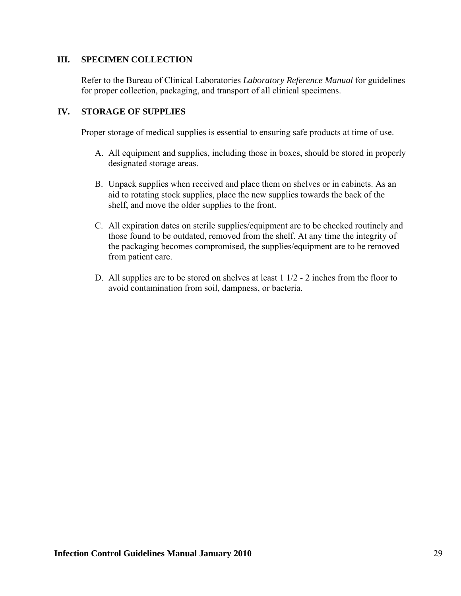#### **III. SPECIMEN COLLECTION**

Refer to the Bureau of Clinical Laboratories *Laboratory Reference Manual* for guidelines for proper collection, packaging, and transport of all clinical specimens.

#### **IV. STORAGE OF SUPPLIES**

Proper storage of medical supplies is essential to ensuring safe products at time of use.

- A. All equipment and supplies, including those in boxes, should be stored in properly designated storage areas.
- B. Unpack supplies when received and place them on shelves or in cabinets. As an aid to rotating stock supplies, place the new supplies towards the back of the shelf, and move the older supplies to the front.
- C. All expiration dates on sterile supplies/equipment are to be checked routinely and those found to be outdated, removed from the shelf. At any time the integrity of the packaging becomes compromised, the supplies/equipment are to be removed from patient care.
- D. All supplies are to be stored on shelves at least 1 1/2 2 inches from the floor to avoid contamination from soil, dampness, or bacteria.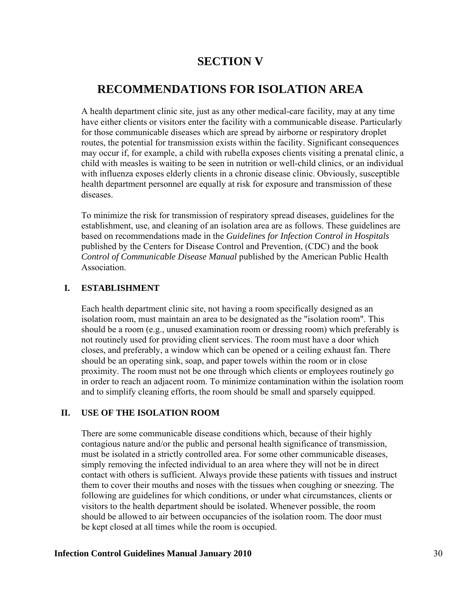### **SECTION V**

### **RECOMMENDATIONS FOR ISOLATION AREA**

A health department clinic site, just as any other medical-care facility, may at any time have either clients or visitors enter the facility with a communicable disease. Particularly for those communicable diseases which are spread by airborne or respiratory droplet routes, the potential for transmission exists within the facility. Significant consequences may occur if, for example, a child with rubella exposes clients visiting a prenatal clinic, a child with measles is waiting to be seen in nutrition or well-child clinics, or an individual with influenza exposes elderly clients in a chronic disease clinic. Obviously, susceptible health department personnel are equally at risk for exposure and transmission of these diseases.

 To minimize the risk for transmission of respiratory spread diseases, guidelines for the establishment, use, and cleaning of an isolation area are as follows. These guidelines are based on recommendations made in the *Guidelines for Infection Control in Hospitals*  published by the Centers for Disease Control and Prevention, (CDC) and the book *Control of Communicable Disease Manual* published by the American Public Health Association.

#### **I. ESTABLISHMENT**

 Each health department clinic site, not having a room specifically designed as an isolation room, must maintain an area to be designated as the "isolation room". This should be a room (e.g., unused examination room or dressing room) which preferably is not routinely used for providing client services. The room must have a door which closes, and preferably, a window which can be opened or a ceiling exhaust fan. There should be an operating sink, soap, and paper towels within the room or in close proximity. The room must not be one through which clients or employees routinely go in order to reach an adjacent room. To minimize contamination within the isolation room and to simplify cleaning efforts, the room should be small and sparsely equipped.

#### **II. USE OF THE ISOLATION ROOM**

 There are some communicable disease conditions which, because of their highly contagious nature and/or the public and personal health significance of transmission, must be isolated in a strictly controlled area. For some other communicable diseases, simply removing the infected individual to an area where they will not be in direct contact with others is sufficient. Always provide these patients with tissues and instruct them to cover their mouths and noses with the tissues when coughing or sneezing. The following are guidelines for which conditions, or under what circumstances, clients or visitors to the health department should be isolated. Whenever possible, the room should be allowed to air between occupancies of the isolation room. The door must be kept closed at all times while the room is occupied.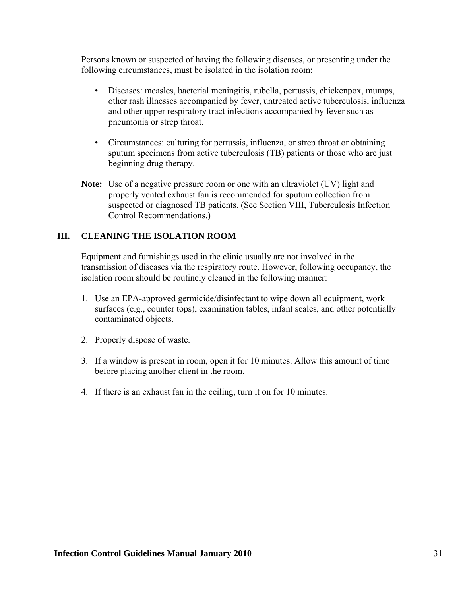Persons known or suspected of having the following diseases, or presenting under the following circumstances, must be isolated in the isolation room:

- Diseases: measles, bacterial meningitis, rubella, pertussis, chickenpox, mumps, other rash illnesses accompanied by fever, untreated active tuberculosis, influenza and other upper respiratory tract infections accompanied by fever such as pneumonia or strep throat.
- Circumstances: culturing for pertussis, influenza, or strep throat or obtaining sputum specimens from active tuberculosis (TB) patients or those who are just beginning drug therapy.
- **Note:** Use of a negative pressure room or one with an ultraviolet (UV) light and properly vented exhaust fan is recommended for sputum collection from suspected or diagnosed TB patients. (See Section VIII, Tuberculosis Infection Control Recommendations.)

#### **III. CLEANING THE ISOLATION ROOM**

 Equipment and furnishings used in the clinic usually are not involved in the transmission of diseases via the respiratory route. However, following occupancy, the isolation room should be routinely cleaned in the following manner:

- 1. Use an EPA-approved germicide/disinfectant to wipe down all equipment, work surfaces (e.g., counter tops), examination tables, infant scales, and other potentially contaminated objects.
- 2. Properly dispose of waste.
- 3. If a window is present in room, open it for 10 minutes. Allow this amount of time before placing another client in the room.
- 4. If there is an exhaust fan in the ceiling, turn it on for 10 minutes.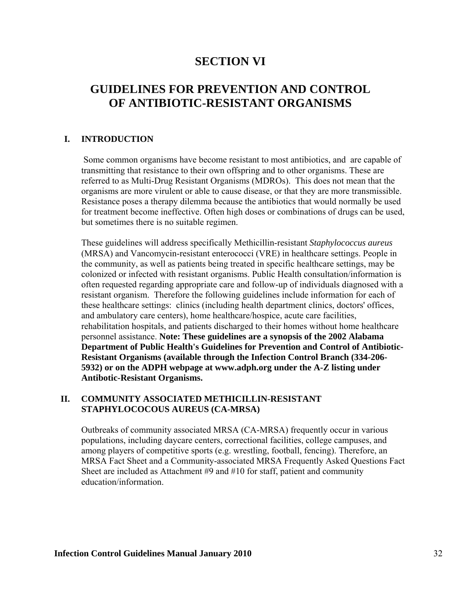### **SECTION VI**

### **GUIDELINES FOR PREVENTION AND CONTROL OF ANTIBIOTIC-RESISTANT ORGANISMS**

#### **I. INTRODUCTION**

 Some common organisms have become resistant to most antibiotics, and are capable of transmitting that resistance to their own offspring and to other organisms. These are referred to as Multi-Drug Resistant Organisms (MDROs). This does not mean that the organisms are more virulent or able to cause disease, or that they are more transmissible. Resistance poses a therapy dilemma because the antibiotics that would normally be used for treatment become ineffective. Often high doses or combinations of drugs can be used, but sometimes there is no suitable regimen.

These guidelines will address specifically Methicillin-resistant *Staphylococcus aureus*  (MRSA) and Vancomycin-resistant enterococci (VRE) in healthcare settings. People in the community, as well as patients being treated in specific healthcare settings, may be colonized or infected with resistant organisms. Public Health consultation/information is often requested regarding appropriate care and follow-up of individuals diagnosed with a resistant organism. Therefore the following guidelines include information for each of these healthcare settings: clinics (including health department clinics, doctors' offices, and ambulatory care centers), home healthcare/hospice, acute care facilities, rehabilitation hospitals, and patients discharged to their homes without home healthcare personnel assistance. **Note: These guidelines are a synopsis of the 2002 Alabama Department of Public Health's Guidelines for Prevention and Control of Antibiotic-Resistant Organisms (available through the Infection Control Branch (334-206- 5932) or on the ADPH webpage at www.adph.org under the A-Z listing under Antibotic-Resistant Organisms.**

#### **II. COMMUNITY ASSOCIATED METHICILLIN-RESISTANT STAPHYLOCOCOUS AUREUS (CA-MRSA)**

 Outbreaks of community associated MRSA (CA-MRSA) frequently occur in various populations, including daycare centers, correctional facilities, college campuses, and among players of competitive sports (e.g. wrestling, football, fencing). Therefore, an MRSA Fact Sheet and a Community-associated MRSA Frequently Asked Questions Fact Sheet are included as Attachment #9 and #10 for staff, patient and community education/information.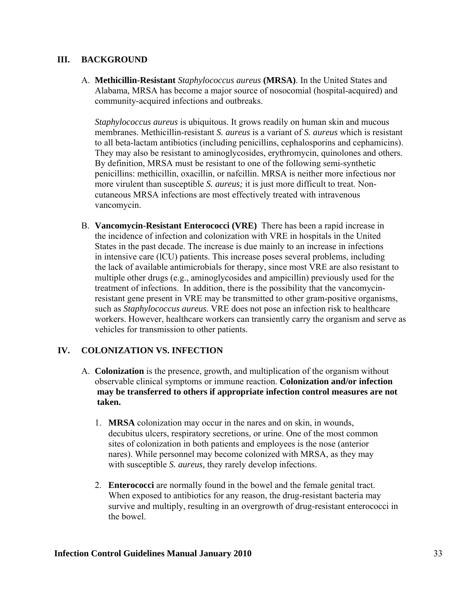#### **III. BACKGROUND**

 A. **Methicillin-Resistant** *Staphylococcus aureus* **(MRSA)**. In the United States and Alabama, MRSA has become a major source of nosocomial (hospital-acquired) and community-acquired infections and outbreaks.

*Staphylococcus aureus* is ubiquitous. It grows readily on human skin and mucous membranes. Methicillin-resistant *S. aureus* is a variant of *S. aureus* which is resistant to all beta-lactam antibiotics (including penicillins, cephalosporins and cephamicins). They may also be resistant to aminoglycosides, erythromycin, quinolones and others. By definition, MRSA must be resistant to one of the following semi-synthetic penicillins: methicillin, oxacillin, or nafcillin. MRSA is neither more infectious nor more virulent than susceptible *S. aureus;* it is just more difficult to treat. Noncutaneous MRSA infections are most effectively treated with intravenous vancomycin.

B. **Vancomycin-Resistant Enterococci (VRE)** There has been a rapid increase in the incidence of infection and colonization with VRE in hospitals in the United States in the past decade. The increase is due mainly to an increase in infections in intensive care (lCU) patients. This increase poses several problems, including the lack of available antimicrobials for therapy, since most VRE are also resistant to multiple other drugs (e.g., aminoglycosides and ampicillin) previously used for the treatment of infections. In addition, there is the possibility that the vancomycinresistant gene present in VRE may be transmitted to other gram-positive organisms, such as *Staphylococcus aureus.* VRE does not pose an infection risk to healthcare workers. However, healthcare workers can transiently carry the organism and serve as vehicles for transmission to other patients.

#### **IV. COLONIZATION VS. INFECTION**

- A. **Colonization** is the presence, growth, and multiplication of the organism without observable clinical symptoms or immune reaction. **Colonization and/or infection may be transferred to others if appropriate infection control measures are not taken.** 
	- 1. **MRSA** colonization may occur in the nares and on skin, in wounds, decubitus ulcers, respiratory secretions, or urine. One of the most common sites of colonization in both patients and employees is the nose (anterior nares). While personnel may become colonized with MRSA, as they may with susceptible *S. aureus,* they rarely develop infections.
	- 2. **Enterococci** are normally found in the bowel and the female genital tract. When exposed to antibiotics for any reason, the drug-resistant bacteria may survive and multiply, resulting in an overgrowth of drug-resistant enterococci in the bowel.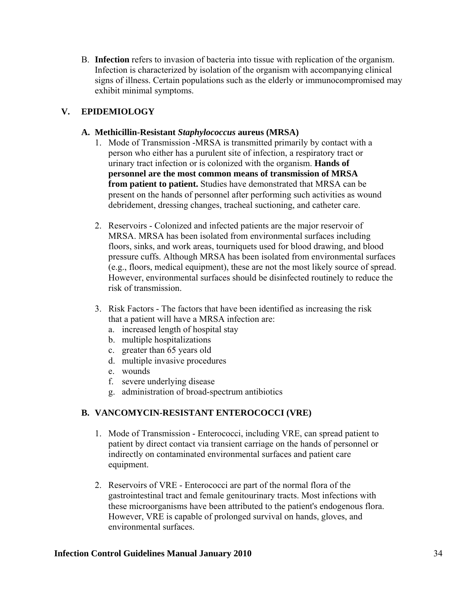B. **Infection** refers to invasion of bacteria into tissue with replication of the organism. Infection is characterized by isolation of the organism with accompanying clinical signs of illness. Certain populations such as the elderly or immunocompromised may exhibit minimal symptoms.

#### **V. EPIDEMIOLOGY**

#### **A. Methicillin-Resistant** *Staphylococcus* **aureus (MRSA)**

- 1. Mode of Transmission -MRSA is transmitted primarily by contact with a person who either has a purulent site of infection, a respiratory tract or urinary tract infection or is colonized with the organism. **Hands of personnel are the most common means of transmission of MRSA from patient to patient.** Studies have demonstrated that MRSA can be present on the hands of personnel after performing such activities as wound debridement, dressing changes, tracheal suctioning, and catheter care.
- 2. Reservoirs Colonized and infected patients are the major reservoir of MRSA. MRSA has been isolated from environmental surfaces including floors, sinks, and work areas, tourniquets used for blood drawing, and blood pressure cuffs. Although MRSA has been isolated from environmental surfaces (e.g., floors, medical equipment), these are not the most likely source of spread. However, environmental surfaces should be disinfected routinely to reduce the risk of transmission.
- 3. Risk Factors The factors that have been identified as increasing the risk that a patient will have a MRSA infection are:
	- a. increased length of hospital stay
	- b. multiple hospitalizations
	- c. greater than 65 years old
	- d. multiple invasive procedures
	- e. wounds
	- f. severe underlying disease
	- g. administration of broad-spectrum antibiotics

#### **B. VANCOMYCIN-RESISTANT ENTEROCOCCI (VRE)**

- 1. Mode of Transmission Enterococci, including VRE, can spread patient to patient by direct contact via transient carriage on the hands of personnel or indirectly on contaminated environmental surfaces and patient care equipment.
- 2. Reservoirs of VRE Enterococci are part of the normal flora of the gastrointestinal tract and female genitourinary tracts. Most infections with these microorganisms have been attributed to the patient's endogenous flora. However, VRE is capable of prolonged survival on hands, gloves, and environmental surfaces.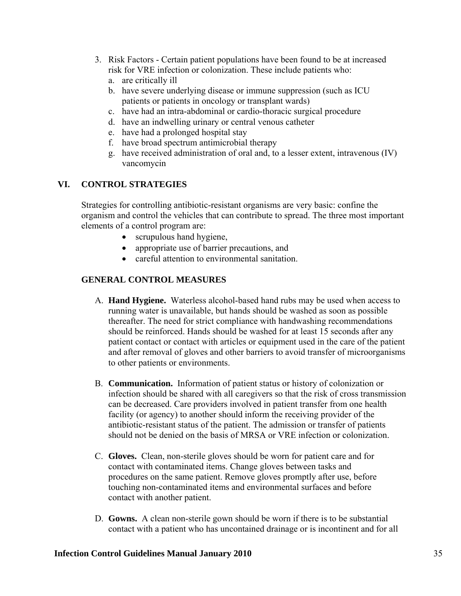- 3. Risk Factors Certain patient populations have been found to be at increased risk for VRE infection or colonization. These include patients who:
	- a. are critically ill
	- b. have severe underlying disease or immune suppression (such as ICU patients or patients in oncology or transplant wards)
	- c. have had an intra-abdominal or cardio-thoracic surgical procedure
	- d. have an indwelling urinary or central venous catheter
	- e. have had a prolonged hospital stay
	- f. have broad spectrum antimicrobial therapy
	- g. have received administration of oral and, to a lesser extent, intravenous (IV) vancomycin

#### **VI. CONTROL STRATEGIES**

 Strategies for controlling antibiotic-resistant organisms are very basic: confine the organism and control the vehicles that can contribute to spread. The three most important elements of a control program are:

- scrupulous hand hygiene,
- appropriate use of barrier precautions, and
- careful attention to environmental sanitation.

#### **GENERAL CONTROL MEASURES**

- A. **Hand Hygiene.** Waterless alcohol-based hand rubs may be used when access to running water is unavailable, but hands should be washed as soon as possible thereafter. The need for strict compliance with handwashing recommendations should be reinforced. Hands should be washed for at least 15 seconds after any patient contact or contact with articles or equipment used in the care of the patient and after removal of gloves and other barriers to avoid transfer of microorganisms to other patients or environments.
- B. **Communication.** Information of patient status or history of colonization or infection should be shared with all caregivers so that the risk of cross transmission can be decreased. Care providers involved in patient transfer from one health facility (or agency) to another should inform the receiving provider of the antibiotic-resistant status of the patient. The admission or transfer of patients should not be denied on the basis of MRSA or VRE infection or colonization.
- C. **Gloves.** Clean, non-sterile gloves should be worn for patient care and for contact with contaminated items. Change gloves between tasks and procedures on the same patient. Remove gloves promptly after use, before touching non-contaminated items and environmental surfaces and before contact with another patient.
- D. **Gowns.** A clean non-sterile gown should be worn if there is to be substantial contact with a patient who has uncontained drainage or is incontinent and for all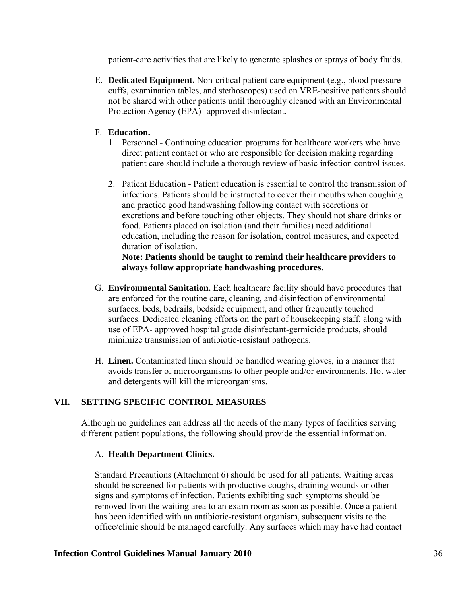patient-care activities that are likely to generate splashes or sprays of body fluids.

 E. **Dedicated Equipment.** Non-critical patient care equipment (e.g., blood pressure cuffs, examination tables, and stethoscopes) used on VRE-positive patients should not be shared with other patients until thoroughly cleaned with an Environmental Protection Agency (EPA)- approved disinfectant.

#### F. **Education.**

- 1. Personnel Continuing education programs for healthcare workers who have direct patient contact or who are responsible for decision making regarding patient care should include a thorough review of basic infection control issues.
- 2. Patient Education Patient education is essential to control the transmission of infections. Patients should be instructed to cover their mouths when coughing and practice good handwashing following contact with secretions or excretions and before touching other objects. They should not share drinks or food. Patients placed on isolation (and their families) need additional education, including the reason for isolation, control measures, and expected duration of isolation.

#### **Note: Patients should be taught to remind their healthcare providers to always follow appropriate handwashing procedures.**

- G. **Environmental Sanitation.** Each healthcare facility should have procedures that are enforced for the routine care, cleaning, and disinfection of environmental surfaces, beds, bedrails, bedside equipment, and other frequently touched surfaces. Dedicated cleaning efforts on the part of housekeeping staff, along with use of EPA- approved hospital grade disinfectant-germicide products, should minimize transmission of antibiotic-resistant pathogens.
- H. **Linen.** Contaminated linen should be handled wearing gloves, in a manner that avoids transfer of microorganisms to other people and/or environments. Hot water and detergents will kill the microorganisms.

#### **VII. SETTING SPECIFIC CONTROL MEASURES**

 Although no guidelines can address all the needs of the many types of facilities serving different patient populations, the following should provide the essential information.

#### A. **Health Department Clinics.**

Standard Precautions (Attachment 6) should be used for all patients. Waiting areas should be screened for patients with productive coughs, draining wounds or other signs and symptoms of infection. Patients exhibiting such symptoms should be removed from the waiting area to an exam room as soon as possible. Once a patient has been identified with an antibiotic-resistant organism, subsequent visits to the office/clinic should be managed carefully. Any surfaces which may have had contact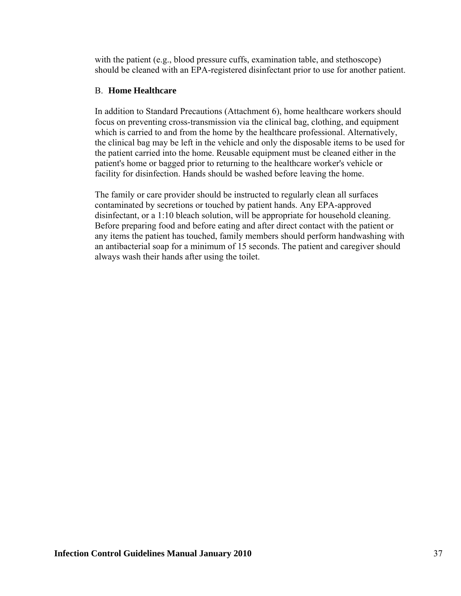with the patient (e.g., blood pressure cuffs, examination table, and stethoscope) should be cleaned with an EPA-registered disinfectant prior to use for another patient.

#### B. **Home Healthcare**

In addition to Standard Precautions (Attachment 6), home healthcare workers should focus on preventing cross-transmission via the clinical bag, clothing, and equipment which is carried to and from the home by the healthcare professional. Alternatively, the clinical bag may be left in the vehicle and only the disposable items to be used for the patient carried into the home. Reusable equipment must be cleaned either in the patient's home or bagged prior to returning to the healthcare worker's vehicle or facility for disinfection. Hands should be washed before leaving the home.

 The family or care provider should be instructed to regularly clean all surfaces contaminated by secretions or touched by patient hands. Any EPA-approved disinfectant, or a 1:10 bleach solution, will be appropriate for household cleaning. Before preparing food and before eating and after direct contact with the patient or any items the patient has touched, family members should perform handwashing with an antibacterial soap for a minimum of 15 seconds. The patient and caregiver should always wash their hands after using the toilet.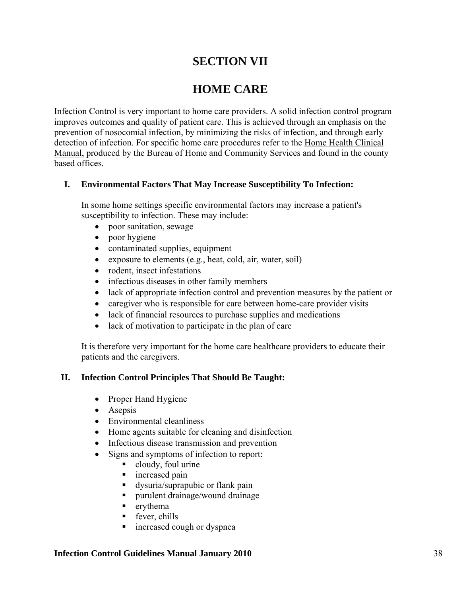## **SECTION VII**

### **HOME CARE**

Infection Control is very important to home care providers. A solid infection control program improves outcomes and quality of patient care. This is achieved through an emphasis on the prevention of nosocomial infection, by minimizing the risks of infection, and through early detection of infection. For specific home care procedures refer to the Home Health Clinical Manual, produced by the Bureau of Home and Community Services and found in the county based offices.

#### **I. Environmental Factors That May Increase Susceptibility To Infection:**

 In some home settings specific environmental factors may increase a patient's susceptibility to infection. These may include:

- poor sanitation, sewage
- poor hygiene
- contaminated supplies, equipment
- exposure to elements (e.g., heat, cold, air, water, soil)
- rodent, insect infestations
- infectious diseases in other family members
- lack of appropriate infection control and prevention measures by the patient or
- caregiver who is responsible for care between home-care provider visits
- lack of financial resources to purchase supplies and medications
- lack of motivation to participate in the plan of care

 It is therefore very important for the home care healthcare providers to educate their patients and the caregivers.

#### **II. Infection Control Principles That Should Be Taught:**

- Proper Hand Hygiene
- Asepsis
- Environmental cleanliness
- Home agents suitable for cleaning and disinfection
- Infectious disease transmission and prevention
- Signs and symptoms of infection to report:
	- cloudy, foul urine
	- **n** increased pain
	- dysuria/suprapubic or flank pain
	- purulent drainage/wound drainage
	- $\blacksquare$  erythema
	- **f**ever, chills
	- increased cough or dyspnea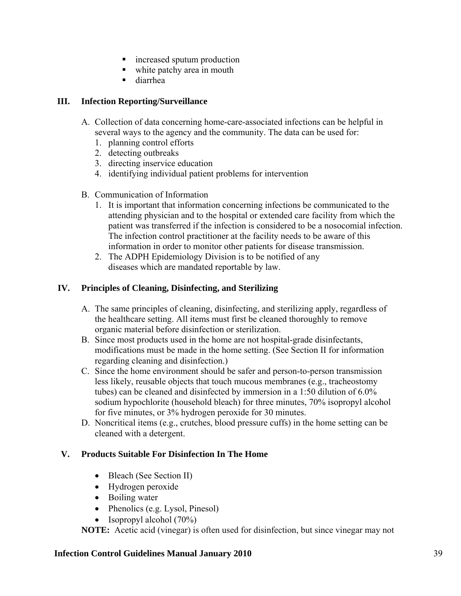- increased sputum production
- white patchy area in mouth
- diarrhea

#### **III. Infection Reporting/Surveillance**

- A. Collection of data concerning home-care-associated infections can be helpful in several ways to the agency and the community. The data can be used for:
	- 1. planning control efforts
	- 2. detecting outbreaks
	- 3. directing inservice education
	- 4. identifying individual patient problems for intervention
- B. Communication of Information
	- 1. It is important that information concerning infections be communicated to the attending physician and to the hospital or extended care facility from which the patient was transferred if the infection is considered to be a nosocomial infection. The infection control practitioner at the facility needs to be aware of this information in order to monitor other patients for disease transmission.
	- 2. The ADPH Epidemiology Division is to be notified of any diseases which are mandated reportable by law.

#### **IV. Principles of Cleaning, Disinfecting, and Sterilizing**

- A. The same principles of cleaning, disinfecting, and sterilizing apply, regardless of the healthcare setting. All items must first be cleaned thoroughly to remove organic material before disinfection or sterilization.
- B. Since most products used in the home are not hospital-grade disinfectants, modifications must be made in the home setting. (See Section II for information regarding cleaning and disinfection.)
- C. Since the home environment should be safer and person-to-person transmission less likely, reusable objects that touch mucous membranes (e.g., tracheostomy tubes) can be cleaned and disinfected by immersion in a 1:50 dilution of 6.0% sodium hypochlorite (household bleach) for three minutes, 70% isopropyl alcohol for five minutes, or 3% hydrogen peroxide for 30 minutes.
- D. Noncritical items (e.g., crutches, blood pressure cuffs) in the home setting can be cleaned with a detergent.

#### **V. Products Suitable For Disinfection In The Home**

- Bleach (See Section II)
- Hydrogen peroxide
- Boiling water
- Phenolics (e.g. Lysol, Pinesol)
- Isopropyl alcohol  $(70\%)$

 **NOTE:** Acetic acid (vinegar) is often used for disinfection, but since vinegar may not

#### **Infection Control Guidelines Manual January 2010** 39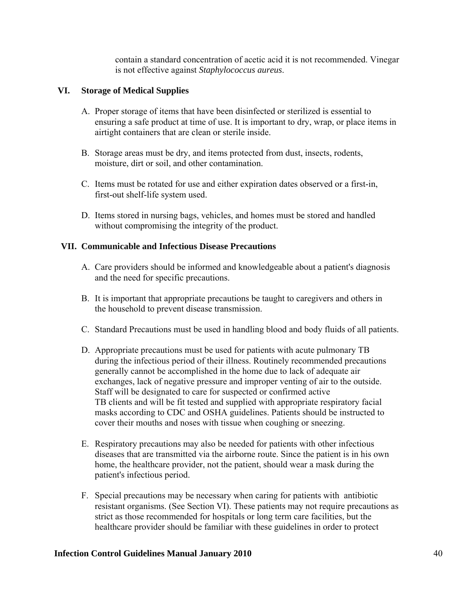contain a standard concentration of acetic acid it is not recommended. Vinegar is not effective against *Staphylococcus aureus*.

#### **VI. Storage of Medical Supplies**

- A. Proper storage of items that have been disinfected or sterilized is essential to ensuring a safe product at time of use. It is important to dry, wrap, or place items in airtight containers that are clean or sterile inside.
- B. Storage areas must be dry, and items protected from dust, insects, rodents, moisture, dirt or soil, and other contamination.
- C. Items must be rotated for use and either expiration dates observed or a first-in, first-out shelf-life system used.
- D. Items stored in nursing bags, vehicles, and homes must be stored and handled without compromising the integrity of the product.

#### **VII. Communicable and Infectious Disease Precautions**

- A. Care providers should be informed and knowledgeable about a patient's diagnosis and the need for specific precautions.
- B. It is important that appropriate precautions be taught to caregivers and others in the household to prevent disease transmission.
- C. Standard Precautions must be used in handling blood and body fluids of all patients.
- D. Appropriate precautions must be used for patients with acute pulmonary TB during the infectious period of their illness. Routinely recommended precautions generally cannot be accomplished in the home due to lack of adequate air exchanges, lack of negative pressure and improper venting of air to the outside. Staff will be designated to care for suspected or confirmed active TB clients and will be fit tested and supplied with appropriate respiratory facial masks according to CDC and OSHA guidelines. Patients should be instructed to cover their mouths and noses with tissue when coughing or sneezing.
- E. Respiratory precautions may also be needed for patients with other infectious diseases that are transmitted via the airborne route. Since the patient is in his own home, the healthcare provider, not the patient, should wear a mask during the patient's infectious period.
- F. Special precautions may be necessary when caring for patients with antibiotic resistant organisms. (See Section VI). These patients may not require precautions as strict as those recommended for hospitals or long term care facilities, but the healthcare provider should be familiar with these guidelines in order to protect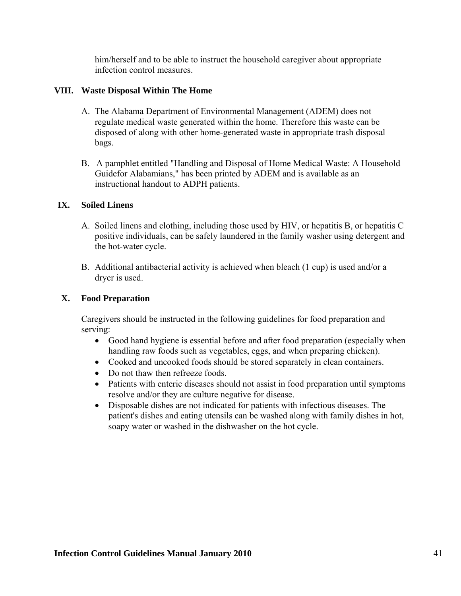him/herself and to be able to instruct the household caregiver about appropriate infection control measures.

#### **VIII. Waste Disposal Within The Home**

- A. The Alabama Department of Environmental Management (ADEM) does not regulate medical waste generated within the home. Therefore this waste can be disposed of along with other home-generated waste in appropriate trash disposal bags.
- B. A pamphlet entitled "Handling and Disposal of Home Medical Waste: A Household Guidefor Alabamians," has been printed by ADEM and is available as an instructional handout to ADPH patients.

#### **IX. Soiled Linens**

- A. Soiled linens and clothing, including those used by HIV, or hepatitis B, or hepatitis C positive individuals, can be safely laundered in the family washer using detergent and the hot-water cycle.
- B. Additional antibacterial activity is achieved when bleach (1 cup) is used and/or a dryer is used.

#### **X. Food Preparation**

 Caregivers should be instructed in the following guidelines for food preparation and serving:

- Good hand hygiene is essential before and after food preparation (especially when handling raw foods such as vegetables, eggs, and when preparing chicken).
- Cooked and uncooked foods should be stored separately in clean containers.
- Do not thaw then refreeze foods.
- Patients with enteric diseases should not assist in food preparation until symptoms resolve and/or they are culture negative for disease.
- Disposable dishes are not indicated for patients with infectious diseases. The patient's dishes and eating utensils can be washed along with family dishes in hot, soapy water or washed in the dishwasher on the hot cycle.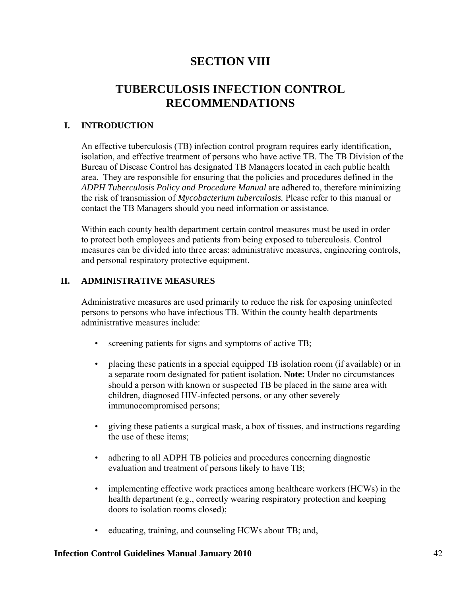### **SECTION VIII**

## **TUBERCULOSIS INFECTION CONTROL RECOMMENDATIONS**

#### **I. INTRODUCTION**

 An effective tuberculosis (TB) infection control program requires early identification, isolation, and effective treatment of persons who have active TB. The TB Division of the Bureau of Disease Control has designated TB Managers located in each public health area. They are responsible for ensuring that the policies and procedures defined in the *ADPH Tuberculosis Policy and Procedure Manual* are adhered to, therefore minimizing the risk of transmission of *Mycobacterium tuberculosis.* Please refer to this manual or contact the TB Managers should you need information or assistance.

Within each county health department certain control measures must be used in order to protect both employees and patients from being exposed to tuberculosis. Control measures can be divided into three areas: administrative measures, engineering controls, and personal respiratory protective equipment.

#### **II. ADMINISTRATIVE MEASURES**

 Administrative measures are used primarily to reduce the risk for exposing uninfected persons to persons who have infectious TB. Within the county health departments administrative measures include:

- screening patients for signs and symptoms of active TB;
- placing these patients in a special equipped TB isolation room (if available) or in a separate room designated for patient isolation. **Note:** Under no circumstances should a person with known or suspected TB be placed in the same area with children, diagnosed HIV-infected persons, or any other severely immunocompromised persons;
- giving these patients a surgical mask, a box of tissues, and instructions regarding the use of these items;
- adhering to all ADPH TB policies and procedures concerning diagnostic evaluation and treatment of persons likely to have TB;
- implementing effective work practices among healthcare workers (HCWs) in the health department (e.g., correctly wearing respiratory protection and keeping doors to isolation rooms closed);
- educating, training, and counseling HCWs about TB; and,

#### **Infection Control Guidelines Manual January 2010** 42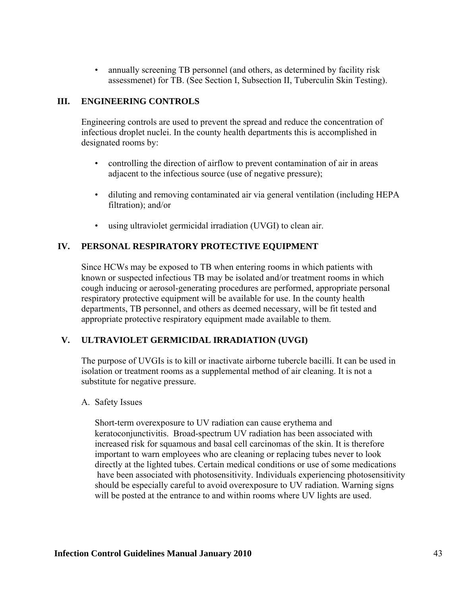• annually screening TB personnel (and others, as determined by facility risk assessmenet) for TB. (See Section I, Subsection II, Tuberculin Skin Testing).

#### **III. ENGINEERING CONTROLS**

 Engineering controls are used to prevent the spread and reduce the concentration of infectious droplet nuclei. In the county health departments this is accomplished in designated rooms by:

- controlling the direction of airflow to prevent contamination of air in areas adjacent to the infectious source (use of negative pressure);
- diluting and removing contaminated air via general ventilation (including HEPA filtration); and/or
- using ultraviolet germicidal irradiation (UVGI) to clean air.

#### **IV. PERSONAL RESPIRATORY PROTECTIVE EQUIPMENT**

 Since HCWs may be exposed to TB when entering rooms in which patients with known or suspected infectious TB may be isolated and/or treatment rooms in which cough inducing or aerosol-generating procedures are performed, appropriate personal respiratory protective equipment will be available for use. In the county health departments, TB personnel, and others as deemed necessary, will be fit tested and appropriate protective respiratory equipment made available to them.

#### **V. ULTRAVIOLET GERMICIDAL IRRADIATION (UVGI)**

 The purpose of UVGIs is to kill or inactivate airborne tubercle bacilli. It can be used in isolation or treatment rooms as a supplemental method of air cleaning. It is not a substitute for negative pressure.

#### A. Safety Issues

 Short-term overexposure to UV radiation can cause erythema and keratoconjunctivitis. Broad-spectrum UV radiation has been associated with increased risk for squamous and basal cell carcinomas of the skin. It is therefore important to warn employees who are cleaning or replacing tubes never to look directly at the lighted tubes. Certain medical conditions or use of some medications have been associated with photosensitivity. Individuals experiencing photosensitivity should be especially careful to avoid overexposure to UV radiation. Warning signs will be posted at the entrance to and within rooms where UV lights are used.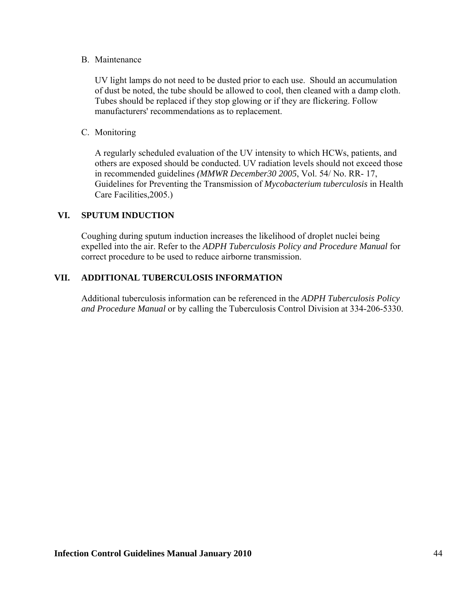#### B. Maintenance

UV light lamps do not need to be dusted prior to each use. Should an accumulation of dust be noted, the tube should be allowed to cool, then cleaned with a damp cloth. Tubes should be replaced if they stop glowing or if they are flickering. Follow manufacturers' recommendations as to replacement.

#### C. Monitoring

 A regularly scheduled evaluation of the UV intensity to which HCWs, patients, and others are exposed should be conducted. UV radiation levels should not exceed those in recommended guidelines *(MMWR December30 2005*, Vol. 54/ No. RR- 17, Guidelines for Preventing the Transmission of *Mycobacterium tuberculosis* in Health Care Facilities,2005.)

#### **VI. SPUTUM INDUCTION**

 Coughing during sputum induction increases the likelihood of droplet nuclei being expelled into the air. Refer to the *ADPH Tuberculosis Policy and Procedure Manual* for correct procedure to be used to reduce airborne transmission.

#### **VII. ADDITIONAL TUBERCULOSIS INFORMATION**

 Additional tuberculosis information can be referenced in the *ADPH Tuberculosis Policy and Procedure Manual* or by calling the Tuberculosis Control Division at 334-206-5330.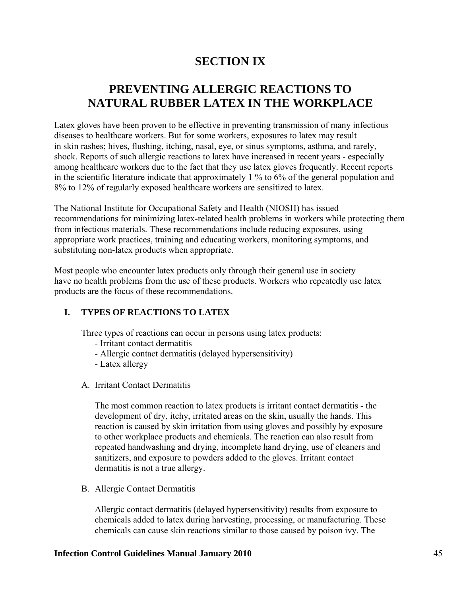## **SECTION IX**

## **PREVENTING ALLERGIC REACTIONS TO NATURAL RUBBER LATEX IN THE WORKPLACE**

Latex gloves have been proven to be effective in preventing transmission of many infectious diseases to healthcare workers. But for some workers, exposures to latex may result in skin rashes; hives, flushing, itching, nasal, eye, or sinus symptoms, asthma, and rarely, shock. Reports of such allergic reactions to latex have increased in recent years - especially among healthcare workers due to the fact that they use latex gloves frequently. Recent reports in the scientific literature indicate that approximately 1 % to 6% of the general population and 8% to 12% of regularly exposed healthcare workers are sensitized to latex.

The National Institute for Occupational Safety and Health (NIOSH) has issued recommendations for minimizing latex-related health problems in workers while protecting them from infectious materials. These recommendations include reducing exposures, using appropriate work practices, training and educating workers, monitoring symptoms, and substituting non-latex products when appropriate.

Most people who encounter latex products only through their general use in society have no health problems from the use of these products. Workers who repeatedly use latex products are the focus of these recommendations.

#### **I. TYPES OF REACTIONS TO LATEX**

Three types of reactions can occur in persons using latex products:

- Irritant contact dermatitis
- Allergic contact dermatitis (delayed hypersensitivity)
- Latex allergy
- A. Irritant Contact Dermatitis

 The most common reaction to latex products is irritant contact dermatitis - the development of dry, itchy, irritated areas on the skin, usually the hands. This reaction is caused by skin irritation from using gloves and possibly by exposure to other workplace products and chemicals. The reaction can also result from repeated handwashing and drying, incomplete hand drying, use of cleaners and sanitizers, and exposure to powders added to the gloves. Irritant contact dermatitis is not a true allergy.

B. Allergic Contact Dermatitis

 Allergic contact dermatitis (delayed hypersensitivity) results from exposure to chemicals added to latex during harvesting, processing, or manufacturing. These chemicals can cause skin reactions similar to those caused by poison ivy. The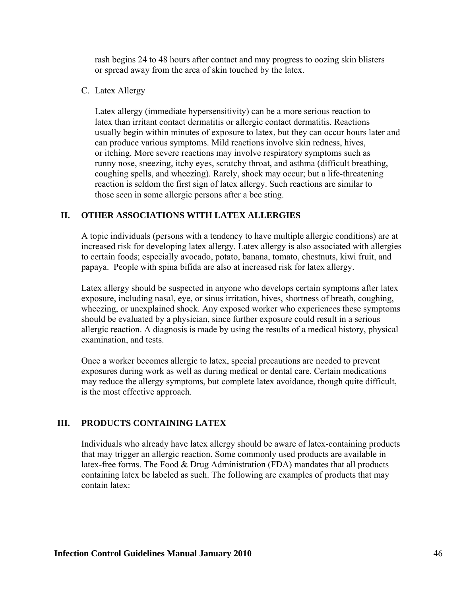rash begins 24 to 48 hours after contact and may progress to oozing skin blisters or spread away from the area of skin touched by the latex.

C. Latex Allergy

 Latex allergy (immediate hypersensitivity) can be a more serious reaction to latex than irritant contact dermatitis or allergic contact dermatitis. Reactions usually begin within minutes of exposure to latex, but they can occur hours later and can produce various symptoms. Mild reactions involve skin redness, hives, or itching. More severe reactions may involve respiratory symptoms such as runny nose, sneezing, itchy eyes, scratchy throat, and asthma (difficult breathing, coughing spells, and wheezing). Rarely, shock may occur; but a life-threatening reaction is seldom the first sign of latex allergy. Such reactions are similar to those seen in some allergic persons after a bee sting.

#### **II. OTHER ASSOCIATIONS WITH LATEX ALLERGIES**

A topic individuals (persons with a tendency to have multiple allergic conditions) are at increased risk for developing latex allergy. Latex allergy is also associated with allergies to certain foods; especially avocado, potato, banana, tomato, chestnuts, kiwi fruit, and papaya. People with spina bifida are also at increased risk for latex allergy.

Latex allergy should be suspected in anyone who develops certain symptoms after latex exposure, including nasal, eye, or sinus irritation, hives, shortness of breath, coughing, wheezing, or unexplained shock. Any exposed worker who experiences these symptoms should be evaluated by a physician, since further exposure could result in a serious allergic reaction. A diagnosis is made by using the results of a medical history, physical examination, and tests.

Once a worker becomes allergic to latex, special precautions are needed to prevent exposures during work as well as during medical or dental care. Certain medications may reduce the allergy symptoms, but complete latex avoidance, though quite difficult, is the most effective approach.

#### **III. PRODUCTS CONTAINING LATEX**

 Individuals who already have latex allergy should be aware of latex-containing products that may trigger an allergic reaction. Some commonly used products are available in latex-free forms. The Food & Drug Administration (FDA) mandates that all products containing latex be labeled as such. The following are examples of products that may contain latex: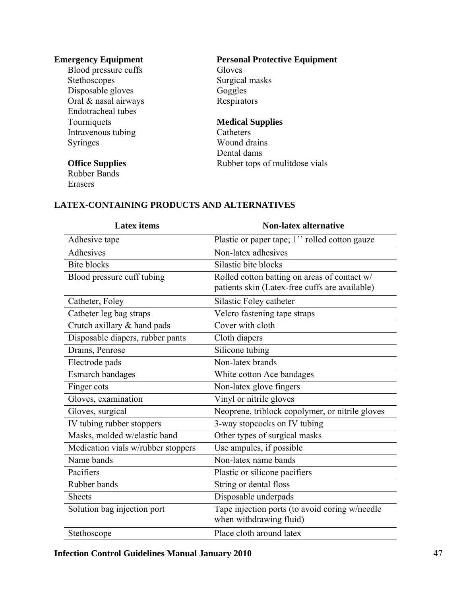Blood pressure cuffs Gloves Stethoscopes Surgical masks Disposable gloves Goggles<br>
Oral & nasal airways Respirators Oral  $&$  nasal airways Endotracheal tubes Tourniquets **Medical Supplies**  Intravenous tubing Catheters Syringes Wound drains

 Rubber Bands Erasers

#### **Emergency Equipment 1989 Personal Protective Equipment**

 Dental dams **Office Supplies** Rubber tops of mulitdose vials

#### **LATEX-CONTAINING PRODUCTS AND ALTERNATIVES**

| <b>Latex</b> items                 | <b>Non-latex alternative</b>                                                                   |
|------------------------------------|------------------------------------------------------------------------------------------------|
| Adhesive tape                      | Plastic or paper tape; 1" rolled cotton gauze                                                  |
| Adhesives                          | Non-latex adhesives                                                                            |
| <b>Bite blocks</b>                 | Silastic bite blocks                                                                           |
| Blood pressure cuff tubing         | Rolled cotton batting on areas of contact w/<br>patients skin (Latex-free cuffs are available) |
| Catheter, Foley                    | Silastic Foley catheter                                                                        |
| Catheter leg bag straps            | Velcro fastening tape straps                                                                   |
| Crutch axillary & hand pads        | Cover with cloth                                                                               |
| Disposable diapers, rubber pants   | Cloth diapers                                                                                  |
| Drains, Penrose                    | Silicone tubing                                                                                |
| Electrode pads                     | Non-latex brands                                                                               |
| Esmarch bandages                   | White cotton Ace bandages                                                                      |
| Finger cots                        | Non-latex glove fingers                                                                        |
| Gloves, examination                | Vinyl or nitrile gloves                                                                        |
| Gloves, surgical                   | Neoprene, triblock copolymer, or nitrile gloves                                                |
| IV tubing rubber stoppers          | 3-way stopcocks on IV tubing                                                                   |
| Masks, molded w/elastic band       | Other types of surgical masks                                                                  |
| Medication vials w/rubber stoppers | Use ampules, if possible                                                                       |
| Name bands                         | Non-latex name bands                                                                           |
| Pacifiers                          | Plastic or silicone pacifiers                                                                  |
| Rubber bands                       | String or dental floss                                                                         |
| <b>Sheets</b>                      | Disposable underpads                                                                           |
| Solution bag injection port        | Tape injection ports (to avoid coring w/needle<br>when withdrawing fluid)                      |
| Stethoscope                        | Place cloth around latex                                                                       |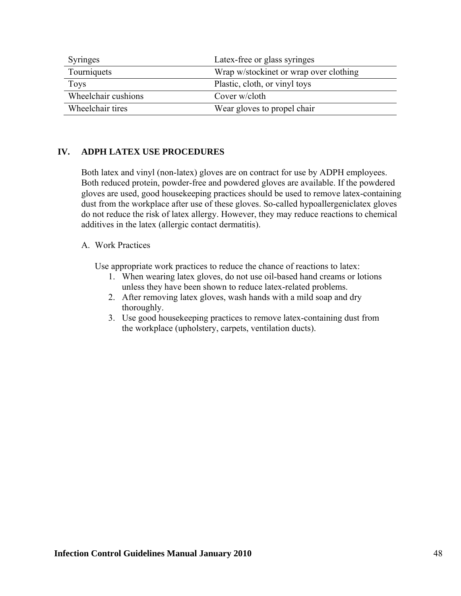| <b>Syringes</b>     | Latex-free or glass syringes           |
|---------------------|----------------------------------------|
| Tourniquets         | Wrap w/stockinet or wrap over clothing |
| <b>Toys</b>         | Plastic, cloth, or vinyl toys          |
| Wheelchair cushions | Cover w/cloth                          |
| Wheelchair tires    | Wear gloves to propel chair            |

#### **IV. ADPH LATEX USE PROCEDURES**

Both latex and vinyl (non-latex) gloves are on contract for use by ADPH employees. Both reduced protein, powder-free and powdered gloves are available. If the powdered gloves are used, good housekeeping practices should be used to remove latex-containing dust from the workplace after use of these gloves. So-called hypoallergeniclatex gloves do not reduce the risk of latex allergy. However, they may reduce reactions to chemical additives in the latex (allergic contact dermatitis).

#### A. Work Practices

Use appropriate work practices to reduce the chance of reactions to latex:

- 1. When wearing latex gloves, do not use oil-based hand creams or lotions unless they have been shown to reduce latex-related problems.
- 2. After removing latex gloves, wash hands with a mild soap and dry thoroughly.
- 3. Use good housekeeping practices to remove latex-containing dust from the workplace (upholstery, carpets, ventilation ducts).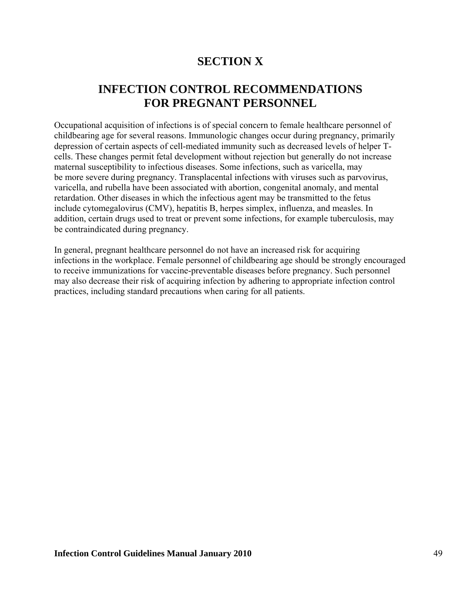## **SECTION X**

### **INFECTION CONTROL RECOMMENDATIONS FOR PREGNANT PERSONNEL**

Occupational acquisition of infections is of special concern to female healthcare personnel of childbearing age for several reasons. Immunologic changes occur during pregnancy, primarily depression of certain aspects of cell-mediated immunity such as decreased levels of helper Tcells. These changes permit fetal development without rejection but generally do not increase maternal susceptibility to infectious diseases. Some infections, such as varicella, may be more severe during pregnancy. Transplacental infections with viruses such as parvovirus, varicella, and rubella have been associated with abortion, congenital anomaly, and mental retardation. Other diseases in which the infectious agent may be transmitted to the fetus include cytomegalovirus (CMV), hepatitis B, herpes simplex, influenza, and measles. In addition, certain drugs used to treat or prevent some infections, for example tuberculosis, may be contraindicated during pregnancy.

In general, pregnant healthcare personnel do not have an increased risk for acquiring infections in the workplace. Female personnel of childbearing age should be strongly encouraged to receive immunizations for vaccine-preventable diseases before pregnancy. Such personnel may also decrease their risk of acquiring infection by adhering to appropriate infection control practices, including standard precautions when caring for all patients.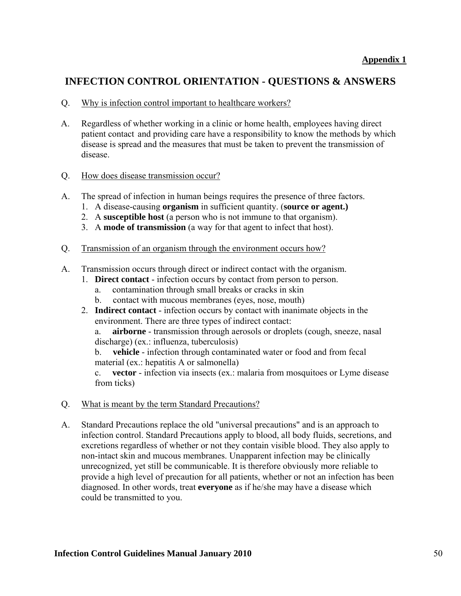### **INFECTION CONTROL ORIENTATION - QUESTIONS & ANSWERS**

#### Q. Why is infection control important to healthcare workers?

- A. Regardless of whether working in a clinic or home health, employees having direct patient contact and providing care have a responsibility to know the methods by which disease is spread and the measures that must be taken to prevent the transmission of disease.
- Q. How does disease transmission occur?
- A. The spread of infection in human beings requires the presence of three factors.
	- 1. A disease-causing **organism** in sufficient quantity. (**source or agent.)**
	- 2. A **susceptible host** (a person who is not immune to that organism).
	- 3. A **mode of transmission** (a way for that agent to infect that host).
- Q. Transmission of an organism through the environment occurs how?
- A. Transmission occurs through direct or indirect contact with the organism.
	- 1. **Direct contact**  infection occurs by contact from person to person.
		- a. contamination through small breaks or cracks in skin
		- b. contact with mucous membranes (eyes, nose, mouth)
	- 2. **Indirect contact**  infection occurs by contact with inanimate objects in the environment. There are three types of indirect contact:

 a. **airborne** - transmission through aerosols or droplets (cough, sneeze, nasal discharge) (ex.: influenza, tuberculosis)

 b. **vehicle** - infection through contaminated water or food and from fecal material (ex.: hepatitis A or salmonella)

 c. **vector** - infection via insects (ex.: malaria from mosquitoes or Lyme disease from ticks)

- Q. What is meant by the term Standard Precautions?
- A. Standard Precautions replace the old "universal precautions" and is an approach to infection control. Standard Precautions apply to blood, all body fluids, secretions, and excretions regardless of whether or not they contain visible blood. They also apply to non-intact skin and mucous membranes. Unapparent infection may be clinically unrecognized, yet still be communicable. It is therefore obviously more reliable to provide a high level of precaution for all patients, whether or not an infection has been diagnosed. In other words, treat **everyone** as if he/she may have a disease which could be transmitted to you.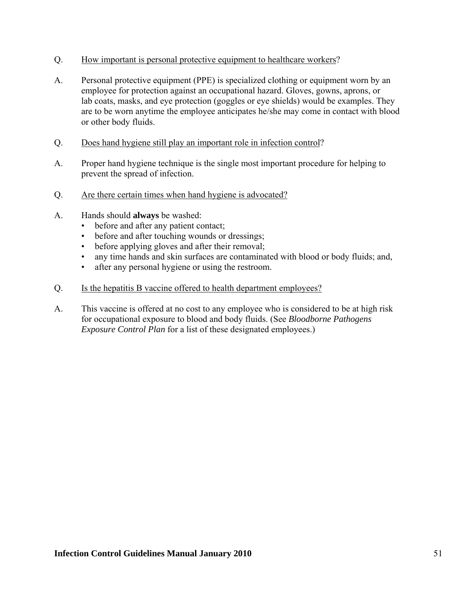- Q. How important is personal protective equipment to healthcare workers?
- A. Personal protective equipment (PPE) is specialized clothing or equipment worn by an employee for protection against an occupational hazard. Gloves, gowns, aprons, or lab coats, masks, and eye protection (goggles or eye shields) would be examples. They are to be worn anytime the employee anticipates he/she may come in contact with blood or other body fluids.
- Q. Does hand hygiene still play an important role in infection control?
- A. Proper hand hygiene technique is the single most important procedure for helping to prevent the spread of infection.
- Q. Are there certain times when hand hygiene is advocated?
- A. Hands should **always** be washed:
	- before and after any patient contact;
	- before and after touching wounds or dressings;
	- before applying gloves and after their removal;
	- any time hands and skin surfaces are contaminated with blood or body fluids; and,
	- after any personal hygiene or using the restroom.
- Q. Is the hepatitis B vaccine offered to health department employees?
- A. This vaccine is offered at no cost to any employee who is considered to be at high risk for occupational exposure to blood and body fluids. (See *Bloodborne Pathogens Exposure Control Plan* for a list of these designated employees.)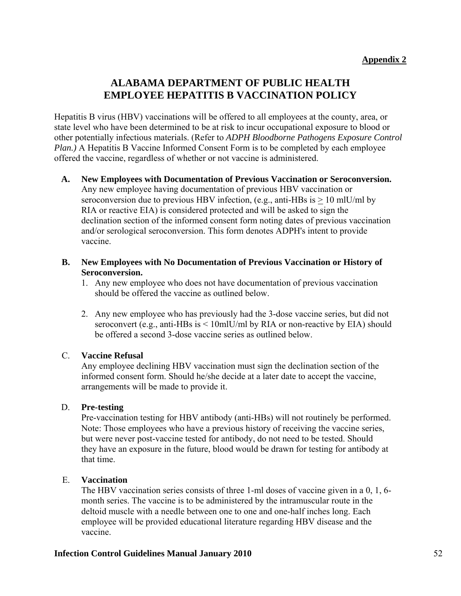### **ALABAMA DEPARTMENT OF PUBLIC HEALTH EMPLOYEE HEPATITIS B VACCINATION POLICY**

Hepatitis B virus (HBV) vaccinations will be offered to all employees at the county, area, or state level who have been determined to be at risk to incur occupational exposure to blood or other potentially infectious materials. (Refer to *ADPH Bloodborne Pathogens Exposure Control Plan.*) A Hepatitis B Vaccine Informed Consent Form is to be completed by each employee offered the vaccine, regardless of whether or not vaccine is administered.

- **A. New Employees with Documentation of Previous Vaccination or Seroconversion.**  Any new employee having documentation of previous HBV vaccination or seroconversion due to previous HBV infection, (e.g., anti-HBs is  $> 10$  mlU/ml by RIA or reactive EIA) is considered protected and will be asked to sign the declination section of the informed consent form noting dates of previous vaccination and/or serological seroconversion. This form denotes ADPH's intent to provide vaccine.
- **B. New Employees with No Documentation of Previous Vaccination or History of Seroconversion.** 
	- 1. Any new employee who does not have documentation of previous vaccination should be offered the vaccine as outlined below.
	- 2. Any new employee who has previously had the 3-dose vaccine series, but did not seroconvert (e.g., anti-HBs is < 10mlU/ml by RIA or non-reactive by EIA) should be offered a second 3-dose vaccine series as outlined below.

#### C. **Vaccine Refusal**

 Any employee declining HBV vaccination must sign the declination section of the informed consent form. Should he/she decide at a later date to accept the vaccine, arrangements will be made to provide it.

#### D. **Pre-testing**

 Pre-vaccination testing for HBV antibody (anti-HBs) will not routinely be performed. Note: Those employees who have a previous history of receiving the vaccine series, but were never post-vaccine tested for antibody, do not need to be tested. Should they have an exposure in the future, blood would be drawn for testing for antibody at that time.

#### E. **Vaccination**

 The HBV vaccination series consists of three 1-ml doses of vaccine given in a 0, 1, 6 month series. The vaccine is to be administered by the intramuscular route in the deltoid muscle with a needle between one to one and one-half inches long. Each employee will be provided educational literature regarding HBV disease and the vaccine.

#### **Infection Control Guidelines Manual January 2010** 52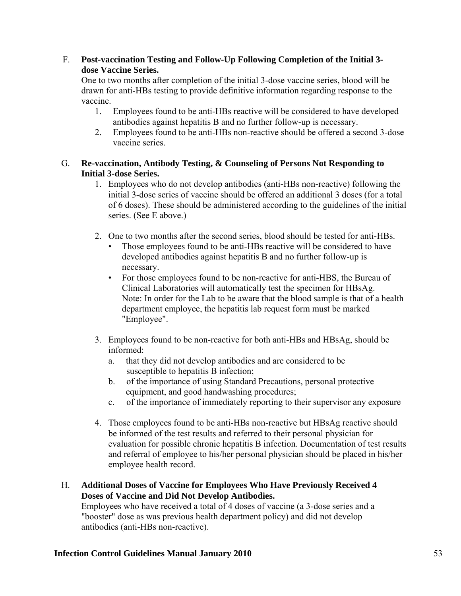#### F. **Post-vaccination Testing and Follow-Up Following Completion of the Initial 3 dose Vaccine Series.**

 One to two months after completion of the initial 3-dose vaccine series, blood will be drawn for anti-HBs testing to provide definitive information regarding response to the vaccine.

- 1. Employees found to be anti-HBs reactive will be considered to have developed antibodies against hepatitis B and no further follow-up is necessary.
- 2. Employees found to be anti-HBs non-reactive should be offered a second 3-dose vaccine series.

#### G. **Re-vaccination, Antibody Testing, & Counseling of Persons Not Responding to Initial 3-dose Series.**

- 1. Employees who do not develop antibodies (anti-HBs non-reactive) following the initial 3-dose series of vaccine should be offered an additional 3 doses (for a total of 6 doses). These should be administered according to the guidelines of the initial series. (See E above.)
- 2. One to two months after the second series, blood should be tested for anti-HBs.
	- Those employees found to be anti-HBs reactive will be considered to have developed antibodies against hepatitis B and no further follow-up is necessary.
	- For those employees found to be non-reactive for anti-HBS, the Bureau of Clinical Laboratories will automatically test the specimen for HBsAg. Note: In order for the Lab to be aware that the blood sample is that of a health department employee, the hepatitis lab request form must be marked "Employee".
- 3. Employees found to be non-reactive for both anti-HBs and HBsAg, should be informed:
	- a. that they did not develop antibodies and are considered to be susceptible to hepatitis B infection;
	- b. of the importance of using Standard Precautions, personal protective equipment, and good handwashing procedures;
	- c. of the importance of immediately reporting to their supervisor any exposure
- 4. Those employees found to be anti-HBs non-reactive but HBsAg reactive should be informed of the test results and referred to their personal physician for evaluation for possible chronic hepatitis B infection. Documentation of test results and referral of employee to his/her personal physician should be placed in his/her employee health record.

#### H. **Additional Doses of Vaccine for Employees Who Have Previously Received 4 Doses of Vaccine and Did Not Develop Antibodies.**

 Employees who have received a total of 4 doses of vaccine (a 3-dose series and a "booster" dose as was previous health department policy) and did not develop antibodies (anti-HBs non-reactive).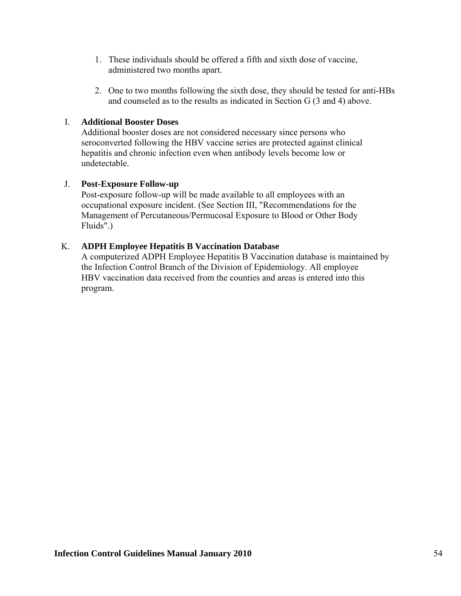- 1. These individuals should be offered a fifth and sixth dose of vaccine, administered two months apart.
- 2. One to two months following the sixth dose, they should be tested for anti-HBs and counseled as to the results as indicated in Section G (3 and 4) above.

#### I. **Additional Booster Doses**

 Additional booster doses are not considered necessary since persons who seroconverted following the HBV vaccine series are protected against clinical hepatitis and chronic infection even when antibody levels become low or undetectable.

#### J. **Post-Exposure Follow-up**

 Post-exposure follow-up will be made available to all employees with an occupational exposure incident. (See Section III, "Recommendations for the Management of Percutaneous/Permucosal Exposure to Blood or Other Body Fluids".)

#### K. **ADPH Employee Hepatitis B Vaccination Database**

 A computerized ADPH Employee Hepatitis B Vaccination database is maintained by the Infection Control Branch of the Division of Epidemiology. All employee HBV vaccination data received from the counties and areas is entered into this program.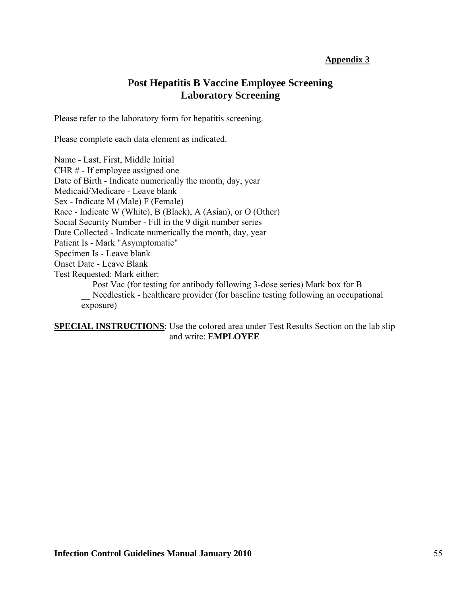#### **Appendix 3**

### **Post Hepatitis B Vaccine Employee Screening Laboratory Screening**

Please refer to the laboratory form for hepatitis screening.

Please complete each data element as indicated.

Name - Last, First, Middle Initial CHR # - If employee assigned one Date of Birth - Indicate numerically the month, day, year Medicaid/Medicare - Leave blank Sex - Indicate M (Male) F (Female) Race - Indicate W (White), B (Black), A (Asian), or O (Other) Social Security Number - Fill in the 9 digit number series Date Collected - Indicate numerically the month, day, year Patient Is - Mark "Asymptomatic" Specimen Is - Leave blank Onset Date - Leave Blank Test Requested: Mark either: \_\_ Post Vac (for testing for antibody following 3-dose series) Mark box for B \_\_ Needlestick - healthcare provider (for baseline testing following an occupational exposure)

**SPECIAL INSTRUCTIONS**: Use the colored area under Test Results Section on the lab slip and write: **EMPLOYEE**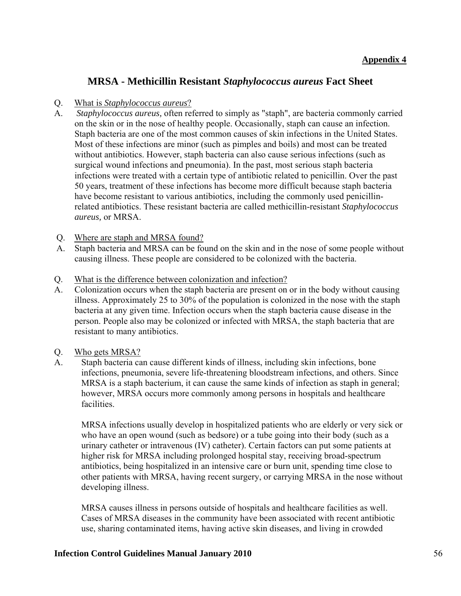### **MRSA - Methicillin Resistant** *Staphylococcus aureus* **Fact Sheet**

#### Q. What is *Staphylococcus aureus*?

- A.*Staphylococcus aureus,* often referred to simply as "staph", are bacteria commonly carried on the skin or in the nose of healthy people. Occasionally, staph can cause an infection. Staph bacteria are one of the most common causes of skin infections in the United States. Most of these infections are minor (such as pimples and boils) and most can be treated without antibiotics. However, staph bacteria can also cause serious infections (such as surgical wound infections and pneumonia). In the past, most serious staph bacteria infections were treated with a certain type of antibiotic related to penicillin. Over the past 50 years, treatment of these infections has become more difficult because staph bacteria have become resistant to various antibiotics, including the commonly used penicillinrelated antibiotics. These resistant bacteria are called methicillin-resistant *Staphylococcus aureus,* or MRSA.
- Q. Where are staph and MRSA found?
- A. Staph bacteria and MRSA can be found on the skin and in the nose of some people without causing illness. These people are considered to be colonized with the bacteria.
- Q.What is the difference between colonization and infection?
- A. Colonization occurs when the staph bacteria are present on or in the body without causing illness. Approximately 25 to 30% of the population is colonized in the nose with the staph bacteria at any given time. Infection occurs when the staph bacteria cause disease in the person. People also may be colonized or infected with MRSA, the staph bacteria that are resistant to many antibiotics.
- Q. Who gets MRSA?
- A. Staph bacteria can cause different kinds of illness, including skin infections, bone infections, pneumonia, severe life-threatening bloodstream infections, and others. Since MRSA is a staph bacterium, it can cause the same kinds of infection as staph in general; however, MRSA occurs more commonly among persons in hospitals and healthcare **facilities**

MRSA infections usually develop in hospitalized patients who are elderly or very sick or who have an open wound (such as bedsore) or a tube going into their body (such as a urinary catheter or intravenous (IV) catheter). Certain factors can put some patients at higher risk for MRSA including prolonged hospital stay, receiving broad-spectrum antibiotics, being hospitalized in an intensive care or burn unit, spending time close to other patients with MRSA, having recent surgery, or carrying MRSA in the nose without developing illness.

MRSA causes illness in persons outside of hospitals and healthcare facilities as well. Cases of MRSA diseases in the community have been associated with recent antibiotic use, sharing contaminated items, having active skin diseases, and living in crowded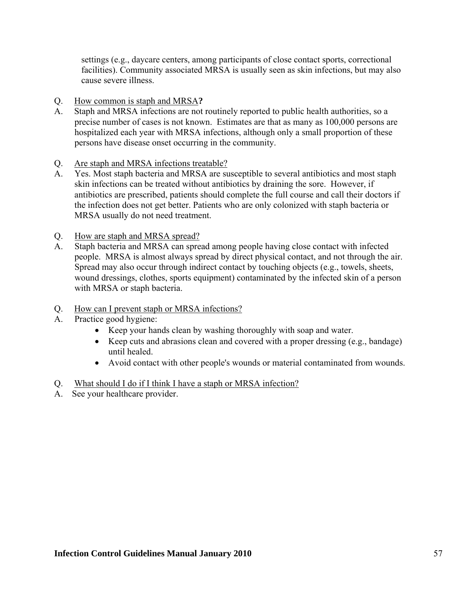settings (e.g., daycare centers, among participants of close contact sports, correctional facilities). Community associated MRSA is usually seen as skin infections, but may also cause severe illness.

- Q. How common is staph and MRSA**?**
- A. Staph and MRSA infections are not routinely reported to public health authorities, so a precise number of cases is not known. Estimates are that as many as 100,000 persons are hospitalized each year with MRSA infections, although only a small proportion of these persons have disease onset occurring in the community.
- Q. Are staph and MRSA infections treatable?
- A. Yes. Most staph bacteria and MRSA are susceptible to several antibiotics and most staph skin infections can be treated without antibiotics by draining the sore. However, if antibiotics are prescribed, patients should complete the full course and call their doctors if the infection does not get better. Patients who are only colonized with staph bacteria or MRSA usually do not need treatment.
- Q. How are staph and MRSA spread?
- A. Staph bacteria and MRSA can spread among people having close contact with infected people. MRSA is almost always spread by direct physical contact, and not through the air. Spread may also occur through indirect contact by touching objects (e.g., towels, sheets, wound dressings, clothes, sports equipment) contaminated by the infected skin of a person with MRSA or staph bacteria.
- Q. How can I prevent staph or MRSA infections?
- A. Practice good hygiene:
	- Keep your hands clean by washing thoroughly with soap and water.
	- Keep cuts and abrasions clean and covered with a proper dressing (e.g., bandage) until healed.
	- Avoid contact with other people's wounds or material contaminated from wounds.
- Q. What should I do if I think I have a staph or MRSA infection?
- A. See your healthcare provider.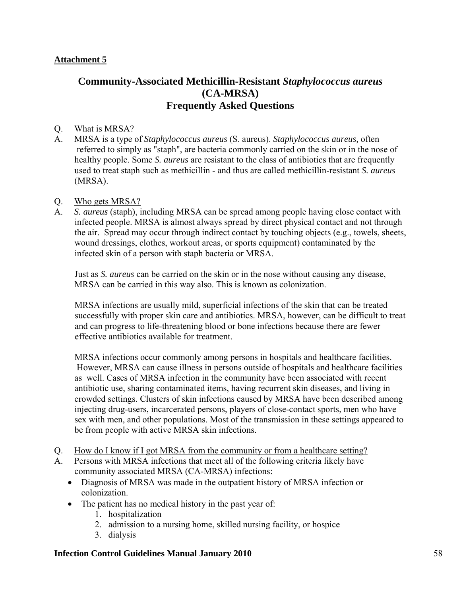#### **Attachment 5**

### **Community-Associated Methicillin-Resistant** *Staphylococcus aureus* **(CA-MRSA) Frequently Asked Questions**

#### Q. What is MRSA?

A. MRSA is a type of *Staphylococcus aureus* (S. aureus). *Staphylococcus aureus,* often referred to simply as "staph", are bacteria commonly carried on the skin or in the nose of healthy people. Some *S. aureus* are resistant to the class of antibiotics that are frequently used to treat staph such as methicillin - and thus are called methicillin-resistant *S. aureus*  (MRSA).

#### Q. Who gets MRSA?

A. *S. aureus* (staph), including MRSA can be spread among people having close contact with infected people. MRSA is almost always spread by direct physical contact and not through the air. Spread may occur through indirect contact by touching objects (e.g., towels, sheets, wound dressings, clothes, workout areas, or sports equipment) contaminated by the infected skin of a person with staph bacteria or MRSA.

 Just as *S. aureus* can be carried on the skin or in the nose without causing any disease, MRSA can be carried in this way also. This is known as colonization.

 MRSA infections are usually mild, superficial infections of the skin that can be treated successfully with proper skin care and antibiotics. MRSA, however, can be difficult to treat and can progress to life-threatening blood or bone infections because there are fewer effective antibiotics available for treatment.

 MRSA infections occur commonly among persons in hospitals and healthcare facilities. However, MRSA can cause illness in persons outside of hospitals and healthcare facilities as well. Cases of MRSA infection in the community have been associated with recent antibiotic use, sharing contaminated items, having recurrent skin diseases, and living in crowded settings. Clusters of skin infections caused by MRSA have been described among injecting drug-users, incarcerated persons, players of close-contact sports, men who have sex with men, and other populations. Most of the transmission in these settings appeared to be from people with active MRSA skin infections.

- Q. How do I know if I got MRSA from the community or from a healthcare setting?
- A. Persons with MRSA infections that meet all of the following criteria likely have community associated MRSA (CA-MRSA) infections:
	- Diagnosis of MRSA was made in the outpatient history of MRSA infection or colonization.
	- The patient has no medical history in the past year of:
		- 1. hospitalization
		- 2. admission to a nursing home, skilled nursing facility, or hospice
		- 3. dialysis

#### **Infection Control Guidelines Manual January 2010** 58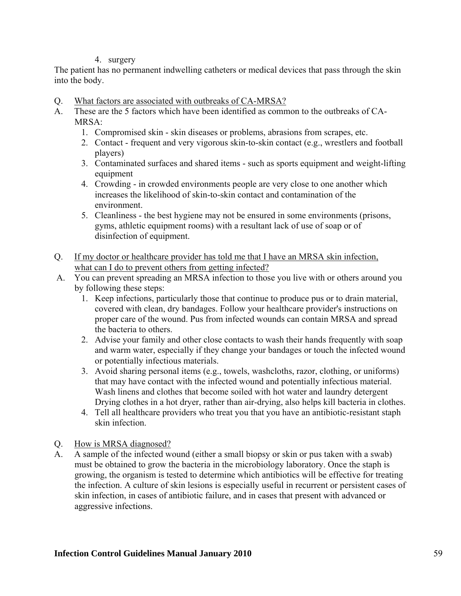#### 4. surgery

The patient has no permanent indwelling catheters or medical devices that pass through the skin into the body.

- Q. What factors are associated with outbreaks of CA-MRSA?
- A. These are the 5 factors which have been identified as common to the outbreaks of CA-MRSA:
	- 1. Compromised skin skin diseases or problems, abrasions from scrapes, etc.
	- 2. Contact frequent and very vigorous skin-to-skin contact (e.g., wrestlers and football players)
	- 3. Contaminated surfaces and shared items such as sports equipment and weight-lifting equipment
	- 4. Crowding in crowded environments people are very close to one another which increases the likelihood of skin-to-skin contact and contamination of the environment.
	- 5. Cleanliness the best hygiene may not be ensured in some environments (prisons, gyms, athletic equipment rooms) with a resultant lack of use of soap or of disinfection of equipment.
- Q. If my doctor or healthcare provider has told me that I have an MRSA skin infection, what can I do to prevent others from getting infected?
- A. You can prevent spreading an MRSA infection to those you live with or others around you by following these steps:
	- 1. Keep infections, particularly those that continue to produce pus or to drain material, covered with clean, dry bandages. Follow your healthcare provider's instructions on proper care of the wound. Pus from infected wounds can contain MRSA and spread the bacteria to others.
	- 2. Advise your family and other close contacts to wash their hands frequently with soap and warm water, especially if they change your bandages or touch the infected wound or potentially infectious materials.
	- 3. Avoid sharing personal items (e.g., towels, washcloths, razor, clothing, or uniforms) that may have contact with the infected wound and potentially infectious material. Wash linens and clothes that become soiled with hot water and laundry detergent Drying clothes in a hot dryer, rather than air-drying, also helps kill bacteria in clothes.
	- 4. Tell all healthcare providers who treat you that you have an antibiotic-resistant staph skin infection.
- Q. How is MRSA diagnosed?
- A. A sample of the infected wound (either a small biopsy or skin or pus taken with a swab) must be obtained to grow the bacteria in the microbiology laboratory. Once the staph is growing, the organism is tested to determine which antibiotics will be effective for treating the infection. A culture of skin lesions is especially useful in recurrent or persistent cases of skin infection, in cases of antibiotic failure, and in cases that present with advanced or aggressive infections.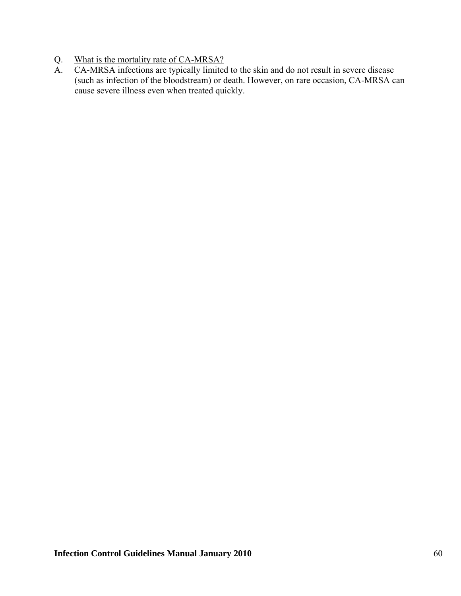- Q. What is the mortality rate of CA-MRSA?
- A. CA-MRSA infections are typically limited to the skin and do not result in severe disease (such as infection of the bloodstream) or death. However, on rare occasion, CA-MRSA can cause severe illness even when treated quickly.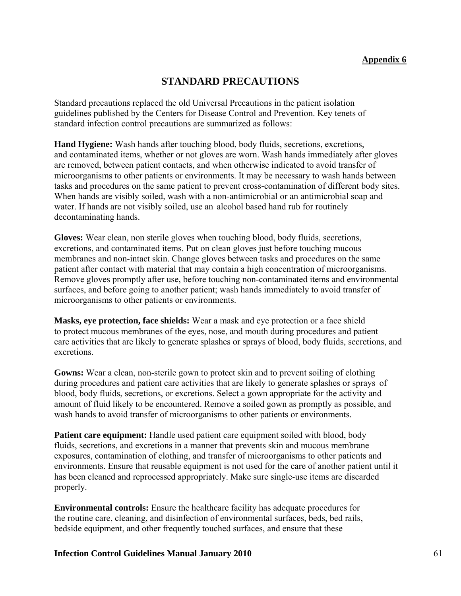### **STANDARD PRECAUTIONS**

Standard precautions replaced the old Universal Precautions in the patient isolation guidelines published by the Centers for Disease Control and Prevention. Key tenets of standard infection control precautions are summarized as follows:

**Hand Hygiene:** Wash hands after touching blood, body fluids, secretions, excretions, and contaminated items, whether or not gloves are worn. Wash hands immediately after gloves are removed, between patient contacts, and when otherwise indicated to avoid transfer of microorganisms to other patients or environments. It may be necessary to wash hands between tasks and procedures on the same patient to prevent cross-contamination of different body sites. When hands are visibly soiled, wash with a non-antimicrobial or an antimicrobial soap and water. If hands are not visibly soiled, use an alcohol based hand rub for routinely decontaminating hands.

**Gloves:** Wear clean, non sterile gloves when touching blood, body fluids, secretions, excretions, and contaminated items. Put on clean gloves just before touching mucous membranes and non-intact skin. Change gloves between tasks and procedures on the same patient after contact with material that may contain a high concentration of microorganisms. Remove gloves promptly after use, before touching non-contaminated items and environmental surfaces, and before going to another patient; wash hands immediately to avoid transfer of microorganisms to other patients or environments.

**Masks, eye protection, face shields:** Wear a mask and eye protection or a face shield to protect mucous membranes of the eyes, nose, and mouth during procedures and patient care activities that are likely to generate splashes or sprays of blood, body fluids, secretions, and excretions.

**Gowns:** Wear a clean, non-sterile gown to protect skin and to prevent soiling of clothing during procedures and patient care activities that are likely to generate splashes or sprays of blood, body fluids, secretions, or excretions. Select a gown appropriate for the activity and amount of fluid likely to be encountered. Remove a soiled gown as promptly as possible, and wash hands to avoid transfer of microorganisms to other patients or environments.

**Patient care equipment:** Handle used patient care equipment soiled with blood, body fluids, secretions, and excretions in a manner that prevents skin and mucous membrane exposures, contamination of clothing, and transfer of microorganisms to other patients and environments. Ensure that reusable equipment is not used for the care of another patient until it has been cleaned and reprocessed appropriately. Make sure single-use items are discarded properly.

**Environmental controls:** Ensure the healthcare facility has adequate procedures for the routine care, cleaning, and disinfection of environmental surfaces, beds, bed rails, bedside equipment, and other frequently touched surfaces, and ensure that these

#### **Infection Control Guidelines Manual January 2010** 61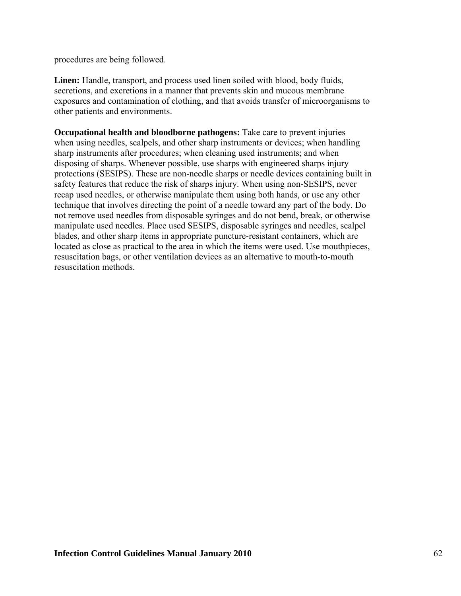procedures are being followed.

**Linen:** Handle, transport, and process used linen soiled with blood, body fluids, secretions, and excretions in a manner that prevents skin and mucous membrane exposures and contamination of clothing, and that avoids transfer of microorganisms to other patients and environments.

**Occupational health and bloodborne pathogens:** Take care to prevent injuries when using needles, scalpels, and other sharp instruments or devices; when handling sharp instruments after procedures; when cleaning used instruments; and when disposing of sharps. Whenever possible, use sharps with engineered sharps injury protections (SESIPS). These are non-needle sharps or needle devices containing built in safety features that reduce the risk of sharps injury. When using non-SESIPS, never recap used needles, or otherwise manipulate them using both hands, or use any other technique that involves directing the point of a needle toward any part of the body. Do not remove used needles from disposable syringes and do not bend, break, or otherwise manipulate used needles. Place used SESIPS, disposable syringes and needles, scalpel blades, and other sharp items in appropriate puncture-resistant containers, which are located as close as practical to the area in which the items were used. Use mouthpieces, resuscitation bags, or other ventilation devices as an alternative to mouth-to-mouth resuscitation methods.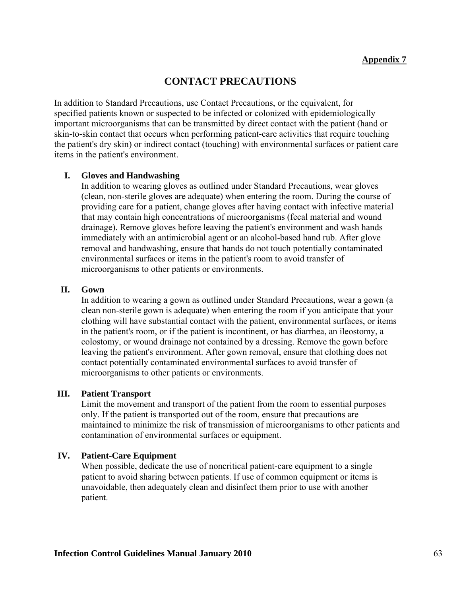#### **CONTACT PRECAUTIONS**

In addition to Standard Precautions, use Contact Precautions, or the equivalent, for specified patients known or suspected to be infected or colonized with epidemiologically important microorganisms that can be transmitted by direct contact with the patient (hand or skin-to-skin contact that occurs when performing patient-care activities that require touching the patient's dry skin) or indirect contact (touching) with environmental surfaces or patient care items in the patient's environment.

#### **I. Gloves and Handwashing**

 In addition to wearing gloves as outlined under Standard Precautions, wear gloves (clean, non-sterile gloves are adequate) when entering the room. During the course of providing care for a patient, change gloves after having contact with infective material that may contain high concentrations of microorganisms (fecal material and wound drainage). Remove gloves before leaving the patient's environment and wash hands immediately with an antimicrobial agent or an alcohol-based hand rub. After glove removal and handwashing, ensure that hands do not touch potentially contaminated environmental surfaces or items in the patient's room to avoid transfer of microorganisms to other patients or environments.

#### **II. Gown**

 In addition to wearing a gown as outlined under Standard Precautions, wear a gown (a clean non-sterile gown is adequate) when entering the room if you anticipate that your clothing will have substantial contact with the patient, environmental surfaces, or items in the patient's room, or if the patient is incontinent, or has diarrhea, an ileostomy, a colostomy, or wound drainage not contained by a dressing. Remove the gown before leaving the patient's environment. After gown removal, ensure that clothing does not contact potentially contaminated environmental surfaces to avoid transfer of microorganisms to other patients or environments.

#### **III. Patient Transport**

 Limit the movement and transport of the patient from the room to essential purposes only. If the patient is transported out of the room, ensure that precautions are maintained to minimize the risk of transmission of microorganisms to other patients and contamination of environmental surfaces or equipment.

#### **IV. Patient-Care Equipment**

 When possible, dedicate the use of noncritical patient-care equipment to a single patient to avoid sharing between patients. If use of common equipment or items is unavoidable, then adequately clean and disinfect them prior to use with another patient.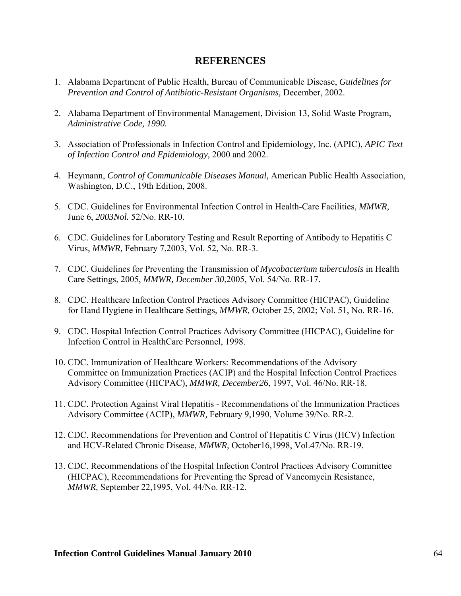#### **REFERENCES**

- 1. Alabama Department of Public Health, Bureau of Communicable Disease, *Guidelines for Prevention and Control of Antibiotic-Resistant Organisms,* December, 2002.
- 2. Alabama Department of Environmental Management, Division 13, Solid Waste Program,  *Administrative Code, 1990.*
- 3. Association of Professionals in Infection Control and Epidemiology, Inc. (APIC), *APIC Text of Infection Control and Epidemiology,* 2000 and 2002.
- 4. Heymann, *Control of Communicable Diseases Manual,* American Public Health Association, Washington, D.C., 19th Edition, 2008.
- 5. CDC. Guidelines for Environmental Infection Control in Health-Care Facilities, *MMWR,*  June 6, *2003Nol.* 52/No. RR-10.
- 6. CDC. Guidelines for Laboratory Testing and Result Reporting of Antibody to Hepatitis C Virus, *MMWR,* February 7,2003, Vol. 52, No. RR-3.
- 7. CDC. Guidelines for Preventing the Transmission of *Mycobacterium tuberculosis* in Health Care Settings, 2005, *MMWR, December 30*,2005, Vol. 54/No. RR-17.
- 8. CDC. Healthcare Infection Control Practices Advisory Committee (HICPAC), Guideline for Hand Hygiene in Healthcare Settings, *MMWR,* October 25, 2002; Vol. 51, No. RR-16.
- 9. CDC. Hospital Infection Control Practices Advisory Committee (HICPAC), Guideline for Infection Control in HealthCare Personnel, 1998.
- 10. CDC. Immunization of Healthcare Workers: Recommendations of the Advisory Committee on Immunization Practices (ACIP) and the Hospital Infection Control Practices Advisory Committee (HICPAC), *MMWR, December26*, 1997, Vol. 46/No. RR-18.
- 11. CDC. Protection Against Viral Hepatitis Recommendations of the Immunization Practices Advisory Committee (ACIP), *MMWR,* February 9,1990, Volume 39/No. RR-2.
- 12. CDC. Recommendations for Prevention and Control of Hepatitis C Virus (HCV) Infection and HCV-Related Chronic Disease, *MMWR,* October16,1998, Vol.47/No. RR-19.
- 13. CDC. Recommendations of the Hospital Infection Control Practices Advisory Committee (HICPAC), Recommendations for Preventing the Spread of Vancomycin Resistance,  *MMWR,* September 22,1995, Vol. 44/No. RR-12.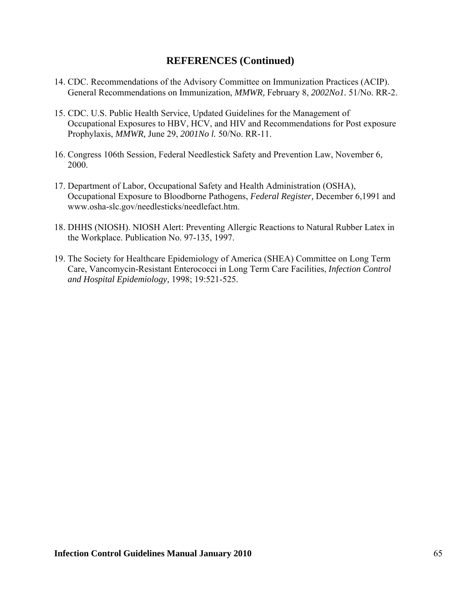### **REFERENCES (Continued)**

- 14. CDC. Recommendations of the Advisory Committee on Immunization Practices (ACIP). General Recommendations on Immunization, *MMWR,* February 8, *2002No1.* 51/No. RR-2.
- 15. CDC. U.S. Public Health Service, Updated Guidelines for the Management of Occupational Exposures to HBV, HCV, and HIV and Recommendations for Post exposure Prophylaxis, *MMWR,* June 29, *2001No l.* 50/No. RR-11.
- 16. Congress 106th Session, Federal Needlestick Safety and Prevention Law, November 6, 2000.
- 17. Department of Labor, Occupational Safety and Health Administration (OSHA), Occupational Exposure to Bloodborne Pathogens, *Federal Register,* December 6,1991 and www.osha-slc.gov/needlesticks/needlefact.htm.
- 18. DHHS (NIOSH). NIOSH Alert: Preventing Allergic Reactions to Natural Rubber Latex in the Workplace. Publication No. 97-135, 1997.
- 19. The Society for Healthcare Epidemiology of America (SHEA) Committee on Long Term Care, Vancomycin-Resistant Enterococci in Long Term Care Facilities, *Infection Control and Hospital Epidemiology,* 1998; 19:521-525.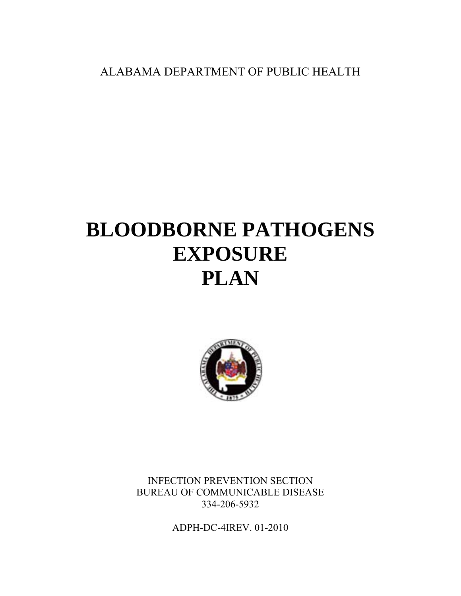ALABAMA DEPARTMENT OF PUBLIC HEALTH

# **BLOODBORNE PATHOGENS EXPOSURE PLAN**



INFECTION PREVENTION SECTION BUREAU OF COMMUNICABLE DISEASE 334-206-5932

ADPH-DC-4IREV. 01-2010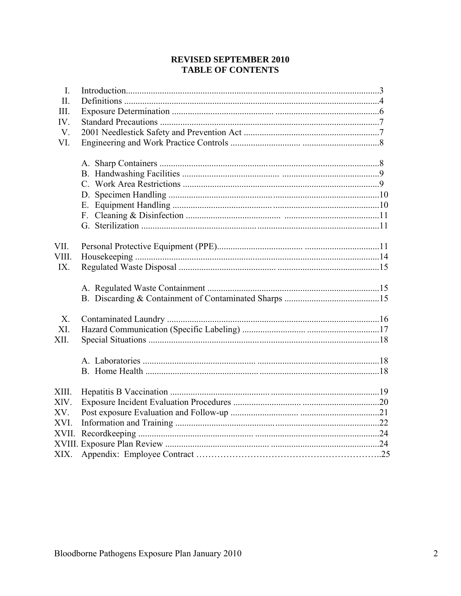#### **REVISED SEPTEMBER 2010 TABLE OF CONTENTS**

| $\mathbf{I}$ . |  |
|----------------|--|
| II.            |  |
| III.           |  |
| IV.            |  |
| $V_{.}$        |  |
| VI.            |  |
|                |  |
|                |  |
|                |  |
|                |  |
|                |  |
|                |  |
|                |  |
|                |  |
|                |  |
| VII.           |  |
| VIII.          |  |
| IX.            |  |
|                |  |
|                |  |
|                |  |
|                |  |
| X.             |  |
| XI.            |  |
|                |  |
| XII.           |  |
|                |  |
|                |  |
|                |  |
|                |  |
| XIII.          |  |
| XIV.           |  |
| XV.            |  |
| XVI.           |  |
| XVII.          |  |
| XIX.           |  |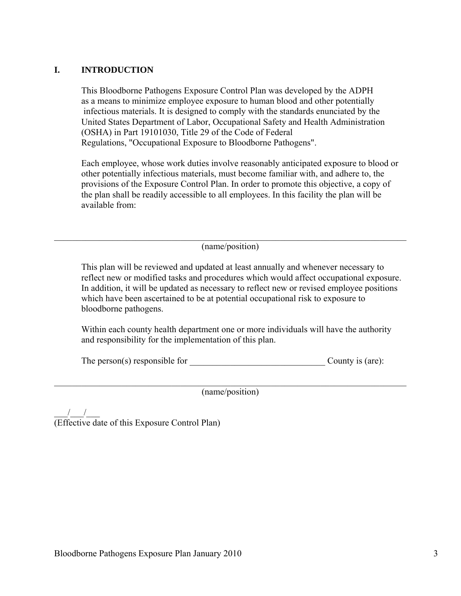#### **I. INTRODUCTION**

 This Bloodborne Pathogens Exposure Control Plan was developed by the ADPH as a means to minimize employee exposure to human blood and other potentially infectious materials. It is designed to comply with the standards enunciated by the United States Department of Labor, Occupational Safety and Health Administration (OSHA) in Part 19101030, Title 29 of the Code of Federal Regulations, "Occupational Exposure to Bloodborne Pathogens".

 Each employee, whose work duties involve reasonably anticipated exposure to blood or other potentially infectious materials, must become familiar with, and adhere to, the provisions of the Exposure Control Plan. In order to promote this objective, a copy of the plan shall be readily accessible to all employees. In this facility the plan will be available from:

 $\mathcal{L}_\mathcal{L} = \mathcal{L}_\mathcal{L} = \mathcal{L}_\mathcal{L} = \mathcal{L}_\mathcal{L} = \mathcal{L}_\mathcal{L} = \mathcal{L}_\mathcal{L} = \mathcal{L}_\mathcal{L} = \mathcal{L}_\mathcal{L} = \mathcal{L}_\mathcal{L} = \mathcal{L}_\mathcal{L} = \mathcal{L}_\mathcal{L} = \mathcal{L}_\mathcal{L} = \mathcal{L}_\mathcal{L} = \mathcal{L}_\mathcal{L} = \mathcal{L}_\mathcal{L} = \mathcal{L}_\mathcal{L} = \mathcal{L}_\mathcal{L}$ (name/position)

 This plan will be reviewed and updated at least annually and whenever necessary to reflect new or modified tasks and procedures which would affect occupational exposure. In addition, it will be updated as necessary to reflect new or revised employee positions which have been ascertained to be at potential occupational risk to exposure to bloodborne pathogens.

 Within each county health department one or more individuals will have the authority and responsibility for the implementation of this plan.

The person(s) responsible for \_\_\_\_\_\_\_\_\_\_\_\_\_\_\_\_\_\_\_\_\_\_\_\_\_\_\_\_\_\_ County is (are):

 $\mathcal{L}_\mathcal{L} = \mathcal{L}_\mathcal{L} = \mathcal{L}_\mathcal{L} = \mathcal{L}_\mathcal{L} = \mathcal{L}_\mathcal{L} = \mathcal{L}_\mathcal{L} = \mathcal{L}_\mathcal{L} = \mathcal{L}_\mathcal{L} = \mathcal{L}_\mathcal{L} = \mathcal{L}_\mathcal{L} = \mathcal{L}_\mathcal{L} = \mathcal{L}_\mathcal{L} = \mathcal{L}_\mathcal{L} = \mathcal{L}_\mathcal{L} = \mathcal{L}_\mathcal{L} = \mathcal{L}_\mathcal{L} = \mathcal{L}_\mathcal{L}$ (name/position)

 $/$  /

(Effective date of this Exposure Control Plan)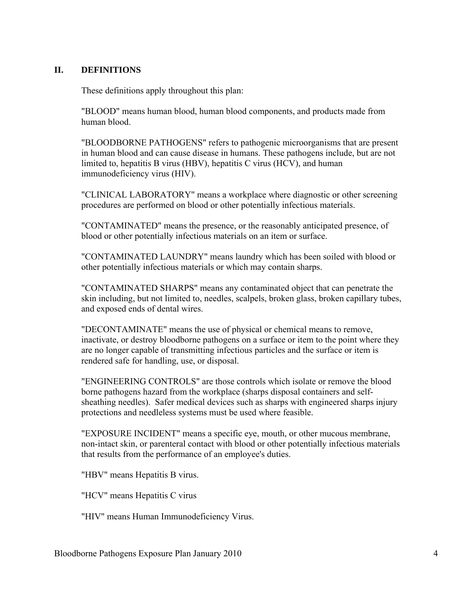#### **II. DEFINITIONS**

These definitions apply throughout this plan:

 "BLOOD" means human blood, human blood components, and products made from human blood.

 "BLOODBORNE PATHOGENS" refers to pathogenic microorganisms that are present in human blood and can cause disease in humans. These pathogens include, but are not limited to, hepatitis B virus (HBV), hepatitis C virus (HCV), and human immunodeficiency virus (HIV).

 "CLINICAL LABORATORY" means a workplace where diagnostic or other screening procedures are performed on blood or other potentially infectious materials.

 "CONTAMINATED" means the presence, or the reasonably anticipated presence, of blood or other potentially infectious materials on an item or surface.

 "CONTAMINATED LAUNDRY" means laundry which has been soiled with blood or other potentially infectious materials or which may contain sharps.

 "CONTAMINATED SHARPS" means any contaminated object that can penetrate the skin including, but not limited to, needles, scalpels, broken glass, broken capillary tubes, and exposed ends of dental wires.

 "DECONTAMINATE" means the use of physical or chemical means to remove, inactivate, or destroy bloodborne pathogens on a surface or item to the point where they are no longer capable of transmitting infectious particles and the surface or item is rendered safe for handling, use, or disposal.

"ENGINEERING CONTROLS" are those controls which isolate or remove the blood borne pathogens hazard from the workplace (sharps disposal containers and selfsheathing needles). Safer medical devices such as sharps with engineered sharps injury protections and needleless systems must be used where feasible.

 "EXPOSURE INCIDENT" means a specific eye, mouth, or other mucous membrane, non-intact skin, or parenteral contact with blood or other potentially infectious materials that results from the performance of an employee's duties.

"HBV" means Hepatitis B virus.

"HCV" means Hepatitis C virus

"HIV" means Human Immunodeficiency Virus.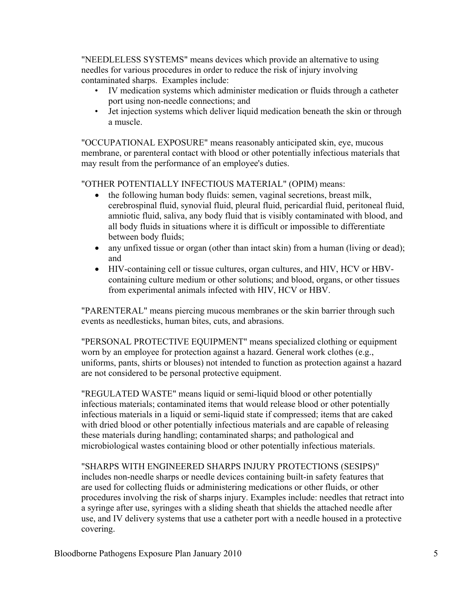"NEEDLELESS SYSTEMS" means devices which provide an alternative to using needles for various procedures in order to reduce the risk of injury involving contaminated sharps. Examples include:

- IV medication systems which administer medication or fluids through a catheter port using non-needle connections; and
- Jet injection systems which deliver liquid medication beneath the skin or through a muscle.

 "OCCUPATIONAL EXPOSURE" means reasonably anticipated skin, eye, mucous membrane, or parenteral contact with blood or other potentially infectious materials that may result from the performance of an employee's duties.

"OTHER POTENTIALLY INFECTIOUS MATERIAL" (OPIM) means:

- the following human body fluids: semen, vaginal secretions, breast milk, cerebrospinal fluid, synovial fluid, pleural fluid, pericardial fluid, peritoneal fluid, amniotic fluid, saliva, any body fluid that is visibly contaminated with blood, and all body fluids in situations where it is difficult or impossible to differentiate between body fluids;
- any unfixed tissue or organ (other than intact skin) from a human (living or dead); and
- HIV-containing cell or tissue cultures, organ cultures, and HIV, HCV or HBVcontaining culture medium or other solutions; and blood, organs, or other tissues from experimental animals infected with HIV, HCV or HBV.

 "PARENTERAL" means piercing mucous membranes or the skin barrier through such events as needlesticks, human bites, cuts, and abrasions.

 "PERSONAL PROTECTIVE EQUIPMENT" means specialized clothing or equipment worn by an employee for protection against a hazard. General work clothes (e.g., uniforms, pants, shirts or blouses) not intended to function as protection against a hazard are not considered to be personal protective equipment.

 "REGULATED WASTE" means liquid or semi-liquid blood or other potentially infectious materials; contaminated items that would release blood or other potentially infectious materials in a liquid or semi-liquid state if compressed; items that are caked with dried blood or other potentially infectious materials and are capable of releasing these materials during handling; contaminated sharps; and pathological and microbiological wastes containing blood or other potentially infectious materials.

 "SHARPS WITH ENGINEERED SHARPS INJURY PROTECTIONS (SESIPS)" includes non-needle sharps or needle devices containing built-in safety features that are used for collecting fluids or administering medications or other fluids, or other procedures involving the risk of sharps injury. Examples include: needles that retract into a syringe after use, syringes with a sliding sheath that shields the attached needle after use, and IV delivery systems that use a catheter port with a needle housed in a protective covering.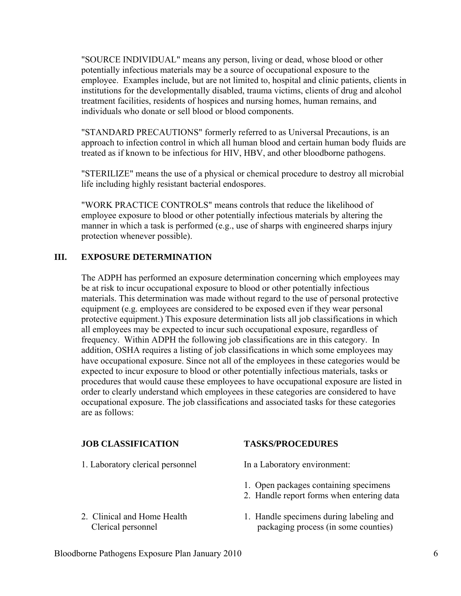"SOURCE INDIVIDUAL" means any person, living or dead, whose blood or other potentially infectious materials may be a source of occupational exposure to the employee. Examples include, but are not limited to, hospital and clinic patients, clients in institutions for the developmentally disabled, trauma victims, clients of drug and alcohol treatment facilities, residents of hospices and nursing homes, human remains, and individuals who donate or sell blood or blood components.

 "STANDARD PRECAUTIONS" formerly referred to as Universal Precautions, is an approach to infection control in which all human blood and certain human body fluids are treated as if known to be infectious for HIV, HBV, and other bloodborne pathogens.

 "STERILIZE" means the use of a physical or chemical procedure to destroy all microbial life including highly resistant bacterial endospores.

 "WORK PRACTICE CONTROLS" means controls that reduce the likelihood of employee exposure to blood or other potentially infectious materials by altering the manner in which a task is performed (e.g., use of sharps with engineered sharps injury protection whenever possible).

#### **III. EXPOSURE DETERMINATION**

The ADPH has performed an exposure determination concerning which employees may be at risk to incur occupational exposure to blood or other potentially infectious materials. This determination was made without regard to the use of personal protective equipment (e.g. employees are considered to be exposed even if they wear personal protective equipment.) This exposure determination lists all job classifications in which all employees may be expected to incur such occupational exposure, regardless of frequency. Within ADPH the following job classifications are in this category. In addition, OSHA requires a listing of job classifications in which some employees may have occupational exposure. Since not all of the employees in these categories would be expected to incur exposure to blood or other potentially infectious materials, tasks or procedures that would cause these employees to have occupational exposure are listed in order to clearly understand which employees in these categories are considered to have occupational exposure. The job classifications and associated tasks for these categories are as follows:

#### **JOB CLASSIFICATION TASKS/PROCEDURES**

#### 1. Laboratory clerical personnel In a Laboratory environment:

- 1. Open packages containing specimens
- 2. Handle report forms when entering data
- 2. Clinical and Home Health 1. Handle specimens during labeling and Clerical personnel packaging process (in some counties)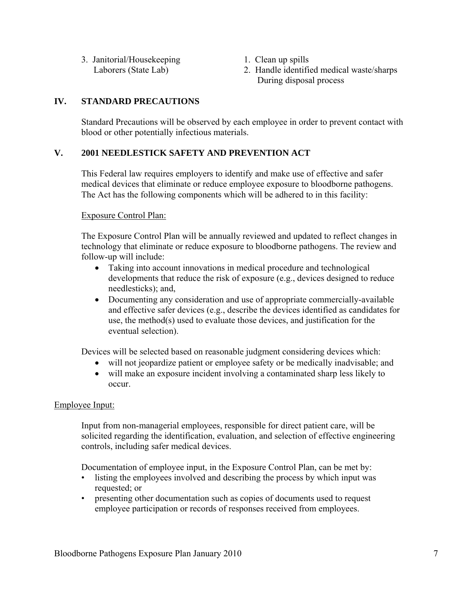- 3. Janitorial/Housekeeping 1. Clean up spills
- - Laborers (State Lab) 2. Handle identified medical waste/sharps During disposal process

### **IV. STANDARD PRECAUTIONS**

 Standard Precautions will be observed by each employee in order to prevent contact with blood or other potentially infectious materials.

#### **V. 2001 NEEDLESTICK SAFETY AND PREVENTION ACT**

 This Federal law requires employers to identify and make use of effective and safer medical devices that eliminate or reduce employee exposure to bloodborne pathogens. The Act has the following components which will be adhered to in this facility:

#### Exposure Control Plan:

 The Exposure Control Plan will be annually reviewed and updated to reflect changes in technology that eliminate or reduce exposure to bloodborne pathogens. The review and follow-up will include:

- Taking into account innovations in medical procedure and technological developments that reduce the risk of exposure (e.g., devices designed to reduce needlesticks); and,
- Documenting any consideration and use of appropriate commercially-available and effective safer devices (e.g., describe the devices identified as candidates for use, the method(s) used to evaluate those devices, and justification for the eventual selection).

Devices will be selected based on reasonable judgment considering devices which:

- will not jeopardize patient or employee safety or be medically inadvisable; and
- will make an exposure incident involving a contaminated sharp less likely to occur.

#### Employee Input:

 Input from non-managerial employees, responsible for direct patient care, will be solicited regarding the identification, evaluation, and selection of effective engineering controls, including safer medical devices.

Documentation of employee input, in the Exposure Control Plan, can be met by:

- listing the employees involved and describing the process by which input was requested; or
- presenting other documentation such as copies of documents used to request employee participation or records of responses received from employees.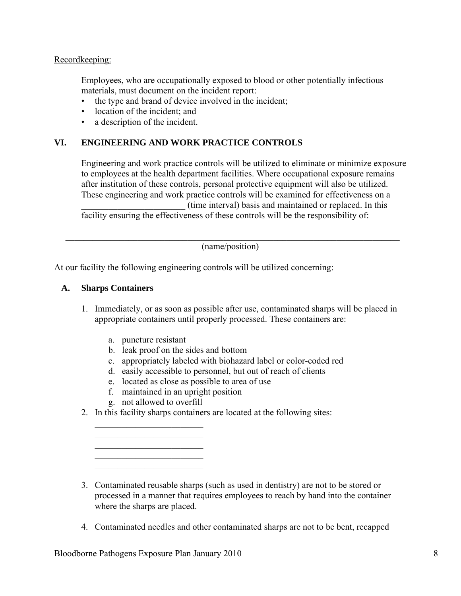#### Recordkeeping:

 Employees, who are occupationally exposed to blood or other potentially infectious materials, must document on the incident report:

- the type and brand of device involved in the incident;
- location of the incident; and
- a description of the incident.

# **VI. ENGINEERING AND WORK PRACTICE CONTROLS**

Engineering and work practice controls will be utilized to eliminate or minimize exposure to employees at the health department facilities. Where occupational exposure remains after institution of these controls, personal protective equipment will also be utilized. These engineering and work practice controls will be examined for effectiveness on a \_\_\_\_\_\_\_\_\_\_\_\_\_\_\_\_\_\_\_\_\_\_\_ (time interval) basis and maintained or replaced. In this facility ensuring the effectiveness of these controls will be the responsibility of:

#### $\overline{\phantom{a}}$  ,  $\overline{\phantom{a}}$  ,  $\overline{\phantom{a}}$  ,  $\overline{\phantom{a}}$  ,  $\overline{\phantom{a}}$  ,  $\overline{\phantom{a}}$  ,  $\overline{\phantom{a}}$  ,  $\overline{\phantom{a}}$  ,  $\overline{\phantom{a}}$  ,  $\overline{\phantom{a}}$  ,  $\overline{\phantom{a}}$  ,  $\overline{\phantom{a}}$  ,  $\overline{\phantom{a}}$  ,  $\overline{\phantom{a}}$  ,  $\overline{\phantom{a}}$  ,  $\overline{\phantom{a}}$ (name/position)

At our facility the following engineering controls will be utilized concerning:

#### **A. Sharps Containers**

- 1. Immediately, or as soon as possible after use, contaminated sharps will be placed in appropriate containers until properly processed. These containers are:
	- a. puncture resistant
	- b. leak proof on the sides and bottom
	- c. appropriately labeled with biohazard label or color-coded red
	- d. easily accessible to personnel, but out of reach of clients
	- e. located as close as possible to area of use
	- f. maintained in an upright position
	- g. not allowed to overfill
- 2. In this facility sharps containers are located at the following sites:

 $\mathcal{L}_\text{max}$ 

 $\mathcal{L}_\text{max} = \frac{1}{2} \sum_{i=1}^{n} \frac{1}{2} \sum_{i=1}^{n} \frac{1}{2} \sum_{i=1}^{n} \frac{1}{2} \sum_{i=1}^{n} \frac{1}{2} \sum_{i=1}^{n} \frac{1}{2} \sum_{i=1}^{n} \frac{1}{2} \sum_{i=1}^{n} \frac{1}{2} \sum_{i=1}^{n} \frac{1}{2} \sum_{i=1}^{n} \frac{1}{2} \sum_{i=1}^{n} \frac{1}{2} \sum_{i=1}^{n} \frac{1}{2} \sum_{i=1}^{n} \frac{1$  $\mathcal{L}_\text{max} = \frac{1}{2} \sum_{i=1}^{n} \frac{1}{2} \sum_{i=1}^{n} \frac{1}{2} \sum_{i=1}^{n} \frac{1}{2} \sum_{i=1}^{n} \frac{1}{2} \sum_{i=1}^{n} \frac{1}{2} \sum_{i=1}^{n} \frac{1}{2} \sum_{i=1}^{n} \frac{1}{2} \sum_{i=1}^{n} \frac{1}{2} \sum_{i=1}^{n} \frac{1}{2} \sum_{i=1}^{n} \frac{1}{2} \sum_{i=1}^{n} \frac{1}{2} \sum_{i=1}^{n} \frac{1$ 

 $\mathcal{L}_\text{max}$  $\mathcal{L}_\text{max} = \frac{1}{2} \sum_{i=1}^{n} \frac{1}{2} \sum_{i=1}^{n} \frac{1}{2} \sum_{i=1}^{n} \frac{1}{2} \sum_{i=1}^{n} \frac{1}{2} \sum_{i=1}^{n} \frac{1}{2} \sum_{i=1}^{n} \frac{1}{2} \sum_{i=1}^{n} \frac{1}{2} \sum_{i=1}^{n} \frac{1}{2} \sum_{i=1}^{n} \frac{1}{2} \sum_{i=1}^{n} \frac{1}{2} \sum_{i=1}^{n} \frac{1}{2} \sum_{i=1}^{n} \frac{1$ 

- 3. Contaminated reusable sharps (such as used in dentistry) are not to be stored or processed in a manner that requires employees to reach by hand into the container where the sharps are placed.
- 4. Contaminated needles and other contaminated sharps are not to be bent, recapped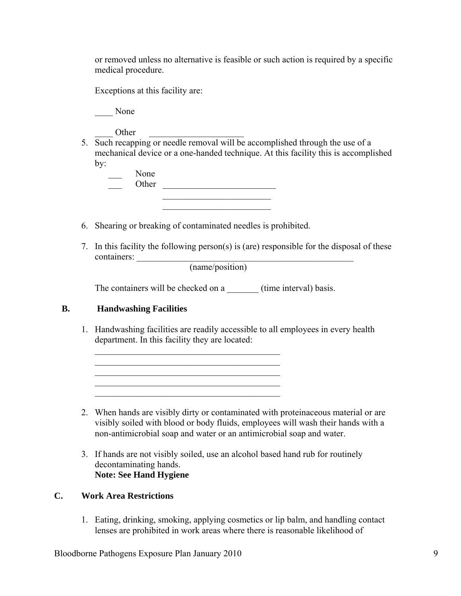or removed unless no alternative is feasible or such action is required by a specific medical procedure.

Exceptions at this facility are:

None

Other

- 5. Such recapping or needle removal will be accomplished through the use of a mechanical device or a one-handed technique. At this facility this is accomplished by:
	- None \_\_\_ Other \_\_\_\_\_\_\_\_\_\_\_\_\_\_\_\_\_\_\_\_\_\_\_\_\_
- 6. Shearing or breaking of contaminated needles is prohibited.
- 7. In this facility the following person(s) is (are) responsible for the disposal of these containers:

(name/position)

The containers will be checked on a  $(time interval)$  basis.

## **B. Handwashing Facilities**

 $\mathcal{L}_\text{max}$  and the contract of the contract of the contract of the contract of the contract of the contract of the contract of the contract of the contract of the contract of the contract of the contract of the contrac  $\mathcal{L}_\mathcal{L} = \mathcal{L}_\mathcal{L} = \mathcal{L}_\mathcal{L} = \mathcal{L}_\mathcal{L} = \mathcal{L}_\mathcal{L} = \mathcal{L}_\mathcal{L} = \mathcal{L}_\mathcal{L} = \mathcal{L}_\mathcal{L} = \mathcal{L}_\mathcal{L} = \mathcal{L}_\mathcal{L} = \mathcal{L}_\mathcal{L} = \mathcal{L}_\mathcal{L} = \mathcal{L}_\mathcal{L} = \mathcal{L}_\mathcal{L} = \mathcal{L}_\mathcal{L} = \mathcal{L}_\mathcal{L} = \mathcal{L}_\mathcal{L}$ 

 $\frac{1}{2}$  ,  $\frac{1}{2}$  ,  $\frac{1}{2}$  ,  $\frac{1}{2}$  ,  $\frac{1}{2}$  ,  $\frac{1}{2}$  ,  $\frac{1}{2}$  ,  $\frac{1}{2}$  ,  $\frac{1}{2}$  ,  $\frac{1}{2}$  ,  $\frac{1}{2}$  ,  $\frac{1}{2}$  ,  $\frac{1}{2}$  ,  $\frac{1}{2}$  ,  $\frac{1}{2}$  ,  $\frac{1}{2}$  ,  $\frac{1}{2}$  ,  $\frac{1}{2}$  ,  $\frac{1$ 

 1. Handwashing facilities are readily accessible to all employees in every health department. In this facility they are located:

 2. When hands are visibly dirty or contaminated with proteinaceous material or are visibly soiled with blood or body fluids, employees will wash their hands with a non-antimicrobial soap and water or an antimicrobial soap and water.

 3. If hands are not visibly soiled, use an alcohol based hand rub for routinely decontaminating hands. **Note: See Hand Hygiene** 

## **C. Work Area Restrictions**

 1. Eating, drinking, smoking, applying cosmetics or lip balm, and handling contact lenses are prohibited in work areas where there is reasonable likelihood of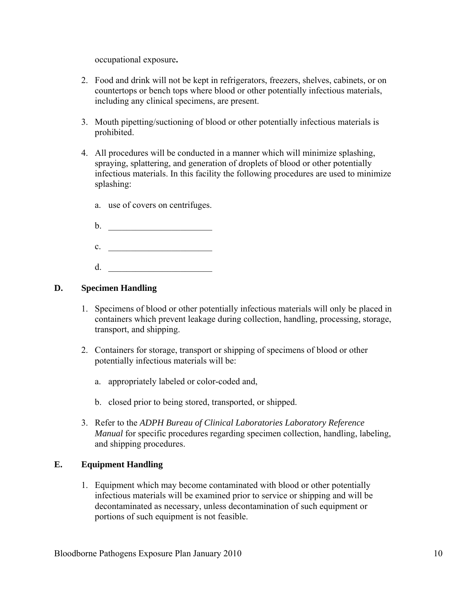occupational exposure**.** 

- 2. Food and drink will not be kept in refrigerators, freezers, shelves, cabinets, or on countertops or bench tops where blood or other potentially infectious materials, including any clinical specimens, are present.
- 3. Mouth pipetting/suctioning of blood or other potentially infectious materials is prohibited.
- 4. All procedures will be conducted in a manner which will minimize splashing, spraying, splattering, and generation of droplets of blood or other potentially infectious materials. In this facility the following procedures are used to minimize splashing:
	- a. use of covers on centrifuges.
	- $b.$
	- c. \_\_\_\_\_\_\_\_\_\_\_\_\_\_\_\_\_\_\_\_\_\_\_
	- d. \_\_\_\_\_\_\_\_\_\_\_\_\_\_\_\_\_\_\_\_\_\_\_

#### **D. Specimen Handling**

- 1. Specimens of blood or other potentially infectious materials will only be placed in containers which prevent leakage during collection, handling, processing, storage, transport, and shipping.
- 2. Containers for storage, transport or shipping of specimens of blood or other potentially infectious materials will be:
	- a. appropriately labeled or color-coded and,
	- b. closed prior to being stored, transported, or shipped.
- 3. Refer to the *ADPH Bureau of Clinical Laboratories Laboratory Reference Manual* for specific procedures regarding specimen collection, handling, labeling, and shipping procedures.

## **E. Equipment Handling**

 1. Equipment which may become contaminated with blood or other potentially infectious materials will be examined prior to service or shipping and will be decontaminated as necessary, unless decontamination of such equipment or portions of such equipment is not feasible.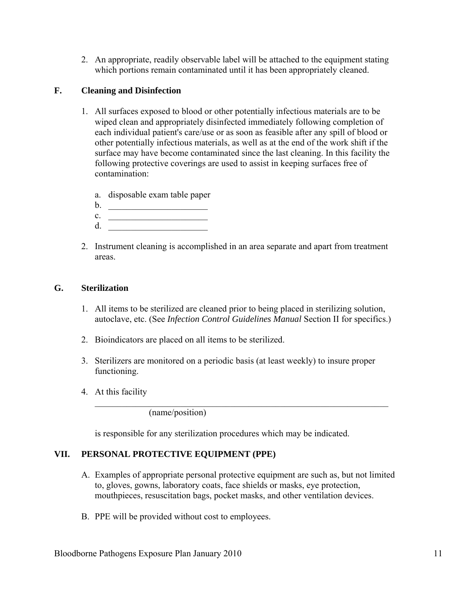2. An appropriate, readily observable label will be attached to the equipment stating which portions remain contaminated until it has been appropriately cleaned.

# **F. Cleaning and Disinfection**

- 1. All surfaces exposed to blood or other potentially infectious materials are to be wiped clean and appropriately disinfected immediately following completion of each individual patient's care/use or as soon as feasible after any spill of blood or other potentially infectious materials, as well as at the end of the work shift if the surface may have become contaminated since the last cleaning. In this facility the following protective coverings are used to assist in keeping surfaces free of contamination:
	- a. disposable exam table paper
	- b. \_\_\_\_\_\_\_\_\_\_\_\_\_\_\_\_\_\_\_\_\_\_
	- $c.$   $\qquad \qquad$
	- d.  $\qquad \qquad$
- 2. Instrument cleaning is accomplished in an area separate and apart from treatment areas.

# **G. Sterilization**

- 1. All items to be sterilized are cleaned prior to being placed in sterilizing solution, autoclave, etc. (See *Infection Control Guidelines Manual* Section II for specifics.)
- 2. Bioindicators are placed on all items to be sterilized.
- 3. Sterilizers are monitored on a periodic basis (at least weekly) to insure proper functioning.
- 4. At this facility

(name/position)

is responsible for any sterilization procedures which may be indicated.

 $\mathcal{L}_\text{max} = \frac{1}{2} \sum_{i=1}^n \mathcal{L}_\text{max}(\mathbf{z}_i - \mathbf{z}_i)$ 

# **VII. PERSONAL PROTECTIVE EQUIPMENT (PPE)**

- A. Examples of appropriate personal protective equipment are such as, but not limited to, gloves, gowns, laboratory coats, face shields or masks, eye protection, mouthpieces, resuscitation bags, pocket masks, and other ventilation devices.
- B. PPE will be provided without cost to employees.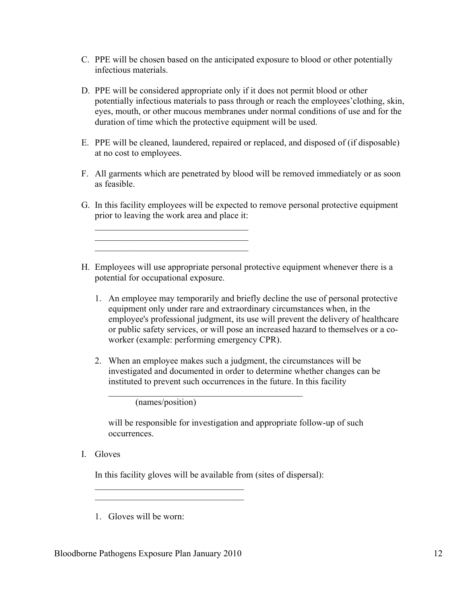- C. PPE will be chosen based on the anticipated exposure to blood or other potentially infectious materials.
- D. PPE will be considered appropriate only if it does not permit blood or other potentially infectious materials to pass through or reach the employees'clothing, skin, eyes, mouth, or other mucous membranes under normal conditions of use and for the duration of time which the protective equipment will be used.
- E. PPE will be cleaned, laundered, repaired or replaced, and disposed of (if disposable) at no cost to employees.
- F. All garments which are penetrated by blood will be removed immediately or as soon as feasible.
- G. In this facility employees will be expected to remove personal protective equipment prior to leaving the work area and place it:
- H. Employees will use appropriate personal protective equipment whenever there is a potential for occupational exposure.
	- 1. An employee may temporarily and briefly decline the use of personal protective equipment only under rare and extraordinary circumstances when, in the employee's professional judgment, its use will prevent the delivery of healthcare or public safety services, or will pose an increased hazard to themselves or a co worker (example: performing emergency CPR).
	- 2. When an employee makes such a judgment, the circumstances will be investigated and documented in order to determine whether changes can be instituted to prevent such occurrences in the future. In this facility

(names/position)

 $\mathcal{L}_\mathcal{L} = \mathcal{L}_\mathcal{L} = \mathcal{L}_\mathcal{L} = \mathcal{L}_\mathcal{L} = \mathcal{L}_\mathcal{L} = \mathcal{L}_\mathcal{L} = \mathcal{L}_\mathcal{L} = \mathcal{L}_\mathcal{L} = \mathcal{L}_\mathcal{L} = \mathcal{L}_\mathcal{L} = \mathcal{L}_\mathcal{L} = \mathcal{L}_\mathcal{L} = \mathcal{L}_\mathcal{L} = \mathcal{L}_\mathcal{L} = \mathcal{L}_\mathcal{L} = \mathcal{L}_\mathcal{L} = \mathcal{L}_\mathcal{L}$ 

 $\mathcal{L}_\text{max} = \frac{1}{2} \sum_{i=1}^{n} \frac{1}{2} \sum_{i=1}^{n} \frac{1}{2} \sum_{i=1}^{n} \frac{1}{2} \sum_{i=1}^{n} \frac{1}{2} \sum_{i=1}^{n} \frac{1}{2} \sum_{i=1}^{n} \frac{1}{2} \sum_{i=1}^{n} \frac{1}{2} \sum_{i=1}^{n} \frac{1}{2} \sum_{i=1}^{n} \frac{1}{2} \sum_{i=1}^{n} \frac{1}{2} \sum_{i=1}^{n} \frac{1}{2} \sum_{i=1}^{n} \frac{1$  $\mathcal{L}_\text{max} = \frac{1}{2} \sum_{i=1}^{n} \frac{1}{2} \sum_{i=1}^{n} \frac{1}{2} \sum_{i=1}^{n} \frac{1}{2} \sum_{i=1}^{n} \frac{1}{2} \sum_{i=1}^{n} \frac{1}{2} \sum_{i=1}^{n} \frac{1}{2} \sum_{i=1}^{n} \frac{1}{2} \sum_{i=1}^{n} \frac{1}{2} \sum_{i=1}^{n} \frac{1}{2} \sum_{i=1}^{n} \frac{1}{2} \sum_{i=1}^{n} \frac{1}{2} \sum_{i=1}^{n} \frac{1$  $\mathcal{L}_\text{max} = \frac{1}{2} \sum_{i=1}^{n} \frac{1}{2} \sum_{i=1}^{n} \frac{1}{2} \sum_{i=1}^{n} \frac{1}{2} \sum_{i=1}^{n} \frac{1}{2} \sum_{i=1}^{n} \frac{1}{2} \sum_{i=1}^{n} \frac{1}{2} \sum_{i=1}^{n} \frac{1}{2} \sum_{i=1}^{n} \frac{1}{2} \sum_{i=1}^{n} \frac{1}{2} \sum_{i=1}^{n} \frac{1}{2} \sum_{i=1}^{n} \frac{1}{2} \sum_{i=1}^{n} \frac{1$ 

> will be responsible for investigation and appropriate follow-up of such occurrences.

I. Gloves

In this facility gloves will be available from (sites of dispersal):

1. Gloves will be worn:

 $\mathcal{L}_\text{max} = \frac{1}{2} \sum_{i=1}^n \frac{1}{2} \sum_{i=1}^n \frac{1}{2} \sum_{i=1}^n \frac{1}{2} \sum_{i=1}^n \frac{1}{2} \sum_{i=1}^n \frac{1}{2} \sum_{i=1}^n \frac{1}{2} \sum_{i=1}^n \frac{1}{2} \sum_{i=1}^n \frac{1}{2} \sum_{i=1}^n \frac{1}{2} \sum_{i=1}^n \frac{1}{2} \sum_{i=1}^n \frac{1}{2} \sum_{i=1}^n \frac{1}{2} \sum_{i=1}^n$  $\mathcal{L}_\text{max} = \frac{1}{2} \sum_{i=1}^n \frac{1}{2} \sum_{i=1}^n \frac{1}{2} \sum_{i=1}^n \frac{1}{2} \sum_{i=1}^n \frac{1}{2} \sum_{i=1}^n \frac{1}{2} \sum_{i=1}^n \frac{1}{2} \sum_{i=1}^n \frac{1}{2} \sum_{i=1}^n \frac{1}{2} \sum_{i=1}^n \frac{1}{2} \sum_{i=1}^n \frac{1}{2} \sum_{i=1}^n \frac{1}{2} \sum_{i=1}^n \frac{1}{2} \sum_{i=1}^n$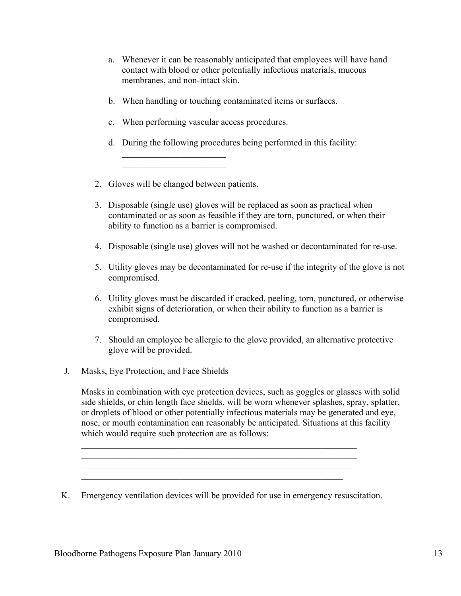- a. Whenever it can be reasonably anticipated that employees will have hand contact with blood or other potentially infectious materials, mucous membranes, and non-intact skin.
- b. When handling or touching contaminated items or surfaces.
- c. When performing vascular access procedures.
- d. During the following procedures being performed in this facility:
- 2. Gloves will be changed between patients.

 $\mathcal{L}_\text{max}$  $\mathcal{L}_\text{max} = \mathcal{L}_\text{max} = \frac{1}{2} \sum_{i=1}^{n} \frac{1}{2} \sum_{i=1}^{n} \frac{1}{2} \sum_{i=1}^{n} \frac{1}{2} \sum_{i=1}^{n} \frac{1}{2} \sum_{i=1}^{n} \frac{1}{2} \sum_{i=1}^{n} \frac{1}{2} \sum_{i=1}^{n} \frac{1}{2} \sum_{i=1}^{n} \frac{1}{2} \sum_{i=1}^{n} \frac{1}{2} \sum_{i=1}^{n} \frac{1}{2} \sum_{i=1}^{n} \frac{1}{2} \sum$ 

- 3. Disposable (single use) gloves will be replaced as soon as practical when contaminated or as soon as feasible if they are torn, punctured, or when their ability to function as a barrier is compromised.
- 4. Disposable (single use) gloves will not be washed or decontaminated for re-use.
- 5. Utility gloves may be decontaminated for re-use if the integrity of the glove is not compromised.
- 6. Utility gloves must be discarded if cracked, peeling, torn, punctured, or otherwise exhibit signs of deterioration, or when their ability to function as a barrier is compromised.
- 7. Should an employee be allergic to the glove provided, an alternative protective glove will be provided.
- J. Masks, Eye Protection, and Face Shields

 Masks in combination with eye protection devices, such as goggles or glasses with solid side shields, or chin length face shields, will be worn whenever splashes, spray, splatter, or droplets of blood or other potentially infectious materials may be generated and eye, nose, or mouth contamination can reasonably be anticipated. Situations at this facility which would require such protection are as follows:

K. Emergency ventilation devices will be provided for use in emergency resuscitation.

\_\_\_\_\_\_\_\_\_\_\_\_\_\_\_\_\_\_\_\_\_\_\_\_\_\_\_\_\_\_\_\_\_\_\_\_\_\_\_\_\_\_\_\_\_\_\_\_\_\_\_\_\_\_\_\_\_\_\_\_\_

 $\mathcal{L}_\text{max}$  , and the contribution of the contribution of  $\mathcal{L}_\text{max}$ 

 $\mathcal{L}_\text{max} = \frac{1}{2} \sum_{i=1}^n \frac{1}{2} \sum_{i=1}^n \frac{1}{2} \sum_{i=1}^n \frac{1}{2} \sum_{i=1}^n \frac{1}{2} \sum_{i=1}^n \frac{1}{2} \sum_{i=1}^n \frac{1}{2} \sum_{i=1}^n \frac{1}{2} \sum_{i=1}^n \frac{1}{2} \sum_{i=1}^n \frac{1}{2} \sum_{i=1}^n \frac{1}{2} \sum_{i=1}^n \frac{1}{2} \sum_{i=1}^n \frac{1}{2} \sum_{i=1}^n$ 

 $\mathcal{L}_\text{max} = \frac{1}{2} \sum_{i=1}^n \frac{1}{2} \sum_{i=1}^n \frac{1}{2} \sum_{i=1}^n \frac{1}{2} \sum_{i=1}^n \frac{1}{2} \sum_{i=1}^n \frac{1}{2} \sum_{i=1}^n \frac{1}{2} \sum_{i=1}^n \frac{1}{2} \sum_{i=1}^n \frac{1}{2} \sum_{i=1}^n \frac{1}{2} \sum_{i=1}^n \frac{1}{2} \sum_{i=1}^n \frac{1}{2} \sum_{i=1}^n \frac{1}{2} \sum_{i=1}^n$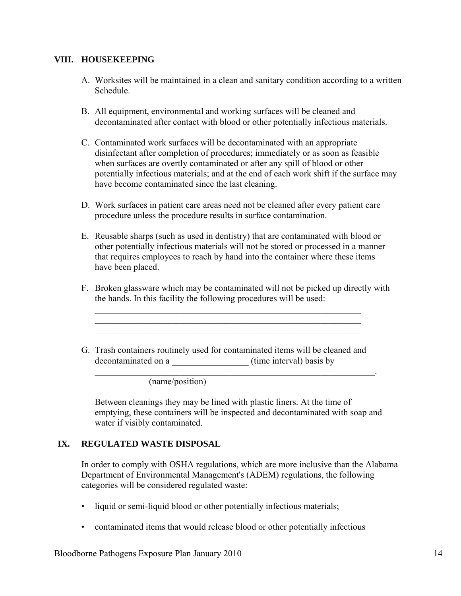## **VIII. HOUSEKEEPING**

- A. Worksites will be maintained in a clean and sanitary condition according to a written Schedule.
- B. All equipment, environmental and working surfaces will be cleaned and decontaminated after contact with blood or other potentially infectious materials.
- C. Contaminated work surfaces will be decontaminated with an appropriate disinfectant after completion of procedures; immediately or as soon as feasible when surfaces are overtly contaminated or after any spill of blood or other potentially infectious materials; and at the end of each work shift if the surface may have become contaminated since the last cleaning.
- D. Work surfaces in patient care areas need not be cleaned after every patient care procedure unless the procedure results in surface contamination.
- E. Reusable sharps (such as used in dentistry) that are contaminated with blood or other potentially infectious materials will not be stored or processed in a manner that requires employees to reach by hand into the container where these items have been placed.
- F. Broken glassware which may be contaminated will not be picked up directly with the hands. In this facility the following procedures will be used:
- G. Trash containers routinely used for contaminated items will be cleaned and decontaminated on a  $(time interval)$  basis by

 $\mathcal{L}_\text{max} = \frac{1}{2} \sum_{i=1}^n \mathcal{L}_\text{max} \left[ \mathcal{L}_\text{max} \left( \mathcal{L}_\text{max} \right) - \mathcal{L}_\text{max} \left( \mathcal{L}_\text{max} \right) \right]$ 

 $\mathcal{L}_\text{max}$  and the contract of the contract of the contract of the contract of the contract of the contract of  $\mathcal{L}_\text{max} = \frac{1}{2} \sum_{i=1}^n \frac{1}{2} \sum_{i=1}^n \frac{1}{2} \sum_{i=1}^n \frac{1}{2} \sum_{i=1}^n \frac{1}{2} \sum_{i=1}^n \frac{1}{2} \sum_{i=1}^n \frac{1}{2} \sum_{i=1}^n \frac{1}{2} \sum_{i=1}^n \frac{1}{2} \sum_{i=1}^n \frac{1}{2} \sum_{i=1}^n \frac{1}{2} \sum_{i=1}^n \frac{1}{2} \sum_{i=1}^n \frac{1}{2} \sum_{i=1}^n$  $\mathcal{L}_\text{max} = \frac{1}{2} \sum_{i=1}^n \frac{1}{2} \sum_{i=1}^n \frac{1}{2} \sum_{i=1}^n \frac{1}{2} \sum_{i=1}^n \frac{1}{2} \sum_{i=1}^n \frac{1}{2} \sum_{i=1}^n \frac{1}{2} \sum_{i=1}^n \frac{1}{2} \sum_{i=1}^n \frac{1}{2} \sum_{i=1}^n \frac{1}{2} \sum_{i=1}^n \frac{1}{2} \sum_{i=1}^n \frac{1}{2} \sum_{i=1}^n \frac{1}{2} \sum_{i=1}^n$ 

(name/position)

 Between cleanings they may be lined with plastic liners. At the time of emptying, these containers will be inspected and decontaminated with soap and water if visibly contaminated.

## **IX. REGULATED WASTE DISPOSAL**

 In order to comply with OSHA regulations, which are more inclusive than the Alabama Department of Environmental Management's (ADEM) regulations, the following categories will be considered regulated waste:

- liquid or semi-liquid blood or other potentially infectious materials;
- contaminated items that would release blood or other potentially infectious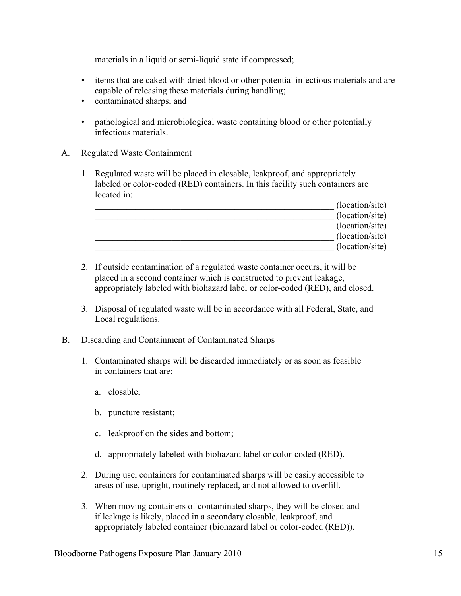materials in a liquid or semi-liquid state if compressed;

- items that are caked with dried blood or other potential infectious materials and are capable of releasing these materials during handling;
- contaminated sharps; and
- pathological and microbiological waste containing blood or other potentially infectious materials.
- A. Regulated Waste Containment
	- 1. Regulated waste will be placed in closable, leakproof, and appropriately labeled or color-coded (RED) containers. In this facility such containers are located in:

|  | (location/site) |
|--|-----------------|
|  | (location/site) |
|  | (location/site) |
|  | (location/site) |
|  | (location/site) |

- 2. If outside contamination of a regulated waste container occurs, it will be placed in a second container which is constructed to prevent leakage, appropriately labeled with biohazard label or color-coded (RED), and closed.
- 3. Disposal of regulated waste will be in accordance with all Federal, State, and Local regulations.
- B. Discarding and Containment of Contaminated Sharps
	- 1. Contaminated sharps will be discarded immediately or as soon as feasible in containers that are:
		- a. closable;
		- b. puncture resistant;
		- c. leakproof on the sides and bottom;
		- d. appropriately labeled with biohazard label or color-coded (RED).
	- 2. During use, containers for contaminated sharps will be easily accessible to areas of use, upright, routinely replaced, and not allowed to overfill.
	- 3. When moving containers of contaminated sharps, they will be closed and if leakage is likely, placed in a secondary closable, leakproof, and appropriately labeled container (biohazard label or color-coded (RED)).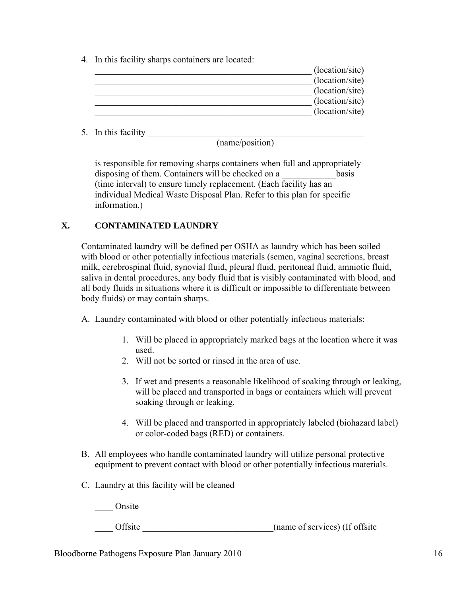4. In this facility sharps containers are located:

|  | (location/site) |
|--|-----------------|
|  | (location/site) |
|  | (location/site) |
|  | (location/site) |
|  | (location/site) |

5. In this facility  $\overline{\phantom{a}}$ 

(name/position)

 is responsible for removing sharps containers when full and appropriately disposing of them. Containers will be checked on a loasis (time interval) to ensure timely replacement. (Each facility has an individual Medical Waste Disposal Plan. Refer to this plan for specific information.)

# **X. CONTAMINATED LAUNDRY**

 Contaminated laundry will be defined per OSHA as laundry which has been soiled with blood or other potentially infectious materials (semen, vaginal secretions, breast milk, cerebrospinal fluid, synovial fluid, pleural fluid, peritoneal fluid, amniotic fluid, saliva in dental procedures, any body fluid that is visibly contaminated with blood, and all body fluids in situations where it is difficult or impossible to differentiate between body fluids) or may contain sharps.

A. Laundry contaminated with blood or other potentially infectious materials:

- 1. Will be placed in appropriately marked bags at the location where it was used.
- 2. Will not be sorted or rinsed in the area of use.
- 3. If wet and presents a reasonable likelihood of soaking through or leaking, will be placed and transported in bags or containers which will prevent soaking through or leaking.
- 4. Will be placed and transported in appropriately labeled (biohazard label) or color-coded bags (RED) or containers.
- B. All employees who handle contaminated laundry will utilize personal protective equipment to prevent contact with blood or other potentially infectious materials.
- C. Laundry at this facility will be cleaned

\_\_\_\_ Onsite

Offsite  $\qquad \qquad \text{(name of services)} \text{ (If of the image)}$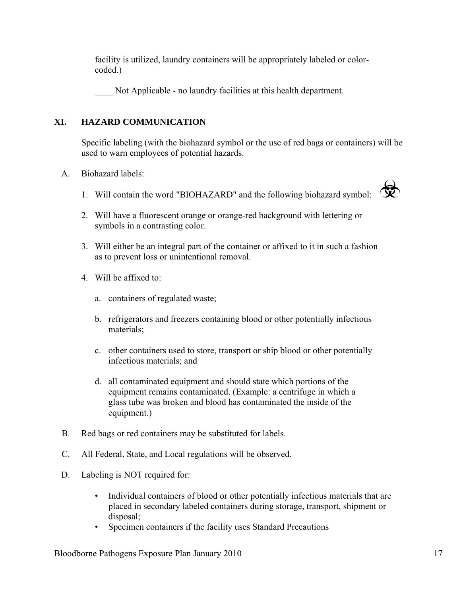facility is utilized, laundry containers will be appropriately labeled or color coded.)

Not Applicable - no laundry facilities at this health department.

## **XI. HAZARD COMMUNICATION**

 Specific labeling (with the biohazard symbol or the use of red bags or containers) will be used to warn employees of potential hazards.

- A. Biohazard labels:
	- 1. Will contain the word "BIOHAZARD" and the following biohazard symbol:



- 2. Will have a fluorescent orange or orange-red background with lettering or symbols in a contrasting color.
- 3. Will either be an integral part of the container or affixed to it in such a fashion as to prevent loss or unintentional removal.
- 4. Will be affixed to:
	- a. containers of regulated waste;
	- b. refrigerators and freezers containing blood or other potentially infectious materials;
	- c. other containers used to store, transport or ship blood or other potentially infectious materials; and
	- d. all contaminated equipment and should state which portions of the equipment remains contaminated. (Example: a centrifuge in which a glass tube was broken and blood has contaminated the inside of the equipment.)
- B. Red bags or red containers may be substituted for labels.
- C. All Federal, State, and Local regulations will be observed.
- D. Labeling is NOT required for:
	- Individual containers of blood or other potentially infectious materials that are placed in secondary labeled containers during storage, transport, shipment or disposal;
	- Specimen containers if the facility uses Standard Precautions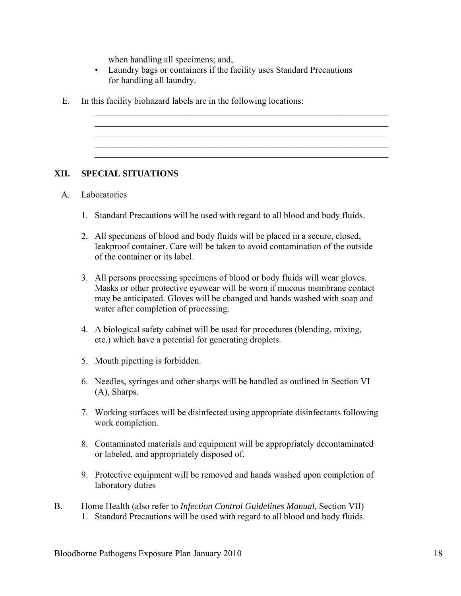when handling all specimens; and,

 • Laundry bags or containers if the facility uses Standard Precautions for handling all laundry.

 $\mathcal{L}_\mathcal{L} = \mathcal{L}_\mathcal{L} = \mathcal{L}_\mathcal{L} = \mathcal{L}_\mathcal{L} = \mathcal{L}_\mathcal{L} = \mathcal{L}_\mathcal{L} = \mathcal{L}_\mathcal{L} = \mathcal{L}_\mathcal{L} = \mathcal{L}_\mathcal{L} = \mathcal{L}_\mathcal{L} = \mathcal{L}_\mathcal{L} = \mathcal{L}_\mathcal{L} = \mathcal{L}_\mathcal{L} = \mathcal{L}_\mathcal{L} = \mathcal{L}_\mathcal{L} = \mathcal{L}_\mathcal{L} = \mathcal{L}_\mathcal{L}$  $\mathcal{L}_\mathcal{L} = \mathcal{L}_\mathcal{L} = \mathcal{L}_\mathcal{L} = \mathcal{L}_\mathcal{L} = \mathcal{L}_\mathcal{L} = \mathcal{L}_\mathcal{L} = \mathcal{L}_\mathcal{L} = \mathcal{L}_\mathcal{L} = \mathcal{L}_\mathcal{L} = \mathcal{L}_\mathcal{L} = \mathcal{L}_\mathcal{L} = \mathcal{L}_\mathcal{L} = \mathcal{L}_\mathcal{L} = \mathcal{L}_\mathcal{L} = \mathcal{L}_\mathcal{L} = \mathcal{L}_\mathcal{L} = \mathcal{L}_\mathcal{L}$  $\mathcal{L}_\mathcal{L} = \mathcal{L}_\mathcal{L} = \mathcal{L}_\mathcal{L} = \mathcal{L}_\mathcal{L} = \mathcal{L}_\mathcal{L} = \mathcal{L}_\mathcal{L} = \mathcal{L}_\mathcal{L} = \mathcal{L}_\mathcal{L} = \mathcal{L}_\mathcal{L} = \mathcal{L}_\mathcal{L} = \mathcal{L}_\mathcal{L} = \mathcal{L}_\mathcal{L} = \mathcal{L}_\mathcal{L} = \mathcal{L}_\mathcal{L} = \mathcal{L}_\mathcal{L} = \mathcal{L}_\mathcal{L} = \mathcal{L}_\mathcal{L}$  $\mathcal{L}_\mathcal{L} = \mathcal{L}_\mathcal{L} = \mathcal{L}_\mathcal{L} = \mathcal{L}_\mathcal{L} = \mathcal{L}_\mathcal{L} = \mathcal{L}_\mathcal{L} = \mathcal{L}_\mathcal{L} = \mathcal{L}_\mathcal{L} = \mathcal{L}_\mathcal{L} = \mathcal{L}_\mathcal{L} = \mathcal{L}_\mathcal{L} = \mathcal{L}_\mathcal{L} = \mathcal{L}_\mathcal{L} = \mathcal{L}_\mathcal{L} = \mathcal{L}_\mathcal{L} = \mathcal{L}_\mathcal{L} = \mathcal{L}_\mathcal{L}$  $\mathcal{L}_\text{max} = \frac{1}{2} \sum_{i=1}^n \mathcal{L}_\text{max}(\mathbf{z}_i - \mathbf{z}_i)$ 

E. In this facility biohazard labels are in the following locations:

# **XII. SPECIAL SITUATIONS**

- A. Laboratories
	- 1. Standard Precautions will be used with regard to all blood and body fluids.
	- 2. All specimens of blood and body fluids will be placed in a secure, closed, leakproof container. Care will be taken to avoid contamination of the outside of the container or its label.
	- 3. All persons processing specimens of blood or body fluids will wear gloves. Masks or other protective eyewear will be worn if mucous membrane contact may be anticipated. Gloves will be changed and hands washed with soap and water after completion of processing.
	- 4. A biological safety cabinet will be used for procedures (blending, mixing, etc.) which have a potential for generating droplets.
	- 5. Mouth pipetting is forbidden.
	- 6. Needles, syringes and other sharps will be handled as outlined in Section VI (A), Sharps.
	- 7. Working surfaces will be disinfected using appropriate disinfectants following work completion.
	- 8. Contaminated materials and equipment will be appropriately decontaminated or labeled, and appropriately disposed of.
	- 9. Protective equipment will be removed and hands washed upon completion of laboratory duties
- B. Home Health (also refer to *Infection Control Guidelines Manual,* Section VII) 1. Standard Precautions will be used with regard to all blood and body fluids.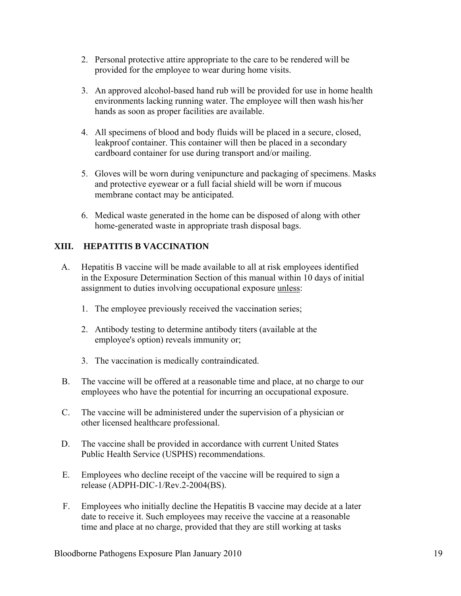- 2. Personal protective attire appropriate to the care to be rendered will be provided for the employee to wear during home visits.
- 3. An approved alcohol-based hand rub will be provided for use in home health environments lacking running water. The employee will then wash his/her hands as soon as proper facilities are available.
- 4. All specimens of blood and body fluids will be placed in a secure, closed, leakproof container. This container will then be placed in a secondary cardboard container for use during transport and/or mailing.
- 5. Gloves will be worn during venipuncture and packaging of specimens. Masks and protective eyewear or a full facial shield will be worn if mucous membrane contact may be anticipated.
- 6. Medical waste generated in the home can be disposed of along with other home-generated waste in appropriate trash disposal bags.

# **XIII. HEPATITIS B VACCINATION**

- A. Hepatitis B vaccine will be made available to all at risk employees identified in the Exposure Determination Section of this manual within 10 days of initial assignment to duties involving occupational exposure unless:
	- 1. The employee previously received the vaccination series;
	- 2. Antibody testing to determine antibody titers (available at the employee's option) reveals immunity or;
	- 3. The vaccination is medically contraindicated.
- B. The vaccine will be offered at a reasonable time and place, at no charge to our employees who have the potential for incurring an occupational exposure.
- C. The vaccine will be administered under the supervision of a physician or other licensed healthcare professional.
- D. The vaccine shall be provided in accordance with current United States Public Health Service (USPHS) recommendations.
- E. Employees who decline receipt of the vaccine will be required to sign a release (ADPH-DIC-1/Rev.2-2004(BS).
- F. Employees who initially decline the Hepatitis B vaccine may decide at a later date to receive it. Such employees may receive the vaccine at a reasonable time and place at no charge, provided that they are still working at tasks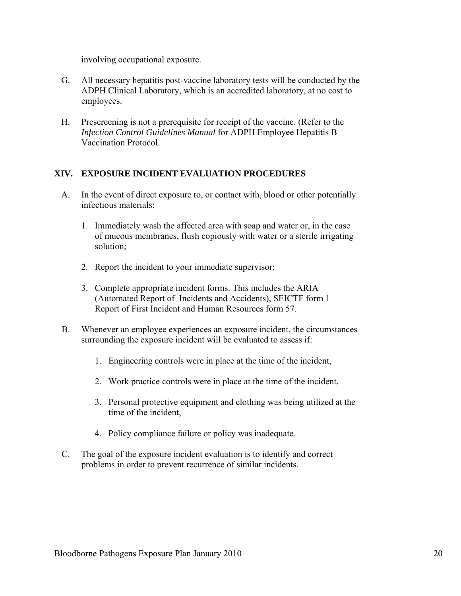involving occupational exposure.

- G. All necessary hepatitis post-vaccine laboratory tests will be conducted by the ADPH Clinical Laboratory, which is an accredited laboratory, at no cost to employees.
- H. Prescreening is not a prerequisite for receipt of the vaccine. (Refer to the  *Infection Control Guidelines Manual* for ADPH Employee Hepatitis B Vaccination Protocol.

## **XIV. EXPOSURE INCIDENT EVALUATION PROCEDURES**

- A. In the event of direct exposure to, or contact with, blood or other potentially infectious materials:
	- 1. Immediately wash the affected area with soap and water or, in the case of mucous membranes, flush copiously with water or a sterile irrigating solution;
	- 2. Report the incident to your immediate supervisor;
	- 3. Complete appropriate incident forms. This includes the ARIA (Automated Report of Incidents and Accidents), SEICTF form 1 Report of First Incident and Human Resources form 57.
- B. Whenever an employee experiences an exposure incident, the circumstances surrounding the exposure incident will be evaluated to assess if:
	- 1. Engineering controls were in place at the time of the incident,
	- 2. Work practice controls were in place at the time of the incident,
	- 3. Personal protective equipment and clothing was being utilized at the time of the incident,
	- 4. Policy compliance failure or policy was inadequate.
- C. The goal of the exposure incident evaluation is to identify and correct problems in order to prevent recurrence of similar incidents.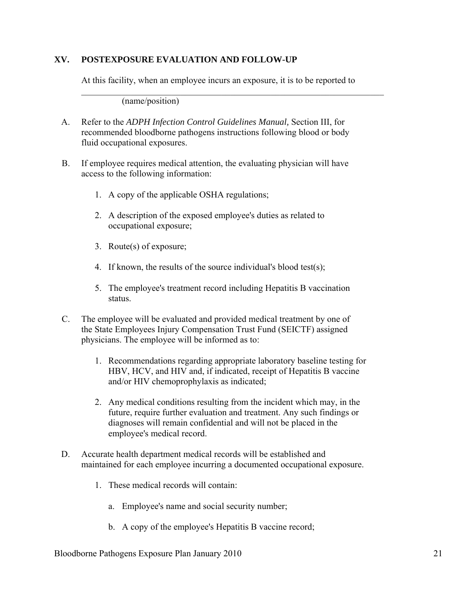## **XV. POSTEXPOSURE EVALUATION AND FOLLOW-UP**

 At this facility, when an employee incurs an exposure, it is to be reported to  $\mathcal{L}_\mathcal{L} = \mathcal{L}_\mathcal{L} = \mathcal{L}_\mathcal{L} = \mathcal{L}_\mathcal{L} = \mathcal{L}_\mathcal{L} = \mathcal{L}_\mathcal{L} = \mathcal{L}_\mathcal{L} = \mathcal{L}_\mathcal{L} = \mathcal{L}_\mathcal{L} = \mathcal{L}_\mathcal{L} = \mathcal{L}_\mathcal{L} = \mathcal{L}_\mathcal{L} = \mathcal{L}_\mathcal{L} = \mathcal{L}_\mathcal{L} = \mathcal{L}_\mathcal{L} = \mathcal{L}_\mathcal{L} = \mathcal{L}_\mathcal{L}$ 

(name/position)

- A. Refer to the *ADPH Infection Control Guidelines Manual,* Section III, for recommended bloodborne pathogens instructions following blood or body fluid occupational exposures.
- B. If employee requires medical attention, the evaluating physician will have access to the following information:
	- 1. A copy of the applicable OSHA regulations;
	- 2. A description of the exposed employee's duties as related to occupational exposure;
	- 3. Route(s) of exposure;
	- 4. If known, the results of the source individual's blood test(s);
	- 5. The employee's treatment record including Hepatitis B vaccination status.
- C. The employee will be evaluated and provided medical treatment by one of the State Employees Injury Compensation Trust Fund (SEICTF) assigned physicians. The employee will be informed as to:
	- 1. Recommendations regarding appropriate laboratory baseline testing for HBV, HCV, and HIV and, if indicated, receipt of Hepatitis B vaccine and/or HIV chemoprophylaxis as indicated;
	- 2. Any medical conditions resulting from the incident which may, in the future, require further evaluation and treatment. Any such findings or diagnoses will remain confidential and will not be placed in the employee's medical record.
- D. Accurate health department medical records will be established and maintained for each employee incurring a documented occupational exposure.
	- 1. These medical records will contain:
		- a. Employee's name and social security number;
		- b. A copy of the employee's Hepatitis B vaccine record;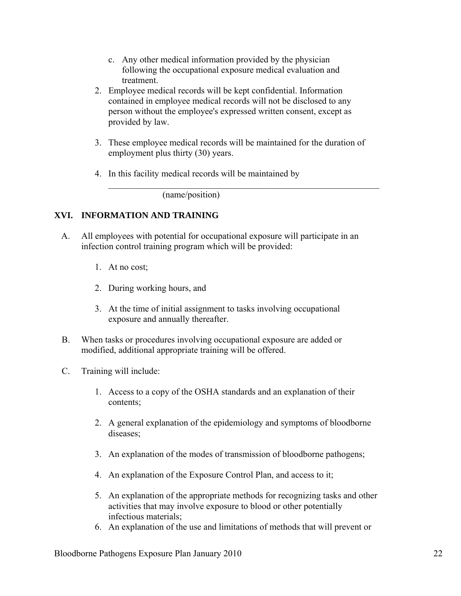- c. Any other medical information provided by the physician following the occupational exposure medical evaluation and treatment.
- 2. Employee medical records will be kept confidential. Information contained in employee medical records will not be disclosed to any person without the employee's expressed written consent, except as provided by law.
- 3. These employee medical records will be maintained for the duration of employment plus thirty (30) years.

 $\mathcal{L}_\text{max} = \frac{1}{2} \sum_{i=1}^n \mathcal{L}_\text{max}(\mathcal{L}_i - \mathcal{L}_i)$ 

4. In this facility medical records will be maintained by

(name/position)

# **XVI. INFORMATION AND TRAINING**

- A. All employees with potential for occupational exposure will participate in an infection control training program which will be provided:
	- 1. At no cost;
	- 2. During working hours, and
	- 3. At the time of initial assignment to tasks involving occupational exposure and annually thereafter.
- B. When tasks or procedures involving occupational exposure are added or modified, additional appropriate training will be offered.
- C. Training will include:
	- 1. Access to a copy of the OSHA standards and an explanation of their contents;
	- 2. A general explanation of the epidemiology and symptoms of bloodborne diseases;
	- 3. An explanation of the modes of transmission of bloodborne pathogens;
	- 4. An explanation of the Exposure Control Plan, and access to it;
	- 5. An explanation of the appropriate methods for recognizing tasks and other activities that may involve exposure to blood or other potentially infectious materials;
	- 6. An explanation of the use and limitations of methods that will prevent or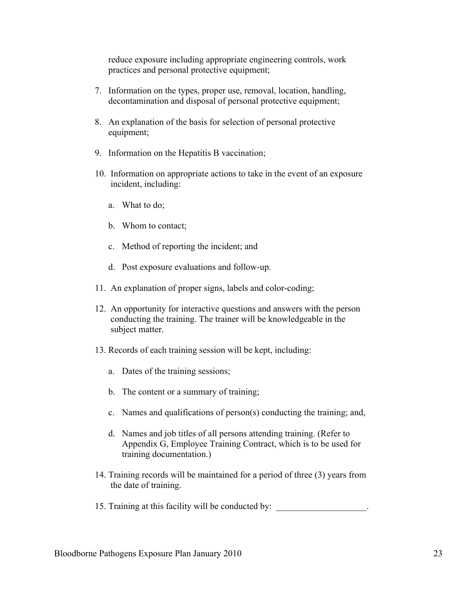reduce exposure including appropriate engineering controls, work practices and personal protective equipment;

- 7. Information on the types, proper use, removal, location, handling, decontamination and disposal of personal protective equipment;
- 8. An explanation of the basis for selection of personal protective equipment;
- 9. Information on the Hepatitis B vaccination;
- 10. Information on appropriate actions to take in the event of an exposure incident, including:
	- a. What to do;
	- b. Whom to contact;
	- c. Method of reporting the incident; and
	- d. Post exposure evaluations and follow-up.
- 11. An explanation of proper signs, labels and color-coding;
- 12. An opportunity for interactive questions and answers with the person conducting the training. The trainer will be knowledgeable in the subject matter.
- 13. Records of each training session will be kept, including:
	- a. Dates of the training sessions;
	- b. The content or a summary of training;
	- c. Names and qualifications of person(s) conducting the training; and,
	- d. Names and job titles of all persons attending training. (Refer to Appendix G, Employee Training Contract, which is to be used for training documentation.)
- 14. Training records will be maintained for a period of three (3) years from the date of training.
- 15. Training at this facility will be conducted by: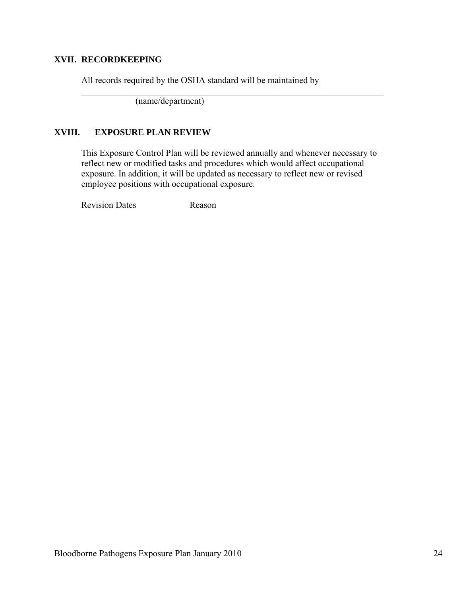#### **XVII. RECORDKEEPING**

All records required by the OSHA standard will be maintained by

 $\mathcal{L}_\mathcal{L} = \mathcal{L}_\mathcal{L} = \mathcal{L}_\mathcal{L} = \mathcal{L}_\mathcal{L} = \mathcal{L}_\mathcal{L} = \mathcal{L}_\mathcal{L} = \mathcal{L}_\mathcal{L} = \mathcal{L}_\mathcal{L} = \mathcal{L}_\mathcal{L} = \mathcal{L}_\mathcal{L} = \mathcal{L}_\mathcal{L} = \mathcal{L}_\mathcal{L} = \mathcal{L}_\mathcal{L} = \mathcal{L}_\mathcal{L} = \mathcal{L}_\mathcal{L} = \mathcal{L}_\mathcal{L} = \mathcal{L}_\mathcal{L}$ 

(name/department)

## **XVIII. EXPOSURE PLAN REVIEW**

 This Exposure Control Plan will be reviewed annually and whenever necessary to reflect new or modified tasks and procedures which would affect occupational exposure. In addition, it will be updated as necessary to reflect new or revised employee positions with occupational exposure.

Revision Dates Reason